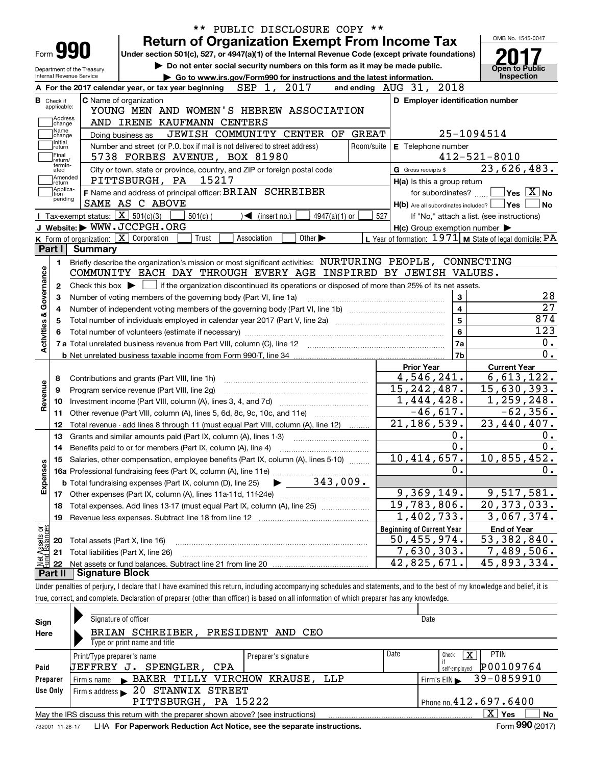|                                                                                                                                                                                   |                        |                                                                                                                                             |                                   |                             |              |                                                      | OMB No. 1545-0047                                                                                                                                                    |  |  |  |
|-----------------------------------------------------------------------------------------------------------------------------------------------------------------------------------|------------------------|---------------------------------------------------------------------------------------------------------------------------------------------|-----------------------------------|-----------------------------|--------------|------------------------------------------------------|----------------------------------------------------------------------------------------------------------------------------------------------------------------------|--|--|--|
| Form <b>990</b>                                                                                                                                                                   |                        |                                                                                                                                             |                                   |                             |              | <b>Return of Organization Exempt From Income Tax</b> |                                                                                                                                                                      |  |  |  |
| Under section 501(c), 527, or 4947(a)(1) of the Internal Revenue Code (except private foundations)<br>Do not enter social security numbers on this form as it may be made public. |                        |                                                                                                                                             |                                   |                             |              |                                                      |                                                                                                                                                                      |  |  |  |
| Department of the Treasury<br>Internal Revenue Service<br>Go to www.irs.gov/Form990 for instructions and the latest information.                                                  |                        |                                                                                                                                             |                                   |                             |              |                                                      | Open to Public<br><b>Inspection</b>                                                                                                                                  |  |  |  |
|                                                                                                                                                                                   |                        | A For the 2017 calendar year, or tax year beginning                                                                                         | SEP 1,                            | 2017                        |              | 2018<br>and ending AUG 31,                           |                                                                                                                                                                      |  |  |  |
| <b>B</b> Check if                                                                                                                                                                 |                        | <b>C</b> Name of organization                                                                                                               |                                   |                             |              | D Employer identification number                     |                                                                                                                                                                      |  |  |  |
| applicable:                                                                                                                                                                       |                        | YOUNG MEN AND WOMEN'S HEBREW ASSOCIATION                                                                                                    |                                   |                             |              |                                                      |                                                                                                                                                                      |  |  |  |
| Address<br>change                                                                                                                                                                 |                        | AND IRENE KAUFMANN CENTERS                                                                                                                  |                                   |                             |              |                                                      |                                                                                                                                                                      |  |  |  |
| Name<br>change                                                                                                                                                                    |                        | Doing business as                                                                                                                           | JEWISH COMMUNITY CENTER OF        |                             | <b>GREAT</b> |                                                      | 25-1094514                                                                                                                                                           |  |  |  |
| Initial<br>return                                                                                                                                                                 |                        | Number and street (or P.O. box if mail is not delivered to street address)                                                                  |                                   |                             | Room/suite   | E Telephone number                                   |                                                                                                                                                                      |  |  |  |
| Final<br>return/                                                                                                                                                                  |                        | 5738 FORBES AVENUE, BOX 81980                                                                                                               |                                   |                             |              |                                                      | $412 - 521 - 8010$                                                                                                                                                   |  |  |  |
| termin-<br>ated                                                                                                                                                                   |                        | City or town, state or province, country, and ZIP or foreign postal code                                                                    |                                   |                             |              | G Gross receipts \$                                  | 23,626,483.                                                                                                                                                          |  |  |  |
| Amended<br>return]                                                                                                                                                                |                        | PITTSBURGH, PA                                                                                                                              | 15217                             |                             |              | H(a) Is this a group return                          |                                                                                                                                                                      |  |  |  |
| Applica-<br> tion                                                                                                                                                                 |                        | F Name and address of principal officer: BRIAN SCHREIBER                                                                                    |                                   |                             |              | for subordinates?                                    | $ {\mathsf Y}{\mathsf e}{\mathsf s} \; \; \overline{{\rm X}} \; $ No                                                                                                 |  |  |  |
| pending                                                                                                                                                                           |                        | SAME AS C ABOVE                                                                                                                             |                                   |                             |              | $H(b)$ Are all subordinates included? $\Box$ Yes     | No                                                                                                                                                                   |  |  |  |
|                                                                                                                                                                                   |                        | Tax-exempt status: $\boxed{\mathbf{X}}$ 501(c)(3)<br>$501(c)$ (                                                                             | $\blacktriangleleft$ (insert no.) | $4947(a)(1)$ or             | 527          |                                                      | If "No," attach a list. (see instructions)                                                                                                                           |  |  |  |
|                                                                                                                                                                                   |                        | J Website: WWW.JCCPGH.ORG                                                                                                                   |                                   |                             |              | $H(c)$ Group exemption number $\blacktriangleright$  |                                                                                                                                                                      |  |  |  |
|                                                                                                                                                                                   |                        | K Form of organization: X Corporation<br>Trust                                                                                              | Association                       | Other $\blacktriangleright$ |              |                                                      | L Year of formation: $1971$ M State of legal domicile: PA                                                                                                            |  |  |  |
| Part I                                                                                                                                                                            | Summary                |                                                                                                                                             |                                   |                             |              |                                                      |                                                                                                                                                                      |  |  |  |
| 1.                                                                                                                                                                                |                        | Briefly describe the organization's mission or most significant activities: NURTURING PEOPLE, CONNECTING                                    |                                   |                             |              |                                                      |                                                                                                                                                                      |  |  |  |
|                                                                                                                                                                                   |                        | COMMUNITY EACH DAY THROUGH EVERY AGE INSPIRED BY JEWISH VALUES.                                                                             |                                   |                             |              |                                                      |                                                                                                                                                                      |  |  |  |
| 2                                                                                                                                                                                 |                        | Check this box $\blacktriangleright$ $\Box$ if the organization discontinued its operations or disposed of more than 25% of its net assets. |                                   |                             |              |                                                      |                                                                                                                                                                      |  |  |  |
| з                                                                                                                                                                                 |                        | Number of voting members of the governing body (Part VI, line 1a)                                                                           |                                   |                             |              | 3                                                    | 28<br>$\overline{27}$                                                                                                                                                |  |  |  |
| 4                                                                                                                                                                                 |                        |                                                                                                                                             |                                   | $\overline{4}$              |              |                                                      |                                                                                                                                                                      |  |  |  |
| 5                                                                                                                                                                                 |                        |                                                                                                                                             |                                   |                             |              |                                                      |                                                                                                                                                                      |  |  |  |
|                                                                                                                                                                                   |                        |                                                                                                                                             |                                   |                             |              | 5                                                    |                                                                                                                                                                      |  |  |  |
|                                                                                                                                                                                   |                        |                                                                                                                                             |                                   |                             |              | 6                                                    |                                                                                                                                                                      |  |  |  |
|                                                                                                                                                                                   |                        |                                                                                                                                             |                                   |                             |              | 7a                                                   |                                                                                                                                                                      |  |  |  |
|                                                                                                                                                                                   |                        |                                                                                                                                             |                                   |                             |              | 7b                                                   |                                                                                                                                                                      |  |  |  |
|                                                                                                                                                                                   |                        |                                                                                                                                             |                                   |                             |              | <b>Prior Year</b>                                    | <b>Current Year</b>                                                                                                                                                  |  |  |  |
| 8                                                                                                                                                                                 |                        | Contributions and grants (Part VIII, line 1h)                                                                                               |                                   |                             |              | 4,546,241.                                           | 874<br>123<br>0.<br>0.<br>6,613,122.                                                                                                                                 |  |  |  |
| 9                                                                                                                                                                                 |                        | Program service revenue (Part VIII, line 2g)                                                                                                |                                   |                             |              | 15, 242, 487.                                        |                                                                                                                                                                      |  |  |  |
| 10                                                                                                                                                                                |                        |                                                                                                                                             |                                   |                             |              | 1,444,428.                                           |                                                                                                                                                                      |  |  |  |
| 11                                                                                                                                                                                |                        | Other revenue (Part VIII, column (A), lines 5, 6d, 8c, 9c, 10c, and 11e)                                                                    |                                   |                             |              | $-46,617.$                                           |                                                                                                                                                                      |  |  |  |
| 12                                                                                                                                                                                |                        | Total revenue - add lines 8 through 11 (must equal Part VIII, column (A), line 12)                                                          |                                   |                             |              | $\overline{21,186,539}$ .                            |                                                                                                                                                                      |  |  |  |
| 13                                                                                                                                                                                |                        | Grants and similar amounts paid (Part IX, column (A), lines 1-3)                                                                            |                                   |                             |              | 0.                                                   |                                                                                                                                                                      |  |  |  |
|                                                                                                                                                                                   |                        |                                                                                                                                             |                                   |                             |              | 0.                                                   |                                                                                                                                                                      |  |  |  |
|                                                                                                                                                                                   |                        | 15 Salaries, other compensation, employee benefits (Part IX, column (A), lines 5-10)                                                        |                                   |                             |              | 10,414,657.                                          |                                                                                                                                                                      |  |  |  |
|                                                                                                                                                                                   |                        |                                                                                                                                             |                                   |                             |              | 0.                                                   |                                                                                                                                                                      |  |  |  |
|                                                                                                                                                                                   |                        | <b>b</b> Total fundraising expenses (Part IX, column (D), line 25)                                                                          |                                   | $343,009$ .                 |              |                                                      |                                                                                                                                                                      |  |  |  |
| 17                                                                                                                                                                                |                        |                                                                                                                                             |                                   |                             |              | 9,369,149.                                           |                                                                                                                                                                      |  |  |  |
| 18                                                                                                                                                                                |                        | Total expenses. Add lines 13-17 (must equal Part IX, column (A), line 25) [11, 11, 1201, 1301, 1301, 1301, 130                              |                                   |                             |              | 19,783,806.                                          |                                                                                                                                                                      |  |  |  |
| 19                                                                                                                                                                                |                        | Revenue less expenses. Subtract line 18 from line 12                                                                                        |                                   |                             |              | 1,402,733.                                           |                                                                                                                                                                      |  |  |  |
|                                                                                                                                                                                   |                        |                                                                                                                                             |                                   |                             |              | <b>Beginning of Current Year</b>                     | <b>End of Year</b>                                                                                                                                                   |  |  |  |
| 20                                                                                                                                                                                |                        | Total assets (Part X, line 16)                                                                                                              |                                   |                             |              | 50,455,974.                                          |                                                                                                                                                                      |  |  |  |
| 21                                                                                                                                                                                |                        | Total liabilities (Part X, line 26)                                                                                                         |                                   |                             |              | 7,630,303.                                           | 15,630,393.<br>1,259,248.<br>$-62,356.$<br>23,440,407.<br>0.<br>0.<br>10,855,452.<br>$0$ .<br>9,517,581.<br>20, 373, 033.<br>3,067,374.<br>53,382,840.<br>7,489,506. |  |  |  |
| Activities & Governance<br>Revenue<br>Expenses<br>t Assets or<br>d Balances<br>$\frac{1}{2}$<br>22                                                                                | <b>Signature Block</b> |                                                                                                                                             |                                   |                             |              | $\overline{42,825,671}$ .                            | 45,893,334.                                                                                                                                                          |  |  |  |

| Sign     | Signature of officer                                                                                         |                      |      | Date                       |  |  |  |  |  |
|----------|--------------------------------------------------------------------------------------------------------------|----------------------|------|----------------------------|--|--|--|--|--|
| Here     | BRIAN SCHREIBER,<br>PRESIDENT AND CEO                                                                        |                      |      |                            |  |  |  |  |  |
|          | Type or print name and title                                                                                 |                      |      |                            |  |  |  |  |  |
|          | Print/Type preparer's name                                                                                   | Preparer's signature | Date | <b>PTIN</b><br>x<br>Check  |  |  |  |  |  |
| Paid     | SPENGLER, CPA<br>JEFFREY J.                                                                                  |                      |      | P00109764<br>self-emploved |  |  |  |  |  |
| Preparer | Firm's name BAKER TILLY VIRCHOW KRAUSE, LLP                                                                  |                      |      | 39-0859910<br>Firm's $EIN$ |  |  |  |  |  |
| Use Only | 20 STANWIX STREET<br>Firm's address                                                                          |                      |      |                            |  |  |  |  |  |
|          | Phone no. 412.697.6400<br>PITTSBURGH, PA 15222                                                               |                      |      |                            |  |  |  |  |  |
|          | x<br><b>No</b><br>Yes<br>May the IRS discuss this return with the preparer shown above? (see instructions)   |                      |      |                            |  |  |  |  |  |
|          | Form 990 (2017)<br>LHA For Paperwork Reduction Act Notice, see the separate instructions.<br>732001 11-28-17 |                      |      |                            |  |  |  |  |  |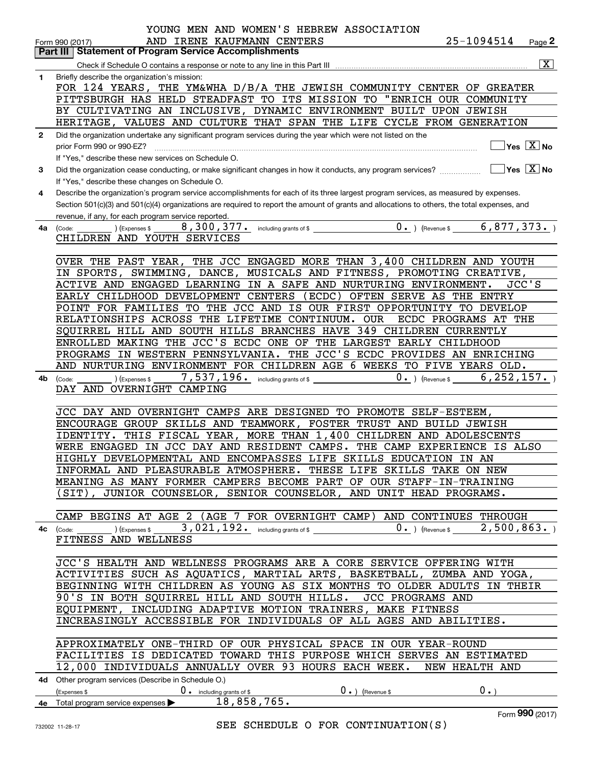|              | YOUNG MEN AND WOMEN'S HEBREW ASSOCIATION                                                                                                           |
|--------------|----------------------------------------------------------------------------------------------------------------------------------------------------|
|              | 25-1094514<br>AND IRENE KAUFMANN CENTERS<br>Page 2<br>Form 990 (2017)                                                                              |
|              | <b>Statement of Program Service Accomplishments</b><br>Part III                                                                                    |
|              | $\overline{\mathbf{x}}$                                                                                                                            |
| 1            | Briefly describe the organization's mission:<br>FOR 124 YEARS, THE YM&WHA D/B/A THE JEWISH COMMUNITY CENTER OF GREATER                             |
|              | PITTSBURGH HAS HELD STEADFAST TO ITS MISSION TO<br>"ENRICH OUR COMMUNITY                                                                           |
|              | BY CULTIVATING AN INCLUSIVE, DYNAMIC ENVIRONMENT BUILT UPON JEWISH                                                                                 |
|              | HERITAGE, VALUES AND CULTURE THAT SPAN THE LIFE CYCLE FROM GENERATION                                                                              |
| $\mathbf{2}$ | Did the organization undertake any significant program services during the year which were not listed on the                                       |
|              | Yes $X$ No<br>prior Form 990 or 990-EZ?                                                                                                            |
|              | If "Yes," describe these new services on Schedule O.                                                                                               |
| 3            | $Yes \ \overline{X}$ No<br>Did the organization cease conducting, or make significant changes in how it conducts, any program services?            |
|              | If "Yes," describe these changes on Schedule O.                                                                                                    |
| 4            | Describe the organization's program service accomplishments for each of its three largest program services, as measured by expenses.               |
|              | Section 501(c)(3) and 501(c)(4) organizations are required to report the amount of grants and allocations to others, the total expenses, and       |
|              | revenue, if any, for each program service reported.<br>(Expenses \$                                                                                |
| 4a           | (Code:<br>CHILDREN AND YOUTH SERVICES                                                                                                              |
|              |                                                                                                                                                    |
|              | OVER THE PAST YEAR, THE JCC ENGAGED MORE THAN 3,400 CHILDREN AND YOUTH                                                                             |
|              | IN SPORTS,<br>SWIMMING, DANCE, MUSICALS AND FITNESS, PROMOTING CREATIVE,                                                                           |
|              | JCC'S<br>ACTIVE AND ENGAGED LEARNING IN A SAFE AND NURTURING ENVIRONMENT.                                                                          |
|              | (ECDC) OFTEN SERVE AS THE<br>EARLY CHILDHOOD DEVELOPMENT CENTERS<br><b>ENTRY</b>                                                                   |
|              | POINT FOR FAMILIES TO THE JCC AND IS OUR FIRST OPPORTUNITY<br>TO DEVELOP                                                                           |
|              | RELATIONSHIPS ACROSS THE LIFETIME CONTINUUM.<br>0UR<br>ECDC PROGRAMS AT THE                                                                        |
|              | SQUIRREL HILL AND SOUTH HILLS BRANCHES HAVE 349 CHILDREN CURRENTLY                                                                                 |
|              | ENROLLED MAKING THE JCC'S ECDC ONE OF THE LARGEST EARLY CHILDHOOD<br>THE JCC'S ECDC PROVIDES AN ENRICHING<br>IN WESTERN PENNSYLVANIA.<br>PROGRAMS  |
|              | AND NURTURING ENVIRONMENT FOR CHILDREN AGE 6 WEEKS TO FIVE YEARS OLD.                                                                              |
| 4b           | $7$ , $537$ , $196$ $\cdot$ including grants of \$<br>$0.$ ) (Revenue \$6, 252, 157.)<br>(Expenses \$<br>(Code:                                    |
|              | DAY AND OVERNIGHT CAMPING                                                                                                                          |
|              |                                                                                                                                                    |
|              | JCC DAY AND OVERNIGHT CAMPS ARE DESIGNED TO PROMOTE SELF-ESTEEM,                                                                                   |
|              | ENCOURAGE GROUP SKILLS AND TEAMWORK, FOSTER TRUST AND BUILD JEWISH                                                                                 |
|              | THIS FISCAL YEAR, MORE THAN 1,400 CHILDREN AND ADOLESCENTS<br>IDENTITY.<br>WERE ENGAGED IN JCC DAY AND RESIDENT CAMPS. THE CAMP EXPERIENCE IS ALSO |
|              | HIGHLY DEVELOPMENTAL AND ENCOMPASSES LIFE SKILLS EDUCATION IN AN                                                                                   |
|              | INFORMAL AND PLEASURABLE ATMOSPHERE. THESE LIFE SKILLS TAKE ON NEW                                                                                 |
|              | MEANING AS MANY FORMER CAMPERS BECOME PART OF OUR STAFF-IN-TRAINING                                                                                |
|              | (SIT), JUNIOR COUNSELOR, SENIOR COUNSELOR, AND UNIT HEAD PROGRAMS.                                                                                 |
|              |                                                                                                                                                    |
|              | CAMP BEGINS AT AGE 2 (AGE 7 FOR OVERNIGHT CAMP) AND CONTINUES THROUGH                                                                              |
|              | 4c (Code: ) (Expenses \$ 3,021,192. including grants of \$ 0. ) (Revenue \$ 2,500,863. )                                                           |
|              | FITNESS AND WELLNESS                                                                                                                               |
|              | JCC'S HEALTH AND WELLNESS PROGRAMS ARE A CORE SERVICE OFFERING WITH                                                                                |
|              | ACTIVITIES SUCH AS AQUATICS, MARTIAL ARTS, BASKETBALL, ZUMBA AND YOGA,                                                                             |
|              | BEGINNING WITH CHILDREN AS YOUNG AS SIX MONTHS TO OLDER ADULTS IN THEIR                                                                            |
|              | 90'S IN BOTH SQUIRREL HILL AND SOUTH HILLS. JCC PROGRAMS AND                                                                                       |
|              | EQUIPMENT, INCLUDING ADAPTIVE MOTION TRAINERS, MAKE FITNESS                                                                                        |
|              | INCREASINGLY ACCESSIBLE FOR INDIVIDUALS OF ALL AGES AND ABILITIES.                                                                                 |
|              |                                                                                                                                                    |
|              | APPROXIMATELY ONE-THIRD OF OUR PHYSICAL SPACE IN OUR YEAR-ROUND                                                                                    |
|              | FACILITIES IS DEDICATED TOWARD THIS PURPOSE WHICH SERVES AN ESTIMATED                                                                              |
|              | 12,000 INDIVIDUALS ANNUALLY OVER 93 HOURS EACH WEEK. NEW HEALTH AND                                                                                |
|              | 4d Other program services (Describe in Schedule O.)<br>$0 \cdot$ )<br>$\mathbf{0}$ . ) (Revenue \$                                                 |
|              | $($ Expenses \$ $\qquad \qquad$ 0 $\qquad \qquad$ including grants of \$<br>4e Total program service expenses > 18,858,765.                        |
|              | Form 990 (2017)                                                                                                                                    |

Form)17) **990**

SEE SCHEDULE O FOR CONTINUATION(S)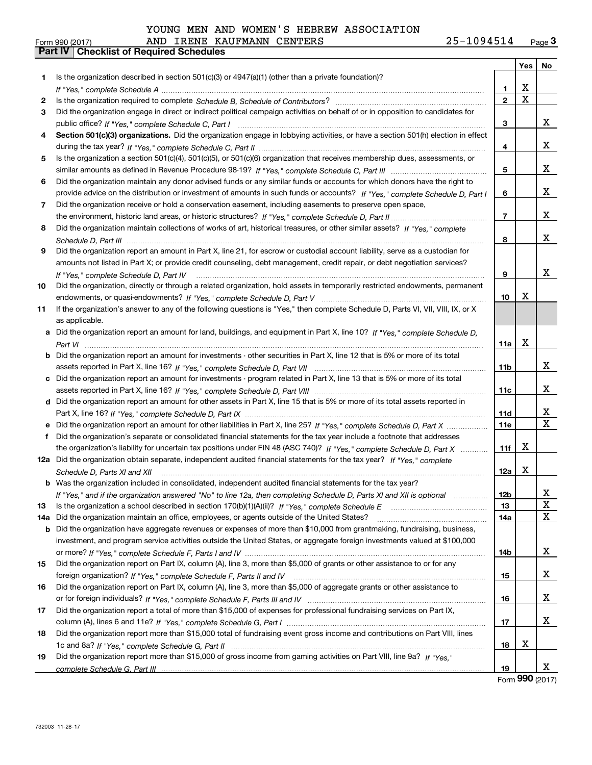Form 990 (2017) Page **3Part IV Checklist of Required Schedules** AND IRENE KAUFMANN CENTERS 25-1094514

|           |                                                                                                                                  |                 | Yes         | No     |
|-----------|----------------------------------------------------------------------------------------------------------------------------------|-----------------|-------------|--------|
| 1.        | Is the organization described in section 501(c)(3) or 4947(a)(1) (other than a private foundation)?                              |                 |             |        |
|           |                                                                                                                                  | 1               | x           |        |
| 2         |                                                                                                                                  | $\overline{2}$  | $\mathbf X$ |        |
| 3         | Did the organization engage in direct or indirect political campaign activities on behalf of or in opposition to candidates for  |                 |             |        |
|           |                                                                                                                                  | 3               |             | x      |
| 4         | Section 501(c)(3) organizations. Did the organization engage in lobbying activities, or have a section 501(h) election in effect |                 |             |        |
|           |                                                                                                                                  | 4               |             | X.     |
| 5         | Is the organization a section 501(c)(4), 501(c)(5), or 501(c)(6) organization that receives membership dues, assessments, or     |                 |             |        |
|           |                                                                                                                                  | 5               |             | X.     |
| 6         | Did the organization maintain any donor advised funds or any similar funds or accounts for which donors have the right to        |                 |             |        |
|           | provide advice on the distribution or investment of amounts in such funds or accounts? If "Yes," complete Schedule D, Part I     | 6               |             | X.     |
| 7         | Did the organization receive or hold a conservation easement, including easements to preserve open space,                        |                 |             |        |
|           |                                                                                                                                  | $\overline{7}$  |             | X.     |
| 8         | Did the organization maintain collections of works of art, historical treasures, or other similar assets? If "Yes," complete     |                 |             |        |
|           |                                                                                                                                  | 8               |             | x      |
| 9         | Did the organization report an amount in Part X, line 21, for escrow or custodial account liability, serve as a custodian for    |                 |             |        |
|           | amounts not listed in Part X; or provide credit counseling, debt management, credit repair, or debt negotiation services?        |                 |             |        |
|           | If "Yes," complete Schedule D, Part IV                                                                                           | 9               |             | x      |
| 10        | Did the organization, directly or through a related organization, hold assets in temporarily restricted endowments, permanent    |                 |             |        |
|           |                                                                                                                                  | 10              | x           |        |
| 11        | If the organization's answer to any of the following questions is "Yes," then complete Schedule D, Parts VI, VII, VIII, IX, or X |                 |             |        |
|           | as applicable.                                                                                                                   |                 |             |        |
| a         | Did the organization report an amount for land, buildings, and equipment in Part X, line 10? If "Yes," complete Schedule D,      |                 |             |        |
|           |                                                                                                                                  | 11a             | X           |        |
| b         | Did the organization report an amount for investments - other securities in Part X, line 12 that is 5% or more of its total      |                 |             |        |
|           |                                                                                                                                  | 11 <sub>b</sub> |             | x      |
|           | c Did the organization report an amount for investments - program related in Part X, line 13 that is 5% or more of its total     |                 |             |        |
|           |                                                                                                                                  | 11c             |             | x      |
|           | d Did the organization report an amount for other assets in Part X, line 15 that is 5% or more of its total assets reported in   |                 |             |        |
|           |                                                                                                                                  | 11d             |             | X.     |
|           |                                                                                                                                  | <b>11e</b>      |             | X      |
| f         | Did the organization's separate or consolidated financial statements for the tax year include a footnote that addresses          |                 |             |        |
|           | the organization's liability for uncertain tax positions under FIN 48 (ASC 740)? If "Yes," complete Schedule D, Part X           | 11f             | X           |        |
|           | 12a Did the organization obtain separate, independent audited financial statements for the tax year? If "Yes," complete          |                 |             |        |
|           | Schedule D, Parts XI and XII                                                                                                     | 12a             | х           |        |
|           | <b>b</b> Was the organization included in consolidated, independent audited financial statements for the tax year?               |                 |             |        |
|           | If "Yes," and if the organization answered "No" to line 12a, then completing Schedule D, Parts XI and XII is optional            | 12b             |             | X<br>x |
| 13<br>14a | Did the organization maintain an office, employees, or agents outside of the United States?                                      | 13<br>14a       |             | X      |
|           | Did the organization have aggregate revenues or expenses of more than \$10,000 from grantmaking, fundraising, business,          |                 |             |        |
| b         | investment, and program service activities outside the United States, or aggregate foreign investments valued at \$100,000       |                 |             |        |
|           |                                                                                                                                  | 14b             |             | X.     |
| 15        | Did the organization report on Part IX, column (A), line 3, more than \$5,000 of grants or other assistance to or for any        |                 |             |        |
|           |                                                                                                                                  | 15              |             | X.     |
| 16        | Did the organization report on Part IX, column (A), line 3, more than \$5,000 of aggregate grants or other assistance to         |                 |             |        |
|           |                                                                                                                                  | 16              |             | X.     |
| 17        | Did the organization report a total of more than \$15,000 of expenses for professional fundraising services on Part IX,          |                 |             |        |
|           |                                                                                                                                  | 17              |             | X.     |
| 18        | Did the organization report more than \$15,000 total of fundraising event gross income and contributions on Part VIII, lines     |                 |             |        |
|           |                                                                                                                                  | 18              | X           |        |
| 19        | Did the organization report more than \$15,000 of gross income from gaming activities on Part VIII, line 9a? If "Yes."           |                 |             |        |
|           |                                                                                                                                  | 19              |             | X.     |
|           |                                                                                                                                  |                 |             |        |

Form (2017) **990**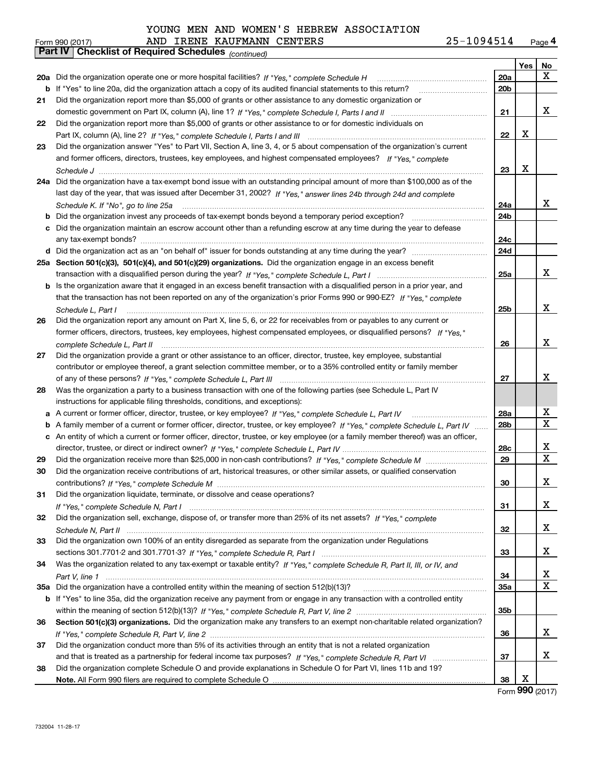|    | AND IRENE KAUFMANN CENTERS<br>Form 990 (2017)                                                                                               | 25-1094514      |     | Page 4      |
|----|---------------------------------------------------------------------------------------------------------------------------------------------|-----------------|-----|-------------|
|    | <b>Checklist of Required Schedules</b> (continued)<br>Part IV                                                                               |                 |     |             |
|    |                                                                                                                                             |                 | Yes | No          |
|    | 20a Did the organization operate one or more hospital facilities? If "Yes," complete Schedule H                                             | 20a             |     | x           |
|    | <b>b</b> If "Yes" to line 20a, did the organization attach a copy of its audited financial statements to this return?                       | 20 <sub>b</sub> |     |             |
| 21 | Did the organization report more than \$5,000 of grants or other assistance to any domestic organization or                                 |                 |     |             |
|    |                                                                                                                                             | 21              |     | x           |
| 22 | Did the organization report more than \$5,000 of grants or other assistance to or for domestic individuals on                               |                 |     |             |
|    |                                                                                                                                             | 22              | X   |             |
|    |                                                                                                                                             |                 |     |             |
| 23 | Did the organization answer "Yes" to Part VII, Section A, line 3, 4, or 5 about compensation of the organization's current                  |                 |     |             |
|    | and former officers, directors, trustees, key employees, and highest compensated employees? If "Yes," complete                              |                 |     |             |
|    |                                                                                                                                             | 23              | X   |             |
|    | 24a Did the organization have a tax-exempt bond issue with an outstanding principal amount of more than \$100,000 as of the                 |                 |     |             |
|    | last day of the year, that was issued after December 31, 2002? If "Yes," answer lines 24b through 24d and complete                          |                 |     |             |
|    |                                                                                                                                             | 24a             |     | x           |
|    | <b>b</b> Did the organization invest any proceeds of tax-exempt bonds beyond a temporary period exception? <i>mmmmmmmmmm</i>                | 24b             |     |             |
|    | c Did the organization maintain an escrow account other than a refunding escrow at any time during the year to defease                      |                 |     |             |
|    |                                                                                                                                             | 24c             |     |             |
|    |                                                                                                                                             | 24d             |     |             |
|    | 25a Section 501(c)(3), 501(c)(4), and 501(c)(29) organizations. Did the organization engage in an excess benefit                            |                 |     |             |
|    |                                                                                                                                             | 25a             |     | x           |
|    | b Is the organization aware that it engaged in an excess benefit transaction with a disqualified person in a prior year, and                |                 |     |             |
|    | that the transaction has not been reported on any of the organization's prior Forms 990 or 990-EZ? If "Yes," complete                       |                 |     |             |
|    |                                                                                                                                             | 25b             |     | x           |
| 26 | Schedule L, Part I<br>Did the organization report any amount on Part X, line 5, 6, or 22 for receivables from or payables to any current or |                 |     |             |
|    |                                                                                                                                             |                 |     |             |
|    | former officers, directors, trustees, key employees, highest compensated employees, or disqualified persons? If "Yes."                      |                 |     | x           |
|    | complete Schedule L, Part II                                                                                                                | 26              |     |             |
| 27 | Did the organization provide a grant or other assistance to an officer, director, trustee, key employee, substantial                        |                 |     |             |
|    | contributor or employee thereof, a grant selection committee member, or to a 35% controlled entity or family member                         |                 |     |             |
|    |                                                                                                                                             | 27              |     | x           |
| 28 | Was the organization a party to a business transaction with one of the following parties (see Schedule L, Part IV                           |                 |     |             |
|    | instructions for applicable filing thresholds, conditions, and exceptions):                                                                 |                 |     |             |
|    | a A current or former officer, director, trustee, or key employee? If "Yes," complete Schedule L, Part IV                                   | 28a             |     | х           |
|    | b A family member of a current or former officer, director, trustee, or key employee? If "Yes," complete Schedule L, Part IV                | 28 <sub>b</sub> |     | X           |
|    | c An entity of which a current or former officer, director, trustee, or key employee (or a family member thereof) was an officer,           |                 |     |             |
|    |                                                                                                                                             | 28c             |     | x           |
| 29 |                                                                                                                                             | 29              |     | $\mathbf x$ |
|    | Did the organization receive contributions of art, historical treasures, or other similar assets, or qualified conservation                 |                 |     |             |
|    |                                                                                                                                             | 30              |     | x           |
| 31 | Did the organization liquidate, terminate, or dissolve and cease operations?                                                                |                 |     |             |
|    |                                                                                                                                             | 31              |     | x           |
| 32 | Did the organization sell, exchange, dispose of, or transfer more than 25% of its net assets? If "Yes," complete                            |                 |     |             |
|    |                                                                                                                                             | 32              |     | x           |
|    |                                                                                                                                             |                 |     |             |
| 33 | Did the organization own 100% of an entity disregarded as separate from the organization under Regulations                                  |                 |     |             |
|    |                                                                                                                                             | 33              |     | x           |
| 34 | Was the organization related to any tax-exempt or taxable entity? If "Yes," complete Schedule R, Part II, III, or IV, and                   |                 |     |             |
|    |                                                                                                                                             | 34              |     | x           |
|    |                                                                                                                                             | 35a             |     | X           |
|    | b If "Yes" to line 35a, did the organization receive any payment from or engage in any transaction with a controlled entity                 |                 |     |             |
|    |                                                                                                                                             | 35b             |     |             |
| 36 | Section 501(c)(3) organizations. Did the organization make any transfers to an exempt non-charitable related organization?                  |                 |     |             |
|    |                                                                                                                                             | 36              |     | x           |
| 37 | Did the organization conduct more than 5% of its activities through an entity that is not a related organization                            |                 |     |             |
|    |                                                                                                                                             | 37              |     | x           |
| 38 | Did the organization complete Schedule O and provide explanations in Schedule O for Part VI, lines 11b and 19?                              |                 |     |             |
|    | Note, All Form 990 filers are required to complete Schedule O                                                                               | 38              | х   |             |

**Note.**  All Form 990 filers are required to complete Schedule O

Form (2017) **990**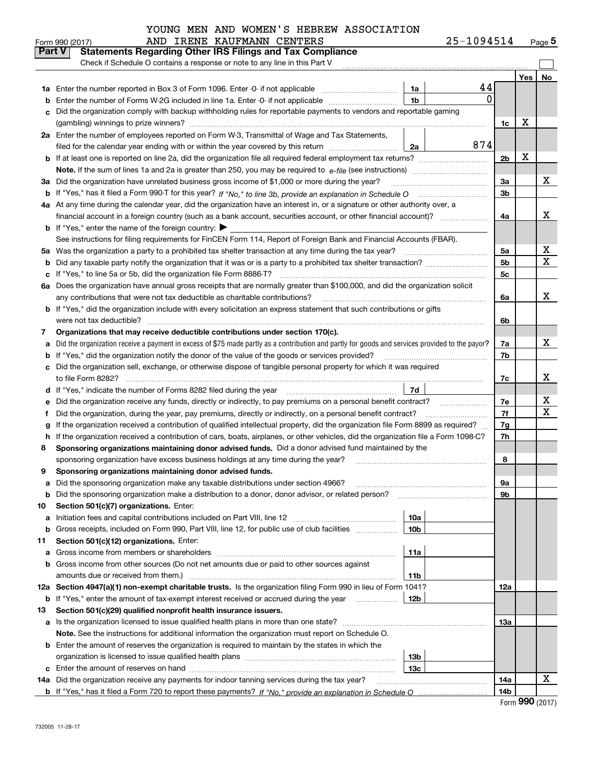| 25-1094514 | Page $5$ |
|------------|----------|
|------------|----------|

|               | AND IRENE KAUFMANN CENTERS<br>Form 990 (2017)                                                                                                   | 25-1094514          |                |     | <u>Page</u> 5 |
|---------------|-------------------------------------------------------------------------------------------------------------------------------------------------|---------------------|----------------|-----|---------------|
| <b>Part V</b> | <b>Statements Regarding Other IRS Filings and Tax Compliance</b>                                                                                |                     |                |     |               |
|               | Check if Schedule O contains a response or note to any line in this Part V                                                                      |                     |                |     |               |
|               |                                                                                                                                                 |                     |                | Yes | No            |
|               |                                                                                                                                                 | 44<br>1a            |                |     |               |
| b             | Enter the number of Forms W-2G included in line 1a. Enter -0- if not applicable                                                                 | 0<br>1 <sub>b</sub> |                |     |               |
|               | Did the organization comply with backup withholding rules for reportable payments to vendors and reportable gaming                              |                     |                |     |               |
|               |                                                                                                                                                 |                     | 1c             | х   |               |
|               | 2a Enter the number of employees reported on Form W-3, Transmittal of Wage and Tax Statements,                                                  |                     |                |     |               |
|               | filed for the calendar year ending with or within the year covered by this return                                                               | 874<br>2a           |                |     |               |
|               |                                                                                                                                                 |                     | 2 <sub>b</sub> | х   |               |
|               |                                                                                                                                                 |                     |                |     |               |
| За            | Did the organization have unrelated business gross income of \$1,000 or more during the year?                                                   |                     | 3a             |     | х             |
|               |                                                                                                                                                 |                     | 3 <sub>b</sub> |     |               |
|               | 4a At any time during the calendar year, did the organization have an interest in, or a signature or other authority over, a                    |                     |                |     |               |
|               | financial account in a foreign country (such as a bank account, securities account, or other financial account)?                                |                     | 4a             |     | x             |
|               | <b>b</b> If "Yes," enter the name of the foreign country: $\blacktriangleright$                                                                 |                     |                |     |               |
|               | See instructions for filing requirements for FinCEN Form 114, Report of Foreign Bank and Financial Accounts (FBAR).                             |                     |                |     |               |
| 5a            | Was the organization a party to a prohibited tax shelter transaction at any time during the tax year?                                           |                     | 5a             |     | x             |
| b             |                                                                                                                                                 |                     | 5 <sub>b</sub> |     | X             |
| c             | If "Yes," to line 5a or 5b, did the organization file Form 8886-T?                                                                              |                     | 5c             |     |               |
| 6а            | Does the organization have annual gross receipts that are normally greater than \$100,000, and did the organization solicit                     |                     |                |     |               |
|               | any contributions that were not tax deductible as charitable contributions?                                                                     |                     | 6a             |     | X             |
|               | <b>b</b> If "Yes," did the organization include with every solicitation an express statement that such contributions or gifts                   |                     |                |     |               |
|               | were not tax deductible?                                                                                                                        |                     | 6b             |     |               |
| 7             | Organizations that may receive deductible contributions under section 170(c).                                                                   |                     |                |     |               |
| a             | Did the organization receive a payment in excess of \$75 made partly as a contribution and partly for goods and services provided to the payor? |                     | 7a             |     | x             |
| b             | If "Yes," did the organization notify the donor of the value of the goods or services provided?                                                 |                     | 7b             |     |               |
|               | Did the organization sell, exchange, or otherwise dispose of tangible personal property for which it was required                               |                     |                |     |               |
|               |                                                                                                                                                 |                     | 7c             |     | X             |
| d             |                                                                                                                                                 | 7d                  |                |     |               |
| е             | Did the organization receive any funds, directly or indirectly, to pay premiums on a personal benefit contract?                                 |                     | 7e             |     | х             |
| f             | Did the organization, during the year, pay premiums, directly or indirectly, on a personal benefit contract?                                    |                     | 7f             |     | X             |
| g             | If the organization received a contribution of qualified intellectual property, did the organization file Form 8899 as required?                |                     | 7g             |     |               |
| h.            | If the organization received a contribution of cars, boats, airplanes, or other vehicles, did the organization file a Form 1098-C?              |                     | 7h             |     |               |
| 8             | Sponsoring organizations maintaining donor advised funds. Did a donor advised fund maintained by the                                            |                     |                |     |               |
|               | sponsoring organization have excess business holdings at any time during the year?                                                              |                     | 8              |     |               |
|               | Sponsoring organizations maintaining donor advised funds.                                                                                       |                     |                |     |               |
| a             | Did the sponsoring organization make any taxable distributions under section 4966?                                                              |                     | 9а             |     |               |
| b             | Did the sponsoring organization make a distribution to a donor, donor advisor, or related person?                                               |                     | 9b             |     |               |
| 10            | Section 501(c)(7) organizations. Enter:                                                                                                         |                     |                |     |               |
| а             | Initiation fees and capital contributions included on Part VIII, line 12 <i>manuarrouus</i> manuations of the lates                             | 10a                 |                |     |               |
| b             | Gross receipts, included on Form 990, Part VIII, line 12, for public use of club facilities                                                     | 10 <sub>b</sub>     |                |     |               |
| 11            | Section 501(c)(12) organizations. Enter:                                                                                                        |                     |                |     |               |
| a             | Gross income from members or shareholders                                                                                                       | 11a                 |                |     |               |
| b             | Gross income from other sources (Do not net amounts due or paid to other sources against                                                        |                     |                |     |               |
|               | amounts due or received from them.)                                                                                                             | 11b                 |                |     |               |
| 12a           | Section 4947(a)(1) non-exempt charitable trusts. Is the organization filing Form 990 in lieu of Form 1041?                                      |                     | 12a            |     |               |
|               | <b>b</b> If "Yes," enter the amount of tax-exempt interest received or accrued during the year <i>manument</i>                                  | 12b                 |                |     |               |
| 13            | Section 501(c)(29) qualified nonprofit health insurance issuers.                                                                                |                     |                |     |               |
|               | a Is the organization licensed to issue qualified health plans in more than one state?                                                          |                     | 13а            |     |               |
|               | Note. See the instructions for additional information the organization must report on Schedule O.                                               |                     |                |     |               |
|               | <b>b</b> Enter the amount of reserves the organization is required to maintain by the states in which the                                       |                     |                |     |               |
|               |                                                                                                                                                 | 13b                 |                |     |               |
|               |                                                                                                                                                 | 13с                 |                |     |               |
|               | 14a Did the organization receive any payments for indoor tanning services during the tax year?                                                  |                     | 14a            |     | x             |
|               |                                                                                                                                                 |                     | 14b            |     |               |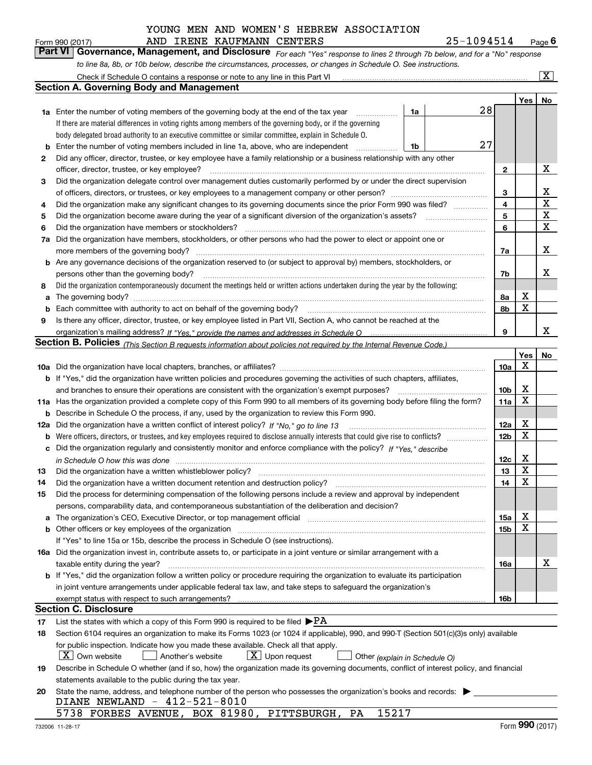#### AND IRENE KAUFMANN CENTERS 25-1094514 YOUNG MEN AND WOMEN'S HEBREW ASSOCIATION

*For each "Yes" response to lines 2 through 7b below, and for a "No" response to line 8a, 8b, or 10b below, describe the circumstances, processes, or changes in Schedule O. See instructions.* Form 990 (2017) **AND IRENE KAUFMANN CENTERS** 25-1094514 Page 6<br>**Part VI Governance, Management, and Disclosure** For each "Yes" response to lines 2 through 7b below, and for a "No" response

|    | Check if Schedule O contains a response or note to any line in this Part VI                                                                                           |                 |     | $\overline{\mathbf{X}}$ $\overline{\mathbf{X}}$ |
|----|-----------------------------------------------------------------------------------------------------------------------------------------------------------------------|-----------------|-----|-------------------------------------------------|
|    | Section A. Governing Body and Management                                                                                                                              |                 |     |                                                 |
|    |                                                                                                                                                                       |                 | Yes | No                                              |
|    | 28<br>1a Enter the number of voting members of the governing body at the end of the tax year<br>1a                                                                    |                 |     |                                                 |
|    | If there are material differences in voting rights among members of the governing body, or if the governing                                                           |                 |     |                                                 |
|    | body delegated broad authority to an executive committee or similar committee, explain in Schedule O.                                                                 |                 |     |                                                 |
| b  | 27<br>Enter the number of voting members included in line 1a, above, who are independent<br>1b                                                                        |                 |     |                                                 |
| 2  | Did any officer, director, trustee, or key employee have a family relationship or a business relationship with any other                                              |                 |     |                                                 |
|    | officer, director, trustee, or key employee?<br>.                                                                                                                     | 2               |     | х                                               |
| 3  | Did the organization delegate control over management duties customarily performed by or under the direct supervision                                                 |                 |     |                                                 |
|    |                                                                                                                                                                       | 3               |     | x                                               |
| 4  | Did the organization make any significant changes to its governing documents since the prior Form 990 was filed?                                                      | 4               |     | $\mathbf X$                                     |
| 5  |                                                                                                                                                                       | 5               |     | X                                               |
| 6  | Did the organization have members or stockholders?                                                                                                                    | 6               |     | $\mathbf X$                                     |
| 7a | Did the organization have members, stockholders, or other persons who had the power to elect or appoint one or                                                        |                 |     |                                                 |
|    | more members of the governing body?                                                                                                                                   | 7a              |     | х                                               |
|    | <b>b</b> Are any governance decisions of the organization reserved to (or subject to approval by) members, stockholders, or                                           |                 |     |                                                 |
|    | persons other than the governing body?                                                                                                                                | 7b              |     | х                                               |
| 8  | Did the organization contemporaneously document the meetings held or written actions undertaken during the year by the following:                                     |                 |     |                                                 |
| a  |                                                                                                                                                                       | 8a              | Х   |                                                 |
| b  |                                                                                                                                                                       | 8b              | X   |                                                 |
| 9  | Is there any officer, director, trustee, or key employee listed in Part VII, Section A, who cannot be reached at the                                                  |                 |     |                                                 |
|    |                                                                                                                                                                       | 9               |     | x                                               |
|    | <b>Section B. Policies</b> (This Section B requests information about policies not required by the Internal Revenue Code.)                                            |                 |     |                                                 |
|    |                                                                                                                                                                       |                 | Yes | No                                              |
|    |                                                                                                                                                                       | 10a             | Х   |                                                 |
|    | <b>b</b> If "Yes," did the organization have written policies and procedures governing the activities of such chapters, affiliates,                                   |                 |     |                                                 |
|    | and branches to ensure their operations are consistent with the organization's exempt purposes?                                                                       | 10 <sub>b</sub> | х   |                                                 |
|    | 11a Has the organization provided a complete copy of this Form 990 to all members of its governing body before filing the form?                                       | 11a             | X   |                                                 |
| b  | Describe in Schedule O the process, if any, used by the organization to review this Form 990.                                                                         |                 |     |                                                 |
|    | 12a Did the organization have a written conflict of interest policy? If "No," go to line 13                                                                           | 12a             | х   |                                                 |
| b  |                                                                                                                                                                       | 12 <sub>b</sub> | X   |                                                 |
| c  | Did the organization regularly and consistently monitor and enforce compliance with the policy? If "Yes." describe                                                    |                 |     |                                                 |
|    | in Schedule O how this was done measured and contain an account of the state of the state of the state of the                                                         | 12c             | х   |                                                 |
| 13 | Did the organization have a written whistleblower policy?                                                                                                             | 13              | X   |                                                 |
| 14 | Did the organization have a written document retention and destruction policy?                                                                                        | 14              | X   |                                                 |
| 15 | Did the process for determining compensation of the following persons include a review and approval by independent                                                    |                 |     |                                                 |
|    | persons, comparability data, and contemporaneous substantiation of the deliberation and decision?                                                                     |                 |     |                                                 |
| a  | The organization's CEO, Executive Director, or top management official manufactured content of the organization's CEO, Executive Director, or top management official | 15a             | х   |                                                 |
|    | <b>b</b> Other officers or key employees of the organization                                                                                                          | 15b             | x   |                                                 |
|    | If "Yes" to line 15a or 15b, describe the process in Schedule O (see instructions).                                                                                   |                 |     |                                                 |
|    | 16a Did the organization invest in, contribute assets to, or participate in a joint venture or similar arrangement with a                                             |                 |     |                                                 |
|    | taxable entity during the year?                                                                                                                                       | 16a             |     | х                                               |
|    | b If "Yes," did the organization follow a written policy or procedure requiring the organization to evaluate its participation                                        |                 |     |                                                 |
|    | in joint venture arrangements under applicable federal tax law, and take steps to safequard the organization's                                                        |                 |     |                                                 |
|    | exempt status with respect to such arrangements?                                                                                                                      | 16b             |     |                                                 |
|    | <b>Section C. Disclosure</b>                                                                                                                                          |                 |     |                                                 |
| 17 | List the states with which a copy of this Form 990 is required to be filed $\blacktriangleright$ PA                                                                   |                 |     |                                                 |
| 18 | Section 6104 requires an organization to make its Forms 1023 (or 1024 if applicable), 990, and 990-T (Section 501(c)(3)s only) available                              |                 |     |                                                 |
|    | for public inspection. Indicate how you made these available. Check all that apply.                                                                                   |                 |     |                                                 |
|    | $X$ Own website<br>$X$ Upon request<br>Another's website<br>Other (explain in Schedule O)                                                                             |                 |     |                                                 |
| 19 | Describe in Schedule O whether (and if so, how) the organization made its governing documents, conflict of interest policy, and financial                             |                 |     |                                                 |
|    | statements available to the public during the tax year.                                                                                                               |                 |     |                                                 |
| 20 | State the name, address, and telephone number of the person who possesses the organization's books and records:                                                       |                 |     |                                                 |
|    | DIANE NEWLAND - 412-521-8010                                                                                                                                          |                 |     |                                                 |
|    | 15217<br>5738 FORBES AVENUE, BOX 81980, PITTSBURGH,<br>PA                                                                                                             |                 |     |                                                 |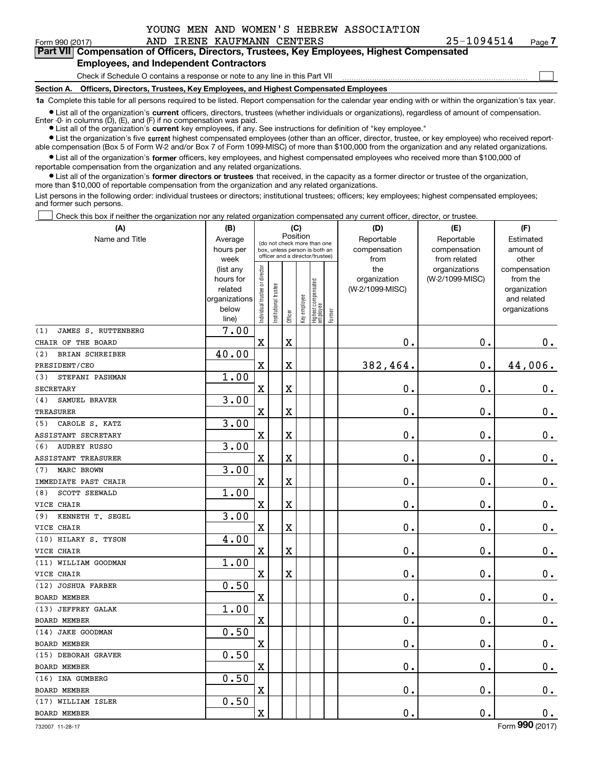|  |  |  | YOUNG MEN AND WOMEN'S HEBREW ASSOCIATION |
|--|--|--|------------------------------------------|
|  |  |  |                                          |

| 25-1094514 | Pag |
|------------|-----|
|------------|-----|

 $\mathcal{L}^{\text{max}}$ 

| Form 990 (2017) |                                               | AND IRENE KAUFMANN CENTERS | 25-1094514                                                                                 | Page 7 |
|-----------------|-----------------------------------------------|----------------------------|--------------------------------------------------------------------------------------------|--------|
|                 |                                               |                            | Part VII Compensation of Officers, Directors, Trustees, Key Employees, Highest Compensated |        |
|                 | <b>Employees, and Independent Contractors</b> |                            |                                                                                            |        |

#### **Employees, and Independent Contractors**

Check if Schedule O contains a response or note to any line in this Part VII

**Section A. Officers, Directors, Trustees, Key Employees, and Highest Compensated Employees**

**1a**  Complete this table for all persons required to be listed. Report compensation for the calendar year ending with or within the organization's tax year.

**•** List all of the organization's current officers, directors, trustees (whether individuals or organizations), regardless of amount of compensation. Enter -0- in columns  $(D)$ ,  $(E)$ , and  $(F)$  if no compensation was paid.

● List all of the organization's **current** key employees, if any. See instructions for definition of "key employee."

**•** List the organization's five current highest compensated employees (other than an officer, director, trustee, or key employee) who received reportable compensation (Box 5 of Form W-2 and/or Box 7 of Form 1099-MISC) of more than \$100,000 from the organization and any related organizations.

 $\bullet$  List all of the organization's **former** officers, key employees, and highest compensated employees who received more than \$100,000 of reportable compensation from the organization and any related organizations.

**•** List all of the organization's former directors or trustees that received, in the capacity as a former director or trustee of the organization, more than \$10,000 of reportable compensation from the organization and any related organizations.

List persons in the following order: individual trustees or directors; institutional trustees; officers; key employees; highest compensated employees; and former such persons.

Check this box if neither the organization nor any related organization compensated any current officer, director, or trustee.  $\mathcal{L}^{\text{max}}$ 

| (A)                        | (B)                    |                                         |                                                                  | (C)     |              |                                  |            | (D)                             | (E)             | (F)                      |
|----------------------------|------------------------|-----------------------------------------|------------------------------------------------------------------|---------|--------------|----------------------------------|------------|---------------------------------|-----------------|--------------------------|
| Name and Title             | Average                | Position<br>(do not check more than one |                                                                  |         |              |                                  | Reportable | Reportable                      | Estimated       |                          |
|                            | hours per              |                                         | box, unless person is both an<br>officer and a director/trustee) |         |              |                                  |            | compensation                    | compensation    | amount of                |
|                            | week                   |                                         |                                                                  |         |              |                                  |            | from                            | from related    | other                    |
|                            | (list any<br>hours for |                                         |                                                                  |         |              |                                  |            | the                             | organizations   | compensation<br>from the |
|                            | related                |                                         |                                                                  |         |              |                                  |            | organization<br>(W-2/1099-MISC) | (W-2/1099-MISC) | organization             |
|                            | organizations          |                                         |                                                                  |         |              |                                  |            |                                 |                 | and related              |
|                            | below                  | Individual trustee or director          | Institutional trustee                                            |         | Key employee |                                  |            |                                 |                 | organizations            |
|                            | line)                  |                                         |                                                                  | Officer |              | Highest compensated<br> employee | Former     |                                 |                 |                          |
| JAMES S. RUTTENBERG<br>(1) | 7.00                   |                                         |                                                                  |         |              |                                  |            |                                 |                 |                          |
| CHAIR OF THE BOARD         |                        | $\mathbf x$                             |                                                                  | X       |              |                                  |            | $\mathbf 0$ .                   | $\mathbf 0$ .   | 0.                       |
| BRIAN SCHREIBER<br>(2)     | 40.00                  |                                         |                                                                  |         |              |                                  |            |                                 |                 |                          |
| PRESIDENT/CEO              |                        | $\mathbf X$                             |                                                                  | X       |              |                                  |            | 382,464.                        | $\mathbf 0$ .   | 44,006.                  |
| (3)<br>STEFANI PASHMAN     | 1.00                   |                                         |                                                                  |         |              |                                  |            |                                 |                 |                          |
| <b>SECRETARY</b>           |                        | $\mathbf X$                             |                                                                  | X       |              |                                  |            | $\mathbf 0$ .                   | $\mathbf 0$ .   | $\mathbf 0$ .            |
| SAMUEL BRAVER<br>(4)       | 3.00                   |                                         |                                                                  |         |              |                                  |            |                                 |                 |                          |
| <b>TREASURER</b>           |                        | $\mathbf X$                             |                                                                  | X       |              |                                  |            | $\mathbf 0$ .                   | $\mathbf 0$ .   | $\mathbf 0$ .            |
| CAROLE S. KATZ<br>(5)      | 3.00                   |                                         |                                                                  |         |              |                                  |            |                                 |                 |                          |
| ASSISTANT SECRETARY        |                        | $\mathbf X$                             |                                                                  | X       |              |                                  |            | $\mathbf 0$ .                   | $\mathbf 0$ .   | $\mathbf 0$ .            |
| <b>AUDREY RUSSO</b><br>(6) | 3.00                   |                                         |                                                                  |         |              |                                  |            |                                 |                 |                          |
| <b>ASSISTANT TREASURER</b> |                        | $\mathbf X$                             |                                                                  | Χ       |              |                                  |            | $\mathbf 0$ .                   | $\mathbf 0$ .   | $\mathbf 0$ .            |
| MARC BROWN<br>(7)          | 3.00                   |                                         |                                                                  |         |              |                                  |            |                                 |                 |                          |
| IMMEDIATE PAST CHAIR       |                        | $\mathbf X$                             |                                                                  | X       |              |                                  |            | $\mathbf 0$ .                   | $\mathbf 0$ .   | $0$ .                    |
| SCOTT SEEWALD<br>(8)       | 1.00                   |                                         |                                                                  |         |              |                                  |            |                                 |                 |                          |
| VICE CHAIR                 |                        | $\mathbf X$                             |                                                                  | X       |              |                                  |            | $\mathbf 0$ .                   | $\mathbf 0$ .   | $\mathbf 0$ .            |
| KENNETH T. SEGEL<br>(9)    | 3.00                   |                                         |                                                                  |         |              |                                  |            |                                 |                 |                          |
| VICE CHAIR                 |                        | $\mathbf x$                             |                                                                  | X       |              |                                  |            | $\mathbf 0$ .                   | $\mathbf 0$ .   | $\mathbf 0$ .            |
| (10) HILARY S. TYSON       | 4.00                   |                                         |                                                                  |         |              |                                  |            |                                 |                 |                          |
| VICE CHAIR                 |                        | $\mathbf X$                             |                                                                  | X       |              |                                  |            | $\mathbf 0$ .                   | $\mathbf 0$ .   | $\mathbf 0$ .            |
| (11) WILLIAM GOODMAN       | 1.00                   |                                         |                                                                  |         |              |                                  |            |                                 |                 |                          |
| VICE CHAIR                 |                        | $\mathbf x$                             |                                                                  | X       |              |                                  |            | $\mathbf 0$ .                   | $\mathbf 0$ .   | $\mathbf 0$ .            |
| (12) JOSHUA FARBER         | 0.50                   |                                         |                                                                  |         |              |                                  |            |                                 |                 |                          |
| <b>BOARD MEMBER</b>        |                        | $\overline{\textbf{X}}$                 |                                                                  |         |              |                                  |            | $\mathbf 0$ .                   | 0.              | $0_{.}$                  |
| (13) JEFFREY GALAK         | 1.00                   |                                         |                                                                  |         |              |                                  |            |                                 |                 |                          |
| <b>BOARD MEMBER</b>        |                        | $\mathbf X$                             |                                                                  |         |              |                                  |            | $\mathbf 0$ .                   | $\mathbf 0$ .   | $0_{.}$                  |
| (14) JAKE GOODMAN          | 0.50                   |                                         |                                                                  |         |              |                                  |            |                                 |                 |                          |
| <b>BOARD MEMBER</b>        |                        | $\mathbf X$                             |                                                                  |         |              |                                  |            | $\mathbf 0$ .                   | $\mathbf 0$ .   | $0_{.}$                  |
| (15) DEBORAH GRAVER        | 0.50                   |                                         |                                                                  |         |              |                                  |            |                                 |                 |                          |
| <b>BOARD MEMBER</b>        |                        | $\mathbf X$                             |                                                                  |         |              |                                  |            | $\mathbf 0$ .                   | $\mathbf 0$ .   | $0$ .                    |
| (16) INA GUMBERG           | 0.50                   |                                         |                                                                  |         |              |                                  |            |                                 |                 |                          |
| <b>BOARD MEMBER</b>        |                        | $\mathbf X$                             |                                                                  |         |              |                                  |            | $\mathbf 0$ .                   | $\mathbf 0$ .   | $\mathbf 0$ .            |
| (17) WILLIAM ISLER         | 0.50                   |                                         |                                                                  |         |              |                                  |            |                                 |                 |                          |
| <b>BOARD MEMBER</b>        |                        | $\mathbf X$                             |                                                                  |         |              |                                  |            | $\mathbf 0$ .                   | 0.              | $\mathbf 0$ .            |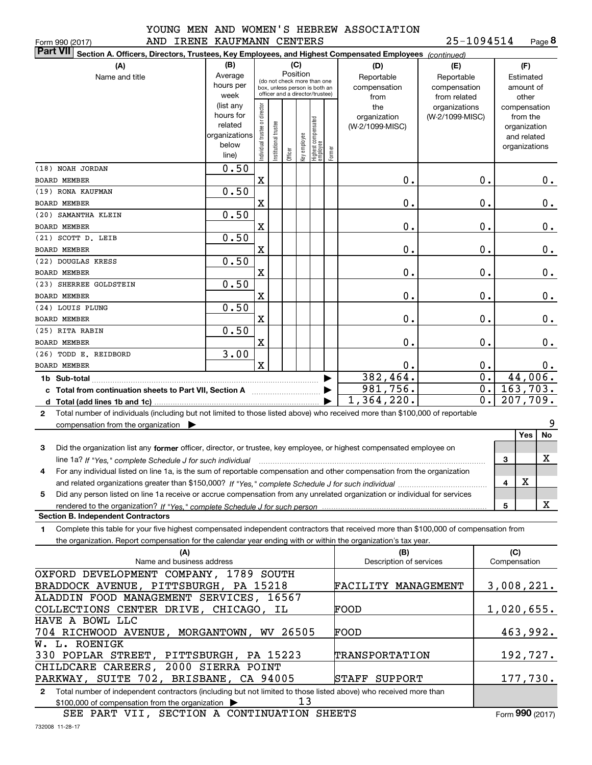|               | ∸∨∪ |
|---------------|-----|
| <b>BRATIN</b> |     |

#### Form 990 (2017) AND IRENE KAUFMANN CENTERS 25-1094514 Page **8** 25-1094514

| <b>Part VII</b><br>Section A. Officers, Directors, Trustees, Key Employees, and Highest Compensated Employees (continued)                    |                                                                       |                                         |                                 |  |              |                                  |  |                                 |                                  |                  |                          |         |
|----------------------------------------------------------------------------------------------------------------------------------------------|-----------------------------------------------------------------------|-----------------------------------------|---------------------------------|--|--------------|----------------------------------|--|---------------------------------|----------------------------------|------------------|--------------------------|---------|
| (B)<br>(C)<br>(A)<br>(D)<br>(E)                                                                                                              |                                                                       |                                         |                                 |  |              |                                  |  |                                 |                                  |                  | (F)                      |         |
| Name and title                                                                                                                               | Average                                                               | Position<br>(do not check more than one |                                 |  |              |                                  |  | Reportable                      | Reportable                       |                  | Estimated                |         |
|                                                                                                                                              | hours per                                                             |                                         | box, unless person is both an   |  |              |                                  |  | compensation                    | compensation                     |                  | amount of                |         |
|                                                                                                                                              | week                                                                  |                                         | officer and a director/trustee) |  |              |                                  |  | from                            | from related                     |                  | other                    |         |
|                                                                                                                                              | (list any<br>hours for                                                |                                         |                                 |  |              |                                  |  | the                             | organizations<br>(W-2/1099-MISC) |                  | compensation<br>from the |         |
|                                                                                                                                              | related                                                               |                                         |                                 |  |              |                                  |  | organization<br>(W-2/1099-MISC) |                                  |                  | organization             |         |
|                                                                                                                                              | organizations                                                         |                                         |                                 |  |              |                                  |  |                                 |                                  |                  | and related              |         |
|                                                                                                                                              | below                                                                 | Individual trustee or director          | Institutional trustee           |  | key employee | Highest compensated<br> employee |  |                                 |                                  |                  | organizations            |         |
| Former<br>Officer<br>line)                                                                                                                   |                                                                       |                                         |                                 |  |              |                                  |  |                                 |                                  |                  |                          |         |
| (18) NOAH JORDAN                                                                                                                             | 0.50                                                                  |                                         |                                 |  |              |                                  |  |                                 |                                  |                  |                          |         |
| <b>BOARD MEMBER</b>                                                                                                                          |                                                                       | X                                       |                                 |  |              |                                  |  | 0.                              |                                  | $\mathbf 0$ .    |                          | 0.      |
| (19) RONA KAUFMAN                                                                                                                            | 0.50                                                                  |                                         |                                 |  |              |                                  |  |                                 |                                  |                  |                          |         |
| BOARD MEMBER                                                                                                                                 |                                                                       | X                                       |                                 |  |              |                                  |  | 0.                              |                                  | 0.               |                          | 0.      |
| (20) SAMANTHA KLEIN                                                                                                                          | 0.50                                                                  |                                         |                                 |  |              |                                  |  |                                 |                                  |                  |                          |         |
| BOARD MEMBER                                                                                                                                 |                                                                       | X                                       |                                 |  |              |                                  |  | 0.                              |                                  | 0.               |                          | 0.      |
| (21) SCOTT D. LEIB                                                                                                                           | 0.50                                                                  |                                         |                                 |  |              |                                  |  |                                 |                                  |                  |                          |         |
| <b>BOARD MEMBER</b>                                                                                                                          |                                                                       | X                                       |                                 |  |              |                                  |  | 0.                              |                                  | 0.               |                          | 0.      |
| (22) DOUGLAS KRESS                                                                                                                           | 0.50                                                                  |                                         |                                 |  |              |                                  |  |                                 |                                  |                  |                          |         |
| <b>BOARD MEMBER</b>                                                                                                                          |                                                                       | X                                       |                                 |  |              |                                  |  | 0.                              |                                  | 0.               |                          | 0.      |
| (23) SHERREE GOLDSTEIN                                                                                                                       | 0.50                                                                  |                                         |                                 |  |              |                                  |  |                                 |                                  |                  |                          |         |
| <b>BOARD MEMBER</b>                                                                                                                          |                                                                       | X                                       |                                 |  |              |                                  |  | 0.                              |                                  | 0.               |                          | 0.      |
| (24) LOUIS PLUNG                                                                                                                             | 0.50                                                                  |                                         |                                 |  |              |                                  |  |                                 |                                  |                  |                          |         |
| <b>BOARD MEMBER</b>                                                                                                                          |                                                                       | X                                       |                                 |  |              |                                  |  | 0.                              |                                  | 0.               |                          | 0.      |
| (25) RITA RABIN                                                                                                                              | 0.50                                                                  |                                         |                                 |  |              |                                  |  |                                 |                                  |                  |                          |         |
| BOARD MEMBER                                                                                                                                 |                                                                       | X                                       |                                 |  |              |                                  |  | 0.                              |                                  | 0.               |                          | 0.      |
| (26) TODD E. REIDBORD                                                                                                                        | 3.00                                                                  |                                         |                                 |  |              |                                  |  |                                 |                                  |                  |                          |         |
| <b>BOARD MEMBER</b>                                                                                                                          |                                                                       | $\overline{\text{X}}$                   |                                 |  |              |                                  |  | 0.                              |                                  | 0.               | 0.                       |         |
|                                                                                                                                              |                                                                       |                                         |                                 |  |              |                                  |  | 382,464.                        |                                  | $\overline{0}$ . | 44,006.                  |         |
|                                                                                                                                              |                                                                       |                                         |                                 |  |              |                                  |  | 981,756.                        |                                  | $\overline{0}$ . | 163,703.                 |         |
| d Total (add lines 1b and 1c).                                                                                                               |                                                                       |                                         |                                 |  |              |                                  |  | 1,364,220.                      |                                  | $\overline{0}$ . | 207,709.                 |         |
| Total number of individuals (including but not limited to those listed above) who received more than \$100,000 of reportable<br>$\mathbf{2}$ |                                                                       |                                         |                                 |  |              |                                  |  |                                 |                                  |                  |                          |         |
| compensation from the organization $\blacktriangleright$                                                                                     |                                                                       |                                         |                                 |  |              |                                  |  |                                 |                                  |                  | Yes                      | 9<br>No |
|                                                                                                                                              |                                                                       |                                         |                                 |  |              |                                  |  |                                 |                                  |                  |                          |         |
| Did the organization list any former officer, director, or trustee, key employee, or highest compensated employee on<br>3                    |                                                                       |                                         |                                 |  |              |                                  |  |                                 |                                  |                  |                          | х       |
| line 1a? If "Yes," complete Schedule J for such individual                                                                                   |                                                                       |                                         |                                 |  |              |                                  |  |                                 |                                  |                  | 3                        |         |
| For any individual listed on line 1a, is the sum of reportable compensation and other compensation from the organization<br>4                |                                                                       |                                         |                                 |  |              |                                  |  |                                 |                                  |                  | х                        |         |
|                                                                                                                                              |                                                                       |                                         |                                 |  |              |                                  |  |                                 |                                  |                  | 4                        |         |
| Did any person listed on line 1a receive or accrue compensation from any unrelated organization or individual for services<br>5              |                                                                       |                                         |                                 |  |              |                                  |  |                                 |                                  |                  | 5                        | X       |
| <b>Section B. Independent Contractors</b>                                                                                                    |                                                                       |                                         |                                 |  |              |                                  |  |                                 |                                  |                  |                          |         |
| Complete this table for your five highest compensated independent contractors that received more than \$100,000 of compensation from<br>1    |                                                                       |                                         |                                 |  |              |                                  |  |                                 |                                  |                  |                          |         |
| the organization. Report compensation for the calendar year ending with or within the organization's tax year.                               |                                                                       |                                         |                                 |  |              |                                  |  |                                 |                                  |                  |                          |         |
| (A)                                                                                                                                          |                                                                       |                                         |                                 |  |              |                                  |  | (B)                             |                                  |                  | (C)                      |         |
| Name and business address                                                                                                                    |                                                                       |                                         |                                 |  |              |                                  |  | Description of services         |                                  |                  | Compensation             |         |
| OXFORD DEVELOPMENT COMPANY, 1789 SOUTH                                                                                                       |                                                                       |                                         |                                 |  |              |                                  |  |                                 |                                  |                  |                          |         |
| BRADDOCK AVENUE, PITTSBURGH, PA 15218<br>3,008,221.<br>FACILITY MANAGEMENT                                                                   |                                                                       |                                         |                                 |  |              |                                  |  |                                 |                                  |                  |                          |         |
| ALADDIN FOOD MANAGEMENT SERVICES, 16567                                                                                                      |                                                                       |                                         |                                 |  |              |                                  |  |                                 |                                  |                  |                          |         |
| COLLECTIONS CENTER DRIVE, CHICAGO, IL<br>1,020,655.<br>FOOD                                                                                  |                                                                       |                                         |                                 |  |              |                                  |  |                                 |                                  |                  |                          |         |
| HAVE A BOWL LLC                                                                                                                              |                                                                       |                                         |                                 |  |              |                                  |  |                                 |                                  |                  |                          |         |
| 704 RICHWOOD AVENUE, MORGANTOWN, WV 26505                                                                                                    |                                                                       |                                         |                                 |  |              |                                  |  | FOOD                            |                                  |                  | 463,992.                 |         |
| W. L. ROENIGK                                                                                                                                |                                                                       |                                         |                                 |  |              |                                  |  |                                 |                                  |                  |                          |         |
|                                                                                                                                              | 330 POPLAR STREET, PITTSBURGH, PA 15223<br>192,727.<br>TRANSPORTATION |                                         |                                 |  |              |                                  |  |                                 |                                  |                  |                          |         |
| CHILDCARE CAREERS, 2000 SIERRA POINT                                                                                                         |                                                                       |                                         |                                 |  |              |                                  |  |                                 |                                  |                  |                          |         |
| PARKWAY, SUITE 702, BRISBANE, CA 94005                                                                                                       |                                                                       |                                         |                                 |  |              |                                  |  | STAFF<br>SUPPORT                |                                  |                  | 177,730.                 |         |

**2**Total number of independent contractors (including but not limited to those listed above) who received more than \$100,000 of compensation from the organization 13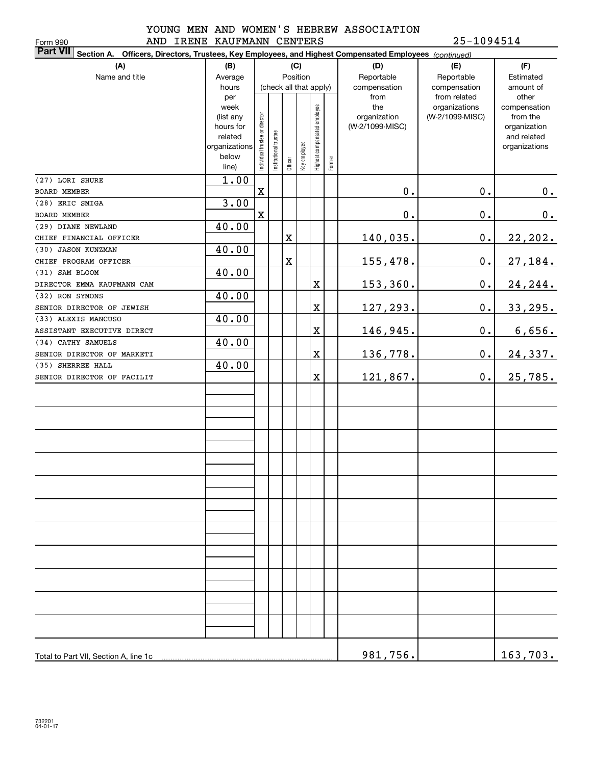Form 990

#### YOUNG MEN AND WOMEN'S HEBREW ASSOCIATION AND IRENE KAUFMANN CENTERS 25-1094514

| <b>Part VII</b> Section A. Officers, Directors, Trustees, Key Employees, and Highest Compensated Employees (continued)<br>(B)<br>(C) |                |                                |                       |             |              |                              |           |                 |                               |                       |  |
|--------------------------------------------------------------------------------------------------------------------------------------|----------------|--------------------------------|-----------------------|-------------|--------------|------------------------------|-----------|-----------------|-------------------------------|-----------------------|--|
| (A)                                                                                                                                  | (D)            | (E)                            | (F)                   |             |              |                              |           |                 |                               |                       |  |
| Name and title<br>Position<br>Average<br>(check all that apply)                                                                      |                |                                |                       |             | Reportable   | Reportable                   | Estimated |                 |                               |                       |  |
|                                                                                                                                      | hours          |                                |                       |             |              |                              |           | compensation    | compensation                  | amount of             |  |
|                                                                                                                                      | per<br>week    |                                |                       |             |              |                              |           | from<br>the     | from related<br>organizations | other<br>compensation |  |
|                                                                                                                                      | (list any      |                                |                       |             |              |                              |           | organization    | (W-2/1099-MISC)               | from the              |  |
|                                                                                                                                      | hours for      |                                |                       |             |              |                              |           | (W-2/1099-MISC) |                               | organization          |  |
|                                                                                                                                      | related        |                                |                       |             |              |                              |           |                 |                               | and related           |  |
|                                                                                                                                      | organizations  |                                |                       |             |              |                              |           |                 |                               | organizations         |  |
|                                                                                                                                      | below<br>line) | Individual trustee or director | Institutional trustee | Officer     | Key employee | Highest compensated employee | Former    |                 |                               |                       |  |
| (27) LORI SHURE                                                                                                                      | 1.00           |                                |                       |             |              |                              |           |                 |                               |                       |  |
| BOARD MEMBER                                                                                                                         |                | $\mathbf X$                    |                       |             |              |                              |           | $\mathbf 0$ .   | $\mathbf 0$ .                 | 0.                    |  |
| (28) ERIC SMIGA                                                                                                                      | 3.00           |                                |                       |             |              |                              |           |                 |                               |                       |  |
| BOARD MEMBER                                                                                                                         |                | $\mathbf X$                    |                       |             |              |                              |           | $\mathbf 0$ .   | $\mathbf 0$ .                 | 0.                    |  |
| (29) DIANE NEWLAND                                                                                                                   | 40.00          |                                |                       |             |              |                              |           |                 |                               |                       |  |
| CHIEF FINANCIAL OFFICER                                                                                                              |                |                                |                       | $\mathbf X$ |              |                              |           | 140,035.        | $\mathbf 0$ .                 | 22, 202.              |  |
| (30) JASON KUNZMAN                                                                                                                   | 40.00          |                                |                       |             |              |                              |           |                 |                               |                       |  |
| CHIEF PROGRAM OFFICER                                                                                                                |                |                                |                       | $\mathbf X$ |              |                              |           | 155,478.        | $\mathbf 0$ .                 | 27,184.               |  |
| (31) SAM BLOOM                                                                                                                       | 40.00          |                                |                       |             |              |                              |           |                 |                               |                       |  |
| DIRECTOR EMMA KAUFMANN CAM                                                                                                           |                |                                |                       |             |              | X                            |           | 153,360.        | $\mathbf 0$ .                 | 24, 244.              |  |
| (32) RON SYMONS                                                                                                                      | 40.00          |                                |                       |             |              |                              |           |                 |                               |                       |  |
| SENIOR DIRECTOR OF JEWISH                                                                                                            |                |                                |                       |             |              | X                            |           | 127,293.        | $\mathbf 0$ .                 | 33, 295.              |  |
| (33) ALEXIS MANCUSO                                                                                                                  | 40.00          |                                |                       |             |              |                              |           |                 |                               |                       |  |
| ASSISTANT EXECUTIVE DIRECT                                                                                                           |                |                                |                       |             |              | X                            |           | 146,945.        | $\mathbf 0$ .                 | 6,656.                |  |
| (34) CATHY SAMUELS                                                                                                                   | 40.00          |                                |                       |             |              |                              |           |                 |                               |                       |  |
| SENIOR DIRECTOR OF MARKETI                                                                                                           |                |                                |                       |             |              | X                            |           | 136,778.        | $\mathbf 0$ .                 | 24,337.               |  |
| (35) SHERREE HALL                                                                                                                    | 40.00          |                                |                       |             |              |                              |           |                 |                               |                       |  |
| SENIOR DIRECTOR OF FACILIT                                                                                                           |                |                                |                       |             |              | X                            |           | 121,867.        | 0.                            | 25,785.               |  |
|                                                                                                                                      |                |                                |                       |             |              |                              |           |                 |                               |                       |  |
|                                                                                                                                      |                |                                |                       |             |              |                              |           |                 |                               |                       |  |
|                                                                                                                                      |                |                                |                       |             |              |                              |           |                 |                               |                       |  |
|                                                                                                                                      |                |                                |                       |             |              |                              |           |                 |                               |                       |  |
|                                                                                                                                      |                |                                |                       |             |              |                              |           |                 |                               |                       |  |
|                                                                                                                                      |                |                                |                       |             |              |                              |           |                 |                               |                       |  |
|                                                                                                                                      |                |                                |                       |             |              |                              |           |                 |                               |                       |  |
|                                                                                                                                      |                |                                |                       |             |              |                              |           |                 |                               |                       |  |
|                                                                                                                                      |                |                                |                       |             |              |                              |           |                 |                               |                       |  |
|                                                                                                                                      |                |                                |                       |             |              |                              |           |                 |                               |                       |  |
|                                                                                                                                      |                |                                |                       |             |              |                              |           |                 |                               |                       |  |
|                                                                                                                                      |                |                                |                       |             |              |                              |           |                 |                               |                       |  |
|                                                                                                                                      |                |                                |                       |             |              |                              |           |                 |                               |                       |  |
|                                                                                                                                      |                |                                |                       |             |              |                              |           |                 |                               |                       |  |
|                                                                                                                                      |                |                                |                       |             |              |                              |           |                 |                               |                       |  |
|                                                                                                                                      |                |                                |                       |             |              |                              |           |                 |                               |                       |  |
|                                                                                                                                      |                |                                |                       |             |              |                              |           |                 |                               |                       |  |
|                                                                                                                                      |                |                                |                       |             |              |                              |           |                 |                               |                       |  |
|                                                                                                                                      |                |                                |                       |             |              |                              |           |                 |                               |                       |  |
|                                                                                                                                      |                |                                |                       |             |              |                              |           |                 |                               |                       |  |
|                                                                                                                                      |                |                                |                       |             |              |                              |           |                 |                               |                       |  |
| Total to Part VII, Section A, line 1c                                                                                                |                |                                |                       |             |              |                              |           | 981, 756.       |                               | 163,703.              |  |
|                                                                                                                                      |                |                                |                       |             |              |                              |           |                 |                               |                       |  |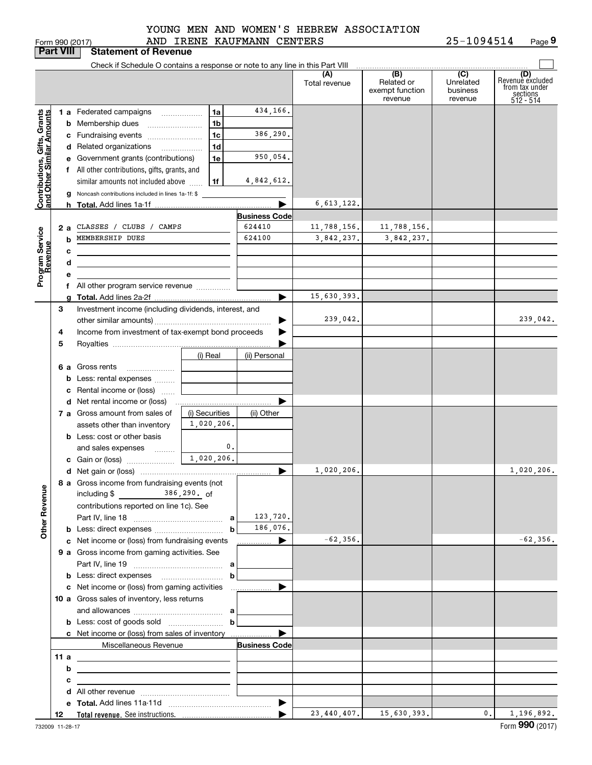|  | orm 990 (2017) |
|--|----------------|

#### AND IRENE KAUFMANN CENTERS YOUNG MEN AND WOMEN'S HEBREW ASSOCIATION

Form 990 (2017) AND IRENE KAUFMANN CENTERS 2 5-I U 9 4 5 I 4 Page **9** 25-1094514

|                                                           | <b>Part VIII</b> | <b>Statement of Revenue</b>                                                                                          |                |                                         |                      |                            |                     |                                           |
|-----------------------------------------------------------|------------------|----------------------------------------------------------------------------------------------------------------------|----------------|-----------------------------------------|----------------------|----------------------------|---------------------|-------------------------------------------|
|                                                           |                  | Check if Schedule O contains a response or note to any line in this Part VIII                                        |                |                                         |                      |                            |                     |                                           |
|                                                           |                  |                                                                                                                      |                |                                         | (A)<br>Total revenue | (B)<br>Related or          | (C)<br>Unrelated    | (D)<br>Revenuè excluded<br>from tax under |
|                                                           |                  |                                                                                                                      |                |                                         |                      | exempt function<br>revenue | business<br>revenue | sections<br>512 - 514                     |
|                                                           |                  | 1 a Federated campaigns                                                                                              | 1a             | 434,166.                                |                      |                            |                     |                                           |
|                                                           |                  | <b>b</b> Membership dues                                                                                             | 1 <sub>b</sub> |                                         |                      |                            |                     |                                           |
|                                                           |                  | c Fundraising events                                                                                                 | 1 <sub>c</sub> | 386,290.                                |                      |                            |                     |                                           |
|                                                           |                  | d Related organizations<br>$\overline{\phantom{a}}$                                                                  | 1 <sub>d</sub> |                                         |                      |                            |                     |                                           |
|                                                           |                  | e Government grants (contributions)                                                                                  | 1e             | 950,054.                                |                      |                            |                     |                                           |
|                                                           |                  | f All other contributions, gifts, grants, and                                                                        |                |                                         |                      |                            |                     |                                           |
|                                                           |                  | similar amounts not included above                                                                                   | 1f             | 4,842,612.                              |                      |                            |                     |                                           |
| Contributions, Gifts, Grants<br>and Other Similar Amounts |                  | g Noncash contributions included in lines 1a-1f: \$                                                                  |                |                                         |                      |                            |                     |                                           |
|                                                           |                  |                                                                                                                      |                |                                         | 6, 613, 122.         |                            |                     |                                           |
|                                                           |                  |                                                                                                                      |                | <b>Business Code</b>                    |                      |                            |                     |                                           |
|                                                           | 2 a              | CLASSES / CLUBS / CAMPS                                                                                              |                | 624410                                  | 11,788,156.          | 11,788,156.                |                     |                                           |
|                                                           | b                | MEMBERSHIP DUES                                                                                                      |                | 624100                                  | 3,842,237.           | 3,842,237.                 |                     |                                           |
|                                                           | с                |                                                                                                                      |                |                                         |                      |                            |                     |                                           |
|                                                           | d                | <u> 1989 - Johann Stein, marwolaethau a bhann an t-Amhair an t-Amhair an t-Amhair an t-Amhair an t-Amhair an t-A</u> |                |                                         |                      |                            |                     |                                           |
| Program Service<br>Revenue                                | е                |                                                                                                                      |                |                                         |                      |                            |                     |                                           |
|                                                           |                  | f All other program service revenue                                                                                  |                |                                         |                      |                            |                     |                                           |
|                                                           | З                |                                                                                                                      |                | ▶                                       | 15,630,393.          |                            |                     |                                           |
|                                                           |                  | Investment income (including dividends, interest, and                                                                |                |                                         | 239,042.             |                            |                     | 239,042.                                  |
|                                                           | 4                | Income from investment of tax-exempt bond proceeds                                                                   |                |                                         |                      |                            |                     |                                           |
|                                                           | 5                |                                                                                                                      |                |                                         |                      |                            |                     |                                           |
|                                                           |                  |                                                                                                                      | (i) Real       | (ii) Personal                           |                      |                            |                     |                                           |
|                                                           |                  | 6 a Gross rents                                                                                                      |                |                                         |                      |                            |                     |                                           |
|                                                           |                  | <b>b</b> Less: rental expenses                                                                                       |                |                                         |                      |                            |                     |                                           |
|                                                           |                  | c Rental income or (loss)                                                                                            |                |                                         |                      |                            |                     |                                           |
|                                                           |                  |                                                                                                                      |                |                                         |                      |                            |                     |                                           |
|                                                           |                  | 7 a Gross amount from sales of                                                                                       | (i) Securities | (ii) Other                              |                      |                            |                     |                                           |
|                                                           |                  | assets other than inventory                                                                                          | 1,020,206.     |                                         |                      |                            |                     |                                           |
|                                                           |                  | <b>b</b> Less: cost or other basis                                                                                   |                |                                         |                      |                            |                     |                                           |
|                                                           |                  | and sales expenses                                                                                                   | 0.             |                                         |                      |                            |                     |                                           |
|                                                           |                  |                                                                                                                      | 1,020,206.     |                                         |                      |                            |                     |                                           |
|                                                           |                  |                                                                                                                      |                | ▶                                       | 1,020,206.           |                            |                     | 1,020,206.                                |
|                                                           |                  | 8 a Gross income from fundraising events (not                                                                        |                |                                         |                      |                            |                     |                                           |
| <b>Other Revenue</b>                                      |                  | $\frac{386}{290}$ , 386, 290. of<br>including \$                                                                     |                |                                         |                      |                            |                     |                                           |
|                                                           |                  | contributions reported on line 1c). See                                                                              |                | 123,720.                                |                      |                            |                     |                                           |
|                                                           |                  |                                                                                                                      |                | $\mathbf{a}$<br>186,076.<br>$\mathbf b$ |                      |                            |                     |                                           |
|                                                           |                  | c Net income or (loss) from fundraising events                                                                       |                | <u></u> >                               | $-62, 356.$          |                            |                     | $-62, 356.$                               |
|                                                           |                  | 9 a Gross income from gaming activities. See                                                                         |                |                                         |                      |                            |                     |                                           |
|                                                           |                  |                                                                                                                      |                |                                         |                      |                            |                     |                                           |
|                                                           |                  |                                                                                                                      |                | b                                       |                      |                            |                     |                                           |
|                                                           |                  | c Net income or (loss) from gaming activities                                                                        |                | .                                       |                      |                            |                     |                                           |
|                                                           |                  | 10 a Gross sales of inventory, less returns                                                                          |                |                                         |                      |                            |                     |                                           |
|                                                           |                  |                                                                                                                      |                |                                         |                      |                            |                     |                                           |
|                                                           |                  |                                                                                                                      |                |                                         |                      |                            |                     |                                           |
|                                                           |                  | c Net income or (loss) from sales of inventory                                                                       |                | ▶                                       |                      |                            |                     |                                           |
|                                                           |                  | Miscellaneous Revenue                                                                                                |                | <b>Business Code</b>                    |                      |                            |                     |                                           |
|                                                           | 11a              |                                                                                                                      |                |                                         |                      |                            |                     |                                           |
|                                                           | b                |                                                                                                                      |                |                                         |                      |                            |                     |                                           |
|                                                           | с                | the contract of the contract of the contract of the contract of the contract of                                      |                |                                         |                      |                            |                     |                                           |
|                                                           |                  |                                                                                                                      |                |                                         |                      |                            |                     |                                           |
|                                                           | 12               |                                                                                                                      |                | ▶                                       | 23,440,407.          | 15,630,393.                | 0.                  | 1,196,892.                                |
|                                                           |                  |                                                                                                                      |                |                                         |                      |                            |                     |                                           |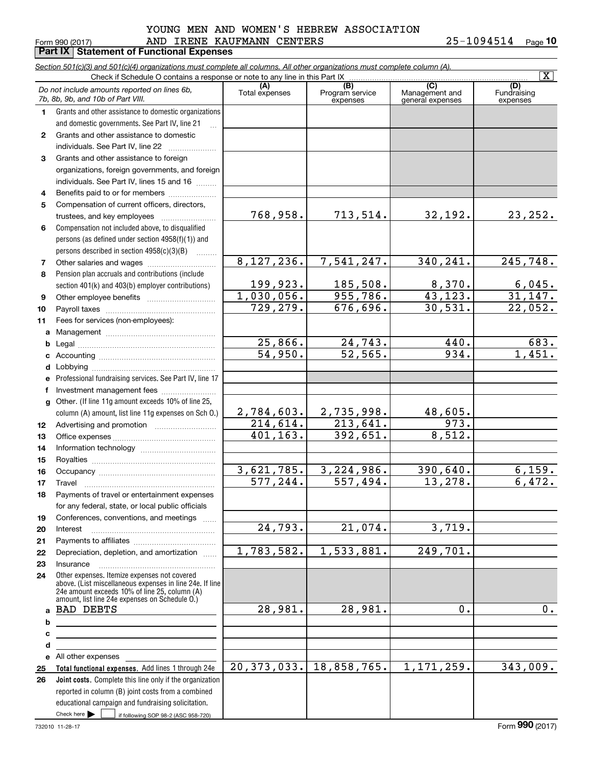#### $_{\rm Form}$  990 (2017) AND <code>IRENE KAUFMANN CENTERS</code> 25-1094514 <sub>Page</sub> YOUNG MEN AND WOMEN'S HEBREW ASSOCIATION

**Part IX Statement of Functional Expenses**

**10**

|              | Check if Schedule O contains a response or note to any line in this Part IX                                                                               |                       | Section 501(c)(3) and 501(c)(4) organizations must complete all columns. All other organizations must complete column (A). |                                    | $\overline{\mathtt{x}}$  |
|--------------|-----------------------------------------------------------------------------------------------------------------------------------------------------------|-----------------------|----------------------------------------------------------------------------------------------------------------------------|------------------------------------|--------------------------|
|              | Do not include amounts reported on lines 6b,                                                                                                              | (A)                   | (B)                                                                                                                        | (C)                                | (D)                      |
|              | 7b, 8b, 9b, and 10b of Part VIII.                                                                                                                         | Total expenses        | Program service<br>expenses                                                                                                | Management and<br>general expenses | Fundraising<br>expenses  |
| 1.           | Grants and other assistance to domestic organizations                                                                                                     |                       |                                                                                                                            |                                    |                          |
|              | and domestic governments. See Part IV, line 21                                                                                                            |                       |                                                                                                                            |                                    |                          |
| $\mathbf{2}$ | Grants and other assistance to domestic                                                                                                                   |                       |                                                                                                                            |                                    |                          |
|              | individuals. See Part IV, line 22                                                                                                                         |                       |                                                                                                                            |                                    |                          |
| 3            | Grants and other assistance to foreign                                                                                                                    |                       |                                                                                                                            |                                    |                          |
|              | organizations, foreign governments, and foreign                                                                                                           |                       |                                                                                                                            |                                    |                          |
|              | individuals. See Part IV, lines 15 and 16                                                                                                                 |                       |                                                                                                                            |                                    |                          |
| 4            | Benefits paid to or for members                                                                                                                           |                       |                                                                                                                            |                                    |                          |
| 5            | Compensation of current officers, directors,                                                                                                              |                       |                                                                                                                            |                                    |                          |
|              | trustees, and key employees                                                                                                                               | 768,958.              | 713,514.                                                                                                                   | 32,192.                            | 23, 252.                 |
| 6            | Compensation not included above, to disqualified                                                                                                          |                       |                                                                                                                            |                                    |                          |
|              | persons (as defined under section 4958(f)(1)) and<br>persons described in section 4958(c)(3)(B)                                                           |                       |                                                                                                                            |                                    |                          |
| 7            | 1.1.1.1.1.1.1                                                                                                                                             | 8, 127, 236.          | 7,541,247.                                                                                                                 | 340,241.                           | 245,748.                 |
| 8            | Pension plan accruals and contributions (include                                                                                                          |                       |                                                                                                                            |                                    |                          |
|              | section 401(k) and 403(b) employer contributions)                                                                                                         | 199,923.              | 185,508.                                                                                                                   | 8,370.                             |                          |
| 9            |                                                                                                                                                           | 1,030,056.            | 955,786.                                                                                                                   | 43, 123.                           | $\frac{6,045}{31,147}$ . |
| 10           |                                                                                                                                                           | 729,279.              | 676,696.                                                                                                                   | 30,531.                            | 22,052.                  |
| 11           | Fees for services (non-employees):                                                                                                                        |                       |                                                                                                                            |                                    |                          |
| a            |                                                                                                                                                           |                       |                                                                                                                            |                                    |                          |
| b            |                                                                                                                                                           | 25,866.               | 24,743.                                                                                                                    | 440.                               | 683.                     |
| c            |                                                                                                                                                           | $\overline{54,950}$ . | 52, 565.                                                                                                                   | 934.                               | 1,451.                   |
| d            |                                                                                                                                                           |                       |                                                                                                                            |                                    |                          |
| e            | Professional fundraising services. See Part IV, line 17                                                                                                   |                       |                                                                                                                            |                                    |                          |
| f            | Investment management fees                                                                                                                                |                       |                                                                                                                            |                                    |                          |
| g            | Other. (If line 11g amount exceeds 10% of line 25,                                                                                                        |                       |                                                                                                                            |                                    |                          |
|              | column (A) amount, list line 11g expenses on Sch O.)                                                                                                      | 2,784,603.            | 2,735,998.                                                                                                                 | 48,605.                            |                          |
| 12           |                                                                                                                                                           | $\overline{214,614}.$ | $\overline{213,641}$ .                                                                                                     | 973.                               |                          |
| 13           |                                                                                                                                                           | 401, 163.             | 392,651.                                                                                                                   | 8,512.                             |                          |
| 14           |                                                                                                                                                           |                       |                                                                                                                            |                                    |                          |
| 15           |                                                                                                                                                           | 3,621,785.            | 3,224,986.                                                                                                                 | 390,640.                           |                          |
| 16           |                                                                                                                                                           | 577,244.              | 557,494.                                                                                                                   | 13,278.                            | 6,159.<br>6,472.         |
| 17<br>18     | Payments of travel or entertainment expenses                                                                                                              |                       |                                                                                                                            |                                    |                          |
|              | for any federal, state, or local public officials                                                                                                         |                       |                                                                                                                            |                                    |                          |
| 19           | Conferences, conventions, and meetings                                                                                                                    |                       |                                                                                                                            |                                    |                          |
| 20           | Interest                                                                                                                                                  | $\overline{24,793.}$  | $\overline{21,074}$ .                                                                                                      | 3,719.                             |                          |
| 21           |                                                                                                                                                           |                       |                                                                                                                            |                                    |                          |
| 22           | Depreciation, depletion, and amortization                                                                                                                 | 1,783,582.            | 1,533,881.                                                                                                                 | 249,701.                           |                          |
| 23           | Insurance                                                                                                                                                 |                       |                                                                                                                            |                                    |                          |
| 24           | Other expenses. Itemize expenses not covered<br>above. (List miscellaneous expenses in line 24e. If line<br>24e amount exceeds 10% of line 25, column (A) |                       |                                                                                                                            |                                    |                          |
|              | amount, list line 24e expenses on Schedule O.)                                                                                                            |                       |                                                                                                                            |                                    |                          |
| a            | <b>BAD DEBTS</b>                                                                                                                                          | 28,981.               | 28,981.                                                                                                                    | 0.                                 | 0.                       |
| b            |                                                                                                                                                           |                       |                                                                                                                            |                                    |                          |
| c            |                                                                                                                                                           |                       |                                                                                                                            |                                    |                          |
| d            | the contract of the contract of the contract of the contract of the contract of                                                                           |                       |                                                                                                                            |                                    |                          |
| е<br>25      | Total functional expenses. Add lines 1 through 24e                                                                                                        | 20, 373, 033.         | 18,858,765.                                                                                                                | 1, 171, 259.                       | 343,009.                 |
| 26           | Joint costs. Complete this line only if the organization                                                                                                  |                       |                                                                                                                            |                                    |                          |
|              | reported in column (B) joint costs from a combined                                                                                                        |                       |                                                                                                                            |                                    |                          |
|              | educational campaign and fundraising solicitation.                                                                                                        |                       |                                                                                                                            |                                    |                          |
|              | Check here $\blacktriangleright$<br>if following SOP 98-2 (ASC 958-720)                                                                                   |                       |                                                                                                                            |                                    |                          |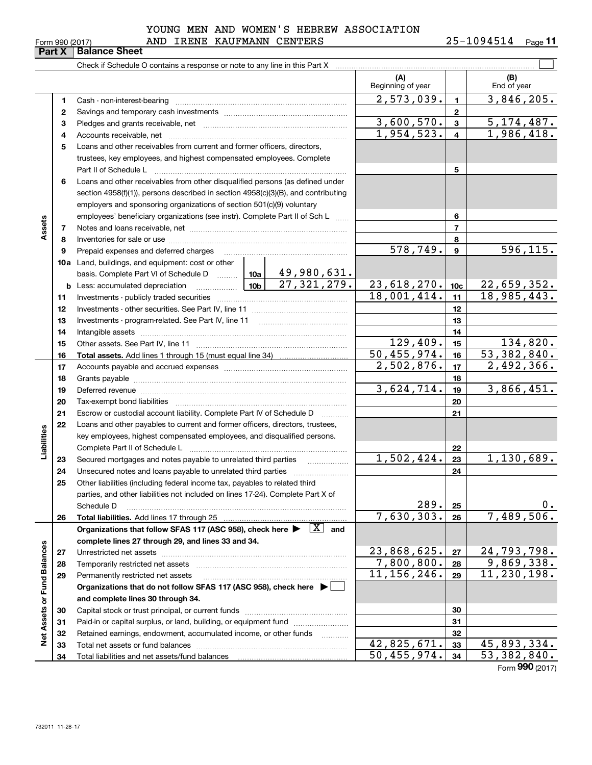**34**

#### $_{\rm Form}$  990 (2017) AND <code>IRENE KAUFMANN CENTERS</code> 25-1094514 <sub>Page</sub> YOUNG MEN AND WOMEN'S HEBREW ASSOCIATION

**11**

|                             | rai L A      | Dalahut Shittle                                                                                                                     |             |                           |                          |                         |                    |
|-----------------------------|--------------|-------------------------------------------------------------------------------------------------------------------------------------|-------------|---------------------------|--------------------------|-------------------------|--------------------|
|                             |              | Check if Schedule O contains a response or note to any line in this Part X                                                          |             |                           |                          |                         |                    |
|                             |              |                                                                                                                                     |             |                           | (A)<br>Beginning of year |                         | (B)<br>End of year |
|                             | 1            | Cash - non-interest-bearing                                                                                                         |             |                           | $\overline{2,573,039}$ . | $\mathbf{1}$            | 3,846,205.         |
|                             | $\mathbf{2}$ |                                                                                                                                     |             |                           |                          | $\mathbf{2}$            |                    |
|                             | 3            |                                                                                                                                     |             |                           | 3,600,570.               | $\mathbf{3}$            | 5,174,487.         |
|                             | 4            |                                                                                                                                     |             |                           | $\overline{1,954,523}$ . | $\overline{\mathbf{4}}$ | 1,986,418.         |
|                             | 5            | Loans and other receivables from current and former officers, directors,                                                            |             |                           |                          |                         |                    |
|                             |              | trustees, key employees, and highest compensated employees. Complete                                                                |             |                           |                          |                         |                    |
|                             |              | Part II of Schedule L                                                                                                               |             |                           |                          | 5                       |                    |
|                             | 6            | Loans and other receivables from other disqualified persons (as defined under                                                       |             |                           |                          |                         |                    |
|                             |              | section 4958(f)(1)), persons described in section 4958(c)(3)(B), and contributing                                                   |             |                           |                          |                         |                    |
|                             |              | employers and sponsoring organizations of section 501(c)(9) voluntary                                                               |             |                           |                          |                         |                    |
|                             |              | employees' beneficiary organizations (see instr). Complete Part II of Sch L                                                         |             |                           |                          | 6                       |                    |
| Assets                      | 7            |                                                                                                                                     |             |                           |                          | $\overline{7}$          |                    |
|                             | 8            |                                                                                                                                     |             |                           |                          | 8                       |                    |
|                             | 9            | Prepaid expenses and deferred charges [11] [11] Prepaid expenses and deferred charges [11] [11] American metal                      |             |                           | $\overline{578, 749}$ .  | $\boldsymbol{9}$        | 596, 115.          |
|                             |              | 10a Land, buildings, and equipment: cost or other                                                                                   |             |                           |                          |                         |                    |
|                             |              | basis. Complete Part VI of Schedule D  10a                                                                                          |             | 49,980,631.               |                          |                         |                    |
|                             |              |                                                                                                                                     |             | $\overline{27,321,279}$ . | 23,618,270.              | 10 <sub>c</sub>         | 22,659,352.        |
|                             | 11           |                                                                                                                                     |             |                           | 18,001,414.              | 11                      | 18,985,443.        |
|                             | 12           |                                                                                                                                     |             |                           |                          | 12                      |                    |
|                             | 13           |                                                                                                                                     |             |                           | 13                       |                         |                    |
|                             | 14           |                                                                                                                                     |             |                           | 14                       |                         |                    |
|                             | 15           |                                                                                                                                     |             | 129,409.                  | 15                       | 134,820.                |                    |
|                             | 16           |                                                                                                                                     | 50,455,974. | 16                        | 53,382,840.              |                         |                    |
|                             | 17           |                                                                                                                                     | 2,502,876.  | 17                        | 2,492,366.               |                         |                    |
|                             | 18           |                                                                                                                                     |             |                           |                          | 18                      |                    |
|                             | 19           |                                                                                                                                     |             |                           | 3,624,714.               | 19                      | 3,866,451.         |
|                             | 20           |                                                                                                                                     |             |                           |                          | 20                      |                    |
|                             | 21           | Escrow or custodial account liability. Complete Part IV of Schedule D                                                               |             | .                         |                          | 21                      |                    |
|                             | 22           | Loans and other payables to current and former officers, directors, trustees,                                                       |             |                           |                          |                         |                    |
| Liabilities                 |              | key employees, highest compensated employees, and disqualified persons.                                                             |             |                           |                          |                         |                    |
|                             |              | Complete Part II of Schedule L                                                                                                      |             |                           |                          | 22                      |                    |
|                             | 23           | Secured mortgages and notes payable to unrelated third parties                                                                      |             |                           | 1,502,424.               | 23                      | 1,130,689.         |
|                             | 24           |                                                                                                                                     |             |                           |                          | 24                      |                    |
|                             | 25           | Other liabilities (including federal income tax, payables to related third                                                          |             |                           |                          |                         |                    |
|                             |              | parties, and other liabilities not included on lines 17-24). Complete Part X of                                                     |             |                           |                          |                         |                    |
|                             |              | Schedule D                                                                                                                          |             |                           | 289.                     | 25                      | 0.                 |
|                             | 26           | <b>Total liabilities.</b> Add lines 17 through 25                                                                                   |             |                           | 7,630,303.               | 26                      | 7,489,506.         |
|                             |              | Organizations that follow SFAS 117 (ASC 958), check here $\blacktriangleright \begin{array}{ c } \hline X & \text{and} \end{array}$ |             |                           |                          |                         |                    |
|                             |              | complete lines 27 through 29, and lines 33 and 34.                                                                                  |             |                           |                          |                         |                    |
|                             | 27           |                                                                                                                                     |             |                           | 23,868,625.              | 27                      | 24,793,798.        |
|                             | 28           | Temporarily restricted net assets                                                                                                   |             |                           | 7,800,800.               | 28                      | 9,869,338.         |
|                             | 29           | Permanently restricted net assets                                                                                                   |             |                           | 11,156,246.              | 29                      | 11,230,198.        |
|                             |              | Organizations that do not follow SFAS 117 (ASC 958), check here ▶ │                                                                 |             |                           |                          |                         |                    |
|                             |              | and complete lines 30 through 34.                                                                                                   |             |                           |                          |                         |                    |
|                             | 30           |                                                                                                                                     |             |                           |                          | 30                      |                    |
|                             | 31           | Paid-in or capital surplus, or land, building, or equipment fund                                                                    |             |                           |                          | 31                      |                    |
| Net Assets or Fund Balances | 32           | Retained earnings, endowment, accumulated income, or other funds                                                                    |             | .                         | 42.825.671               | 32<br>33 <sub>1</sub>   | 45.893.334.        |
|                             | 33           | Total net assets or fund halances                                                                                                   |             |                           |                          |                         |                    |

**32** Retained earnings, endowment, accumulated income, or other funds ............ **33** Total net assets or fund balances ~~~~~~~~~~~~~~~~~~~~~~

Total liabilities and net assets/fund balances

Form (2017) **990**

 **323334**

 $42,825,671.$  33  $45,893,334.$  $50,455,974.$   $34$  | 53,382,840.

# **Part X Balance**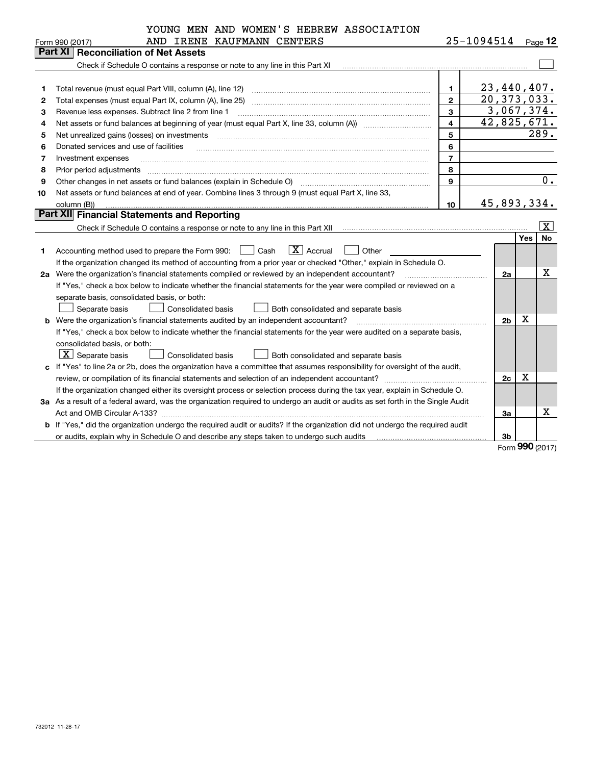|    | YOUNG MEN AND WOMEN'S HEBREW ASSOCIATION                                                                                        |                         |                |            |                         |  |  |  |  |  |  |
|----|---------------------------------------------------------------------------------------------------------------------------------|-------------------------|----------------|------------|-------------------------|--|--|--|--|--|--|
|    | AND IRENE KAUFMANN CENTERS<br>Form 990 (2017)                                                                                   |                         | 25-1094514     |            | $_{\text{Page}}$ 12     |  |  |  |  |  |  |
|    | <b>Part XI Reconciliation of Net Assets</b>                                                                                     |                         |                |            |                         |  |  |  |  |  |  |
|    |                                                                                                                                 |                         |                |            |                         |  |  |  |  |  |  |
|    |                                                                                                                                 |                         |                |            |                         |  |  |  |  |  |  |
| 1  | Total revenue (must equal Part VIII, column (A), line 12)                                                                       | $\mathbf{1}$            | 23,440,407.    |            |                         |  |  |  |  |  |  |
| 2  | Total expenses (must equal Part IX, column (A), line 25)                                                                        | $\mathbf{2}$            | 20, 373, 033.  |            |                         |  |  |  |  |  |  |
| З  | 3,067,374.<br>3<br>Revenue less expenses. Subtract line 2 from line 1                                                           |                         |                |            |                         |  |  |  |  |  |  |
| 4  |                                                                                                                                 | $\overline{\mathbf{4}}$ | 42,825,671.    |            |                         |  |  |  |  |  |  |
| 5  | Net unrealized gains (losses) on investments                                                                                    | 5                       |                |            | 289.                    |  |  |  |  |  |  |
| 6  | Donated services and use of facilities                                                                                          | 6                       |                |            |                         |  |  |  |  |  |  |
| 7  | Investment expenses                                                                                                             | $\overline{7}$          |                |            |                         |  |  |  |  |  |  |
| 8  | Prior period adjustments                                                                                                        | 8                       |                |            |                         |  |  |  |  |  |  |
| 9  | Other changes in net assets or fund balances (explain in Schedule O)                                                            | $\mathbf{q}$            |                |            | 0.                      |  |  |  |  |  |  |
| 10 | Net assets or fund balances at end of year. Combine lines 3 through 9 (must equal Part X, line 33,                              |                         |                |            |                         |  |  |  |  |  |  |
|    | column (B))                                                                                                                     | 10                      | 45,893,334.    |            |                         |  |  |  |  |  |  |
|    | <b>Part XII</b> Financial Statements and Reporting                                                                              |                         |                |            |                         |  |  |  |  |  |  |
|    |                                                                                                                                 |                         |                |            | $\overline{\texttt{x}}$ |  |  |  |  |  |  |
|    |                                                                                                                                 |                         |                | <b>Yes</b> | No                      |  |  |  |  |  |  |
| 1. | $\boxed{\text{X}}$ Accrual<br>Accounting method used to prepare the Form 990: <u>[16</u> ] Cash<br>Other                        |                         |                |            |                         |  |  |  |  |  |  |
|    | If the organization changed its method of accounting from a prior year or checked "Other," explain in Schedule O.               |                         |                |            |                         |  |  |  |  |  |  |
|    | 2a Were the organization's financial statements compiled or reviewed by an independent accountant?                              |                         | 2a             |            | $\mathbf X$             |  |  |  |  |  |  |
|    | If "Yes," check a box below to indicate whether the financial statements for the year were compiled or reviewed on a            |                         |                |            |                         |  |  |  |  |  |  |
|    | separate basis, consolidated basis, or both:                                                                                    |                         |                |            |                         |  |  |  |  |  |  |
|    | Separate basis<br><b>Consolidated basis</b><br>Both consolidated and separate basis                                             |                         |                |            |                         |  |  |  |  |  |  |
| b  | Were the organization's financial statements audited by an independent accountant?                                              |                         | 2 <sub>b</sub> | x          |                         |  |  |  |  |  |  |
|    | If "Yes," check a box below to indicate whether the financial statements for the year were audited on a separate basis,         |                         |                |            |                         |  |  |  |  |  |  |
|    | consolidated basis, or both:                                                                                                    |                         |                |            |                         |  |  |  |  |  |  |
|    | $X$ Separate basis<br>Consolidated basis<br>Both consolidated and separate basis                                                |                         |                |            |                         |  |  |  |  |  |  |
|    | c If "Yes" to line 2a or 2b, does the organization have a committee that assumes responsibility for oversight of the audit,     |                         |                |            |                         |  |  |  |  |  |  |
|    |                                                                                                                                 |                         | 2c             | X          |                         |  |  |  |  |  |  |
|    | If the organization changed either its oversight process or selection process during the tax year, explain in Schedule O.       |                         |                |            |                         |  |  |  |  |  |  |
|    | 3a As a result of a federal award, was the organization required to undergo an audit or audits as set forth in the Single Audit |                         |                |            |                         |  |  |  |  |  |  |
|    |                                                                                                                                 |                         | 3a             |            | Х                       |  |  |  |  |  |  |
|    | b If "Yes," did the organization undergo the required audit or audits? If the organization did not undergo the required audit   |                         |                |            |                         |  |  |  |  |  |  |
|    | or audits, explain why in Schedule O and describe any steps taken to undergo such audits                                        |                         | 3b             |            |                         |  |  |  |  |  |  |
|    |                                                                                                                                 |                         |                | ററ         |                         |  |  |  |  |  |  |

Form (2017) **990**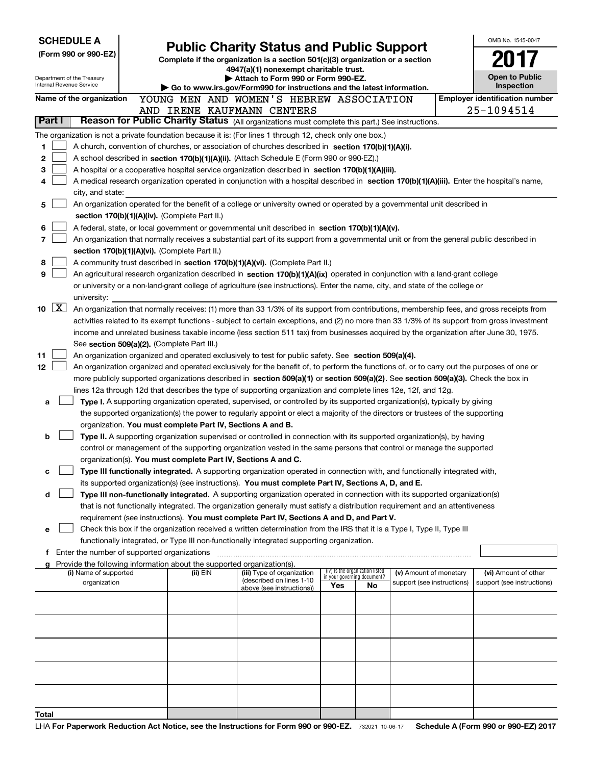| <b>SCHEDULE A</b> |                    |                                                        |                                                                        |                                                                                                                                                                                                                                                      |                             |                                 |                            |  | OMB No. 1545-0047                     |
|-------------------|--------------------|--------------------------------------------------------|------------------------------------------------------------------------|------------------------------------------------------------------------------------------------------------------------------------------------------------------------------------------------------------------------------------------------------|-----------------------------|---------------------------------|----------------------------|--|---------------------------------------|
|                   |                    | (Form 990 or 990-EZ)                                   |                                                                        | <b>Public Charity Status and Public Support</b><br>Complete if the organization is a section 501(c)(3) organization or a section                                                                                                                     |                             |                                 |                            |  |                                       |
|                   |                    |                                                        |                                                                        | 4947(a)(1) nonexempt charitable trust.                                                                                                                                                                                                               |                             |                                 |                            |  |                                       |
|                   |                    | Department of the Treasury<br>Internal Revenue Service |                                                                        | Attach to Form 990 or Form 990-EZ.                                                                                                                                                                                                                   |                             |                                 |                            |  | <b>Open to Public</b><br>Inspection   |
|                   |                    | Name of the organization                               |                                                                        | Go to www.irs.gov/Form990 for instructions and the latest information.                                                                                                                                                                               |                             |                                 |                            |  | <b>Employer identification number</b> |
|                   |                    |                                                        |                                                                        | YOUNG MEN AND WOMEN'S HEBREW ASSOCIATION<br>AND IRENE KAUFMANN CENTERS                                                                                                                                                                               |                             |                                 |                            |  |                                       |
| Part I            |                    |                                                        |                                                                        | Reason for Public Charity Status (All organizations must complete this part.) See instructions.                                                                                                                                                      |                             |                                 |                            |  | 25-1094514                            |
|                   |                    |                                                        |                                                                        | The organization is not a private foundation because it is: (For lines 1 through 12, check only one box.)                                                                                                                                            |                             |                                 |                            |  |                                       |
| 1                 |                    |                                                        |                                                                        | A church, convention of churches, or association of churches described in section 170(b)(1)(A)(i).                                                                                                                                                   |                             |                                 |                            |  |                                       |
| 2                 |                    |                                                        |                                                                        | A school described in section 170(b)(1)(A)(ii). (Attach Schedule E (Form 990 or 990-EZ).)                                                                                                                                                            |                             |                                 |                            |  |                                       |
| 3                 |                    |                                                        |                                                                        | A hospital or a cooperative hospital service organization described in section 170(b)(1)(A)(iii).                                                                                                                                                    |                             |                                 |                            |  |                                       |
| 4                 |                    |                                                        |                                                                        | A medical research organization operated in conjunction with a hospital described in section 170(b)(1)(A)(iii). Enter the hospital's name,                                                                                                           |                             |                                 |                            |  |                                       |
|                   |                    | city, and state:                                       |                                                                        |                                                                                                                                                                                                                                                      |                             |                                 |                            |  |                                       |
| 5                 |                    |                                                        |                                                                        | An organization operated for the benefit of a college or university owned or operated by a governmental unit described in                                                                                                                            |                             |                                 |                            |  |                                       |
|                   |                    |                                                        | section 170(b)(1)(A)(iv). (Complete Part II.)                          |                                                                                                                                                                                                                                                      |                             |                                 |                            |  |                                       |
| 6                 |                    |                                                        |                                                                        | A federal, state, or local government or governmental unit described in section 170(b)(1)(A)(v).                                                                                                                                                     |                             |                                 |                            |  |                                       |
| 7                 |                    |                                                        | section 170(b)(1)(A)(vi). (Complete Part II.)                          | An organization that normally receives a substantial part of its support from a governmental unit or from the general public described in                                                                                                            |                             |                                 |                            |  |                                       |
| 8                 |                    |                                                        |                                                                        | A community trust described in section 170(b)(1)(A)(vi). (Complete Part II.)                                                                                                                                                                         |                             |                                 |                            |  |                                       |
| 9                 |                    |                                                        |                                                                        | An agricultural research organization described in section 170(b)(1)(A)(ix) operated in conjunction with a land-grant college                                                                                                                        |                             |                                 |                            |  |                                       |
|                   |                    |                                                        |                                                                        | or university or a non-land-grant college of agriculture (see instructions). Enter the name, city, and state of the college or                                                                                                                       |                             |                                 |                            |  |                                       |
|                   |                    | university:                                            |                                                                        |                                                                                                                                                                                                                                                      |                             |                                 |                            |  |                                       |
| 10                | $\boxed{\text{X}}$ |                                                        |                                                                        | An organization that normally receives: (1) more than 33 1/3% of its support from contributions, membership fees, and gross receipts from                                                                                                            |                             |                                 |                            |  |                                       |
|                   |                    |                                                        |                                                                        | activities related to its exempt functions - subject to certain exceptions, and (2) no more than 33 1/3% of its support from gross investment                                                                                                        |                             |                                 |                            |  |                                       |
|                   |                    |                                                        |                                                                        | income and unrelated business taxable income (less section 511 tax) from businesses acquired by the organization after June 30, 1975.                                                                                                                |                             |                                 |                            |  |                                       |
|                   |                    |                                                        | See section 509(a)(2). (Complete Part III.)                            |                                                                                                                                                                                                                                                      |                             |                                 |                            |  |                                       |
| 11                |                    |                                                        |                                                                        | An organization organized and operated exclusively to test for public safety. See section 509(a)(4).                                                                                                                                                 |                             |                                 |                            |  |                                       |
| 12                |                    |                                                        |                                                                        | An organization organized and operated exclusively for the benefit of, to perform the functions of, or to carry out the purposes of one or                                                                                                           |                             |                                 |                            |  |                                       |
|                   |                    |                                                        |                                                                        | more publicly supported organizations described in section 509(a)(1) or section 509(a)(2). See section 509(a)(3). Check the box in<br>lines 12a through 12d that describes the type of supporting organization and complete lines 12e, 12f, and 12g. |                             |                                 |                            |  |                                       |
| a                 |                    |                                                        |                                                                        | Type I. A supporting organization operated, supervised, or controlled by its supported organization(s), typically by giving                                                                                                                          |                             |                                 |                            |  |                                       |
|                   |                    |                                                        |                                                                        | the supported organization(s) the power to regularly appoint or elect a majority of the directors or trustees of the supporting                                                                                                                      |                             |                                 |                            |  |                                       |
|                   |                    |                                                        | organization. You must complete Part IV, Sections A and B.             |                                                                                                                                                                                                                                                      |                             |                                 |                            |  |                                       |
| b                 |                    |                                                        |                                                                        | Type II. A supporting organization supervised or controlled in connection with its supported organization(s), by having                                                                                                                              |                             |                                 |                            |  |                                       |
|                   |                    |                                                        |                                                                        | control or management of the supporting organization vested in the same persons that control or manage the supported                                                                                                                                 |                             |                                 |                            |  |                                       |
|                   |                    |                                                        | organization(s). You must complete Part IV, Sections A and C.          |                                                                                                                                                                                                                                                      |                             |                                 |                            |  |                                       |
| с                 |                    |                                                        |                                                                        | Type III functionally integrated. A supporting organization operated in connection with, and functionally integrated with,                                                                                                                           |                             |                                 |                            |  |                                       |
|                   |                    |                                                        |                                                                        | its supported organization(s) (see instructions). You must complete Part IV, Sections A, D, and E.                                                                                                                                                   |                             |                                 |                            |  |                                       |
| d                 |                    |                                                        |                                                                        | Type III non-functionally integrated. A supporting organization operated in connection with its supported organization(s)                                                                                                                            |                             |                                 |                            |  |                                       |
|                   |                    |                                                        |                                                                        | that is not functionally integrated. The organization generally must satisfy a distribution requirement and an attentiveness<br>requirement (see instructions). You must complete Part IV, Sections A and D, and Part V.                             |                             |                                 |                            |  |                                       |
| е                 |                    |                                                        |                                                                        | Check this box if the organization received a written determination from the IRS that it is a Type I, Type II, Type III                                                                                                                              |                             |                                 |                            |  |                                       |
|                   |                    |                                                        |                                                                        | functionally integrated, or Type III non-functionally integrated supporting organization.                                                                                                                                                            |                             |                                 |                            |  |                                       |
|                   |                    | Enter the number of supported organizations            |                                                                        |                                                                                                                                                                                                                                                      |                             |                                 |                            |  |                                       |
|                   |                    |                                                        | Provide the following information about the supported organization(s). |                                                                                                                                                                                                                                                      |                             |                                 |                            |  |                                       |
|                   |                    | (i) Name of supported                                  | (ii) EIN                                                               | (iii) Type of organization<br>(described on lines 1-10                                                                                                                                                                                               | in your governing document? | (iv) Is the organization listed | (v) Amount of monetary     |  | (vi) Amount of other                  |
|                   |                    | organization                                           |                                                                        | above (see instructions))                                                                                                                                                                                                                            | Yes                         | No                              | support (see instructions) |  | support (see instructions)            |
|                   |                    |                                                        |                                                                        |                                                                                                                                                                                                                                                      |                             |                                 |                            |  |                                       |
|                   |                    |                                                        |                                                                        |                                                                                                                                                                                                                                                      |                             |                                 |                            |  |                                       |
|                   |                    |                                                        |                                                                        |                                                                                                                                                                                                                                                      |                             |                                 |                            |  |                                       |
|                   |                    |                                                        |                                                                        |                                                                                                                                                                                                                                                      |                             |                                 |                            |  |                                       |
|                   |                    |                                                        |                                                                        |                                                                                                                                                                                                                                                      |                             |                                 |                            |  |                                       |
|                   |                    |                                                        |                                                                        |                                                                                                                                                                                                                                                      |                             |                                 |                            |  |                                       |
|                   |                    |                                                        |                                                                        |                                                                                                                                                                                                                                                      |                             |                                 |                            |  |                                       |
|                   |                    |                                                        |                                                                        |                                                                                                                                                                                                                                                      |                             |                                 |                            |  |                                       |
| Total             |                    |                                                        |                                                                        |                                                                                                                                                                                                                                                      |                             |                                 |                            |  |                                       |
|                   |                    |                                                        |                                                                        |                                                                                                                                                                                                                                                      |                             |                                 |                            |  |                                       |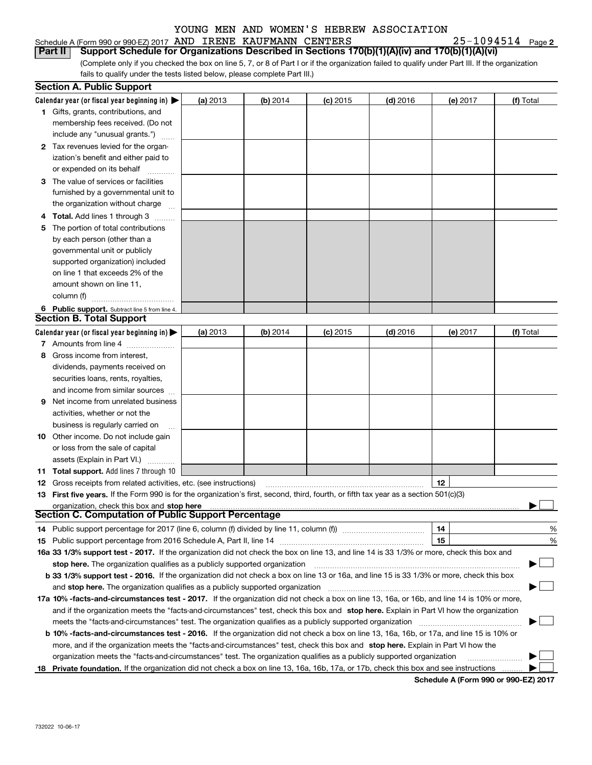| Schedule A (Form 990 or 990-EZ) 2017 AND IRENE KAUFMANN CENTERS |  |  | $25 - 1094514$ Page 2                                                                                             |  |
|-----------------------------------------------------------------|--|--|-------------------------------------------------------------------------------------------------------------------|--|
|                                                                 |  |  | <b>Part II</b> Support Schedule for Organizations Described in Sections $170(b)(1)(A)(iv)$ and $170(b)(1)(A)(vi)$ |  |

(Complete only if you checked the box on line 5, 7, or 8 of Part I or if the organization failed to qualify under Part III. If the organization fails to qualify under the tests listed below, please complete Part III.)

|     | <b>Section A. Public Support</b>                                                                                                                                                                                               |          |          |            |            |                 |           |  |  |  |  |
|-----|--------------------------------------------------------------------------------------------------------------------------------------------------------------------------------------------------------------------------------|----------|----------|------------|------------|-----------------|-----------|--|--|--|--|
|     | Calendar year (or fiscal year beginning in) $\blacktriangleright$                                                                                                                                                              | (a) 2013 | (b) 2014 | $(c)$ 2015 | $(d)$ 2016 | (e) 2017        | (f) Total |  |  |  |  |
|     | 1 Gifts, grants, contributions, and                                                                                                                                                                                            |          |          |            |            |                 |           |  |  |  |  |
|     | membership fees received. (Do not                                                                                                                                                                                              |          |          |            |            |                 |           |  |  |  |  |
|     | include any "unusual grants.")                                                                                                                                                                                                 |          |          |            |            |                 |           |  |  |  |  |
|     | 2 Tax revenues levied for the organ-                                                                                                                                                                                           |          |          |            |            |                 |           |  |  |  |  |
|     | ization's benefit and either paid to                                                                                                                                                                                           |          |          |            |            |                 |           |  |  |  |  |
|     | or expended on its behalf                                                                                                                                                                                                      |          |          |            |            |                 |           |  |  |  |  |
| з   | The value of services or facilities                                                                                                                                                                                            |          |          |            |            |                 |           |  |  |  |  |
|     | furnished by a governmental unit to                                                                                                                                                                                            |          |          |            |            |                 |           |  |  |  |  |
|     | the organization without charge                                                                                                                                                                                                |          |          |            |            |                 |           |  |  |  |  |
|     | Total. Add lines 1 through 3                                                                                                                                                                                                   |          |          |            |            |                 |           |  |  |  |  |
| 5   | The portion of total contributions                                                                                                                                                                                             |          |          |            |            |                 |           |  |  |  |  |
|     | by each person (other than a                                                                                                                                                                                                   |          |          |            |            |                 |           |  |  |  |  |
|     | governmental unit or publicly                                                                                                                                                                                                  |          |          |            |            |                 |           |  |  |  |  |
|     | supported organization) included                                                                                                                                                                                               |          |          |            |            |                 |           |  |  |  |  |
|     | on line 1 that exceeds 2% of the                                                                                                                                                                                               |          |          |            |            |                 |           |  |  |  |  |
|     | amount shown on line 11,                                                                                                                                                                                                       |          |          |            |            |                 |           |  |  |  |  |
|     | column (f)                                                                                                                                                                                                                     |          |          |            |            |                 |           |  |  |  |  |
|     | 6 Public support. Subtract line 5 from line 4.<br><b>Section B. Total Support</b>                                                                                                                                              |          |          |            |            |                 |           |  |  |  |  |
|     |                                                                                                                                                                                                                                |          |          |            |            |                 |           |  |  |  |  |
|     | Calendar year (or fiscal year beginning in)                                                                                                                                                                                    | (a) 2013 | (b) 2014 | $(c)$ 2015 | $(d)$ 2016 | (e) 2017        | (f) Total |  |  |  |  |
|     | 7 Amounts from line 4                                                                                                                                                                                                          |          |          |            |            |                 |           |  |  |  |  |
| 8   | Gross income from interest,                                                                                                                                                                                                    |          |          |            |            |                 |           |  |  |  |  |
|     | dividends, payments received on                                                                                                                                                                                                |          |          |            |            |                 |           |  |  |  |  |
|     | securities loans, rents, royalties,                                                                                                                                                                                            |          |          |            |            |                 |           |  |  |  |  |
|     | and income from similar sources                                                                                                                                                                                                |          |          |            |            |                 |           |  |  |  |  |
| 9   | Net income from unrelated business                                                                                                                                                                                             |          |          |            |            |                 |           |  |  |  |  |
|     | activities, whether or not the                                                                                                                                                                                                 |          |          |            |            |                 |           |  |  |  |  |
|     | business is regularly carried on                                                                                                                                                                                               |          |          |            |            |                 |           |  |  |  |  |
| 10  | Other income. Do not include gain                                                                                                                                                                                              |          |          |            |            |                 |           |  |  |  |  |
|     | or loss from the sale of capital                                                                                                                                                                                               |          |          |            |            |                 |           |  |  |  |  |
|     | assets (Explain in Part VI.)                                                                                                                                                                                                   |          |          |            |            |                 |           |  |  |  |  |
|     | 11 Total support. Add lines 7 through 10                                                                                                                                                                                       |          |          |            |            | 12 <sup>2</sup> |           |  |  |  |  |
|     | <b>12</b> Gross receipts from related activities, etc. (see instructions)<br>First five years. If the Form 990 is for the organization's first, second, third, fourth, or fifth tax year as a section 501(c)(3)                |          |          |            |            |                 |           |  |  |  |  |
| 13  | organization, check this box and stop here manufactured and state and state and state and state and state and stop here and state and state and state and state and state and state and state and state and state and state an |          |          |            |            |                 |           |  |  |  |  |
|     | Section C. Computation of Public Support Percentage                                                                                                                                                                            |          |          |            |            |                 |           |  |  |  |  |
| 14. |                                                                                                                                                                                                                                |          |          |            |            | 14              | %         |  |  |  |  |
| 15  | Public support percentage from 2016 Schedule A, Part II, line 14 [2010] contains a manuscription of Public support percentage from 2016 Schedule A, Part II, line 14                                                           |          |          |            |            | 15              | %         |  |  |  |  |
|     | 16a 33 1/3% support test - 2017. If the organization did not check the box on line 13, and line 14 is 33 1/3% or more, check this box and                                                                                      |          |          |            |            |                 |           |  |  |  |  |
|     | stop here. The organization qualifies as a publicly supported organization matching manufacture and content and the state and the state and the state and the state and the state and state and state and state and state and  |          |          |            |            |                 |           |  |  |  |  |
|     | b 33 1/3% support test - 2016. If the organization did not check a box on line 13 or 16a, and line 15 is 33 1/3% or more, check this box                                                                                       |          |          |            |            |                 |           |  |  |  |  |
|     | and stop here. The organization qualifies as a publicly supported organization                                                                                                                                                 |          |          |            |            |                 |           |  |  |  |  |
|     | 17a 10% -facts-and-circumstances test - 2017. If the organization did not check a box on line 13, 16a, or 16b, and line 14 is 10% or more,                                                                                     |          |          |            |            |                 |           |  |  |  |  |
|     | and if the organization meets the "facts-and-circumstances" test, check this box and stop here. Explain in Part VI how the organization                                                                                        |          |          |            |            |                 |           |  |  |  |  |
|     | meets the "facts-and-circumstances" test. The organization qualifies as a publicly supported organization <i>managrammanamention</i>                                                                                           |          |          |            |            |                 |           |  |  |  |  |
|     | <b>b 10% -facts-and-circumstances test - 2016.</b> If the organization did not check a box on line 13, 16a, 16b, or 17a, and line 15 is 10% or                                                                                 |          |          |            |            |                 |           |  |  |  |  |
|     | more, and if the organization meets the "facts-and-circumstances" test, check this box and stop here. Explain in Part VI how the                                                                                               |          |          |            |            |                 |           |  |  |  |  |
|     | organization meets the "facts-and-circumstances" test. The organization qualifies as a publicly supported organization                                                                                                         |          |          |            |            |                 |           |  |  |  |  |
| 18. | Private foundation. If the organization did not check a box on line 13, 16a, 16b, 17a, or 17b, check this box and see instructions                                                                                             |          |          |            |            |                 |           |  |  |  |  |

**Schedule A (Form 990 or 990-EZ) 2017**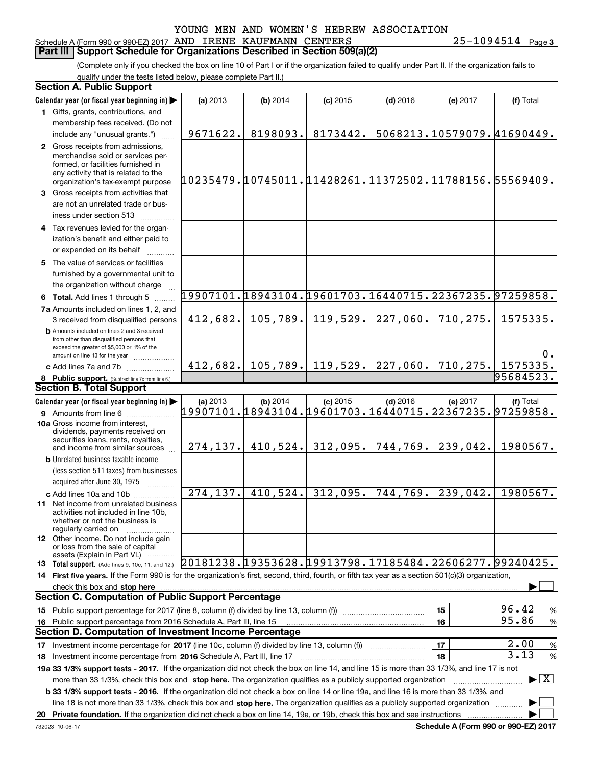#### Schedule A (Form 990 or 990-EZ) 2017 Page AND IRENE KAUFMANN CENTERS 25-1094514 **Part III Support Schedule for Organizations Described in Section 509(a)(2)**

**3**

(Complete only if you checked the box on line 10 of Part I or if the organization failed to qualify under Part II. If the organization fails to qualify under the tests listed below, please complete Part II.)

| <b>Section A. Public Support</b>                                                                                                                    |                                                          |                       |            |            |           |                                          |
|-----------------------------------------------------------------------------------------------------------------------------------------------------|----------------------------------------------------------|-----------------------|------------|------------|-----------|------------------------------------------|
| Calendar year (or fiscal year beginning in)                                                                                                         | (a) 2013                                                 | (b) 2014              | $(c)$ 2015 | $(d)$ 2016 | (e) 2017  | (f) Total                                |
| 1 Gifts, grants, contributions, and                                                                                                                 |                                                          |                       |            |            |           |                                          |
| membership fees received. (Do not                                                                                                                   |                                                          |                       |            |            |           |                                          |
| include any "unusual grants.")                                                                                                                      | 9671622.                                                 | 8198093.              | 8173442.   |            |           | 5068213.10579079.41690449.               |
| 2 Gross receipts from admissions,                                                                                                                   |                                                          |                       |            |            |           |                                          |
| merchandise sold or services per-                                                                                                                   |                                                          |                       |            |            |           |                                          |
| formed, or facilities furnished in<br>any activity that is related to the                                                                           |                                                          |                       |            |            |           |                                          |
| organization's tax-exempt purpose                                                                                                                   | 10235479.10745011.11428261.11372502.11788156.55569409.   |                       |            |            |           |                                          |
| 3 Gross receipts from activities that                                                                                                               |                                                          |                       |            |            |           |                                          |
| are not an unrelated trade or bus-                                                                                                                  |                                                          |                       |            |            |           |                                          |
| iness under section 513                                                                                                                             |                                                          |                       |            |            |           |                                          |
| 4 Tax revenues levied for the organ-                                                                                                                |                                                          |                       |            |            |           |                                          |
| ization's benefit and either paid to                                                                                                                |                                                          |                       |            |            |           |                                          |
| or expended on its behalf                                                                                                                           |                                                          |                       |            |            |           |                                          |
| 5 The value of services or facilities                                                                                                               |                                                          |                       |            |            |           |                                          |
| furnished by a governmental unit to                                                                                                                 |                                                          |                       |            |            |           |                                          |
| the organization without charge                                                                                                                     |                                                          |                       |            |            |           |                                          |
| 6 Total. Add lines 1 through 5                                                                                                                      | 19907101.18943104.19601703.16440715.22367235.97259858.   |                       |            |            |           |                                          |
| 7a Amounts included on lines 1, 2, and                                                                                                              |                                                          |                       |            |            |           |                                          |
| 3 received from disqualified persons                                                                                                                | 412,682.                                                 | 105,789.              | 119,529.   | 227,060.   | 710,275.  | 1575335.                                 |
| <b>b</b> Amounts included on lines 2 and 3 received                                                                                                 |                                                          |                       |            |            |           |                                          |
| from other than disqualified persons that                                                                                                           |                                                          |                       |            |            |           |                                          |
| exceed the greater of \$5,000 or 1% of the<br>amount on line 13 for the year                                                                        |                                                          |                       |            |            |           | 0.                                       |
| c Add lines 7a and 7b                                                                                                                               | $\overline{412,682}$ .                                   | 105,789.              | 119,529.   | 227,060.   | 710, 275. | 1575335.                                 |
| 8 Public support. (Subtract line 7c from line 6.)                                                                                                   |                                                          |                       |            |            |           | 95684523.                                |
| <b>Section B. Total Support</b>                                                                                                                     |                                                          |                       |            |            |           |                                          |
| Calendar year (or fiscal year beginning in)                                                                                                         | (a) 2013                                                 | (b) 2014              | $(c)$ 2015 | $(d)$ 2016 | (e) 2017  | (f) Total                                |
| <b>9</b> Amounts from line 6                                                                                                                        | 19907101.18943104.19601703.16440715.22367235.97259858.   |                       |            |            |           |                                          |
| 10a Gross income from interest,                                                                                                                     |                                                          |                       |            |            |           |                                          |
| dividends, payments received on                                                                                                                     |                                                          |                       |            |            |           |                                          |
| securities loans, rents, royalties,<br>and income from similar sources                                                                              |                                                          | $274, 137.$ 410, 524. | 312,095.   | 744,769.   | 239,042.  | 1980567.                                 |
| <b>b</b> Unrelated business taxable income                                                                                                          |                                                          |                       |            |            |           |                                          |
| (less section 511 taxes) from businesses                                                                                                            |                                                          |                       |            |            |           |                                          |
| acquired after June 30, 1975                                                                                                                        |                                                          |                       |            |            |           |                                          |
| c Add lines 10a and 10b                                                                                                                             | $\overline{274,137}.$                                    | 410,524.              | 312,095.   | 744, 769.  | 239,042.  | 1980567.                                 |
| 11 Net income from unrelated business                                                                                                               |                                                          |                       |            |            |           |                                          |
| activities not included in line 10b.                                                                                                                |                                                          |                       |            |            |           |                                          |
| whether or not the business is<br>regularly carried on                                                                                              |                                                          |                       |            |            |           |                                          |
| <b>12</b> Other income. Do not include gain                                                                                                         |                                                          |                       |            |            |           |                                          |
| or loss from the sale of capital                                                                                                                    |                                                          |                       |            |            |           |                                          |
| assets (Explain in Part VI.)<br><b>13 Total support.</b> (Add lines 9, 10c, 11, and 12.)                                                            | $20181238.19353628.19913798.17185484.22606277.99240425.$ |                       |            |            |           |                                          |
| 14 First five years. If the Form 990 is for the organization's first, second, third, fourth, or fifth tax year as a section 501(c)(3) organization, |                                                          |                       |            |            |           |                                          |
|                                                                                                                                                     |                                                          |                       |            |            |           |                                          |
| <b>Section C. Computation of Public Support Percentage</b>                                                                                          |                                                          |                       |            |            |           |                                          |
| 15 Public support percentage for 2017 (line 8, column (f) divided by line 13, column (f))                                                           |                                                          |                       |            |            | 15        | 96.42<br>%                               |
| 16 Public support percentage from 2016 Schedule A, Part III, line 15                                                                                |                                                          |                       |            |            | 16        | 95.86<br>$\%$                            |
| <b>Section D. Computation of Investment Income Percentage</b>                                                                                       |                                                          |                       |            |            |           |                                          |
| 17 Investment income percentage for 2017 (line 10c, column (f) divided by line 13, column (f))                                                      |                                                          |                       |            |            | 17        | 2.00<br>$\%$                             |
| 18 Investment income percentage from 2016 Schedule A, Part III, line 17                                                                             |                                                          |                       |            |            | 18        | 3.13<br>$\%$                             |
| 19a 33 1/3% support tests - 2017. If the organization did not check the box on line 14, and line 15 is more than 33 1/3%, and line 17 is not        |                                                          |                       |            |            |           |                                          |
| more than 33 1/3%, check this box and stop here. The organization qualifies as a publicly supported organization                                    |                                                          |                       |            |            |           | $\blacktriangleright$ $\boxed{\text{X}}$ |
| <b>b 33 1/3% support tests - 2016.</b> If the organization did not check a box on line 14 or line 19a, and line 16 is more than 33 1/3%, and        |                                                          |                       |            |            |           |                                          |
| line 18 is not more than 33 1/3%, check this box and stop here. The organization qualifies as a publicly supported organization                     |                                                          |                       |            |            |           |                                          |
|                                                                                                                                                     |                                                          |                       |            |            |           |                                          |
|                                                                                                                                                     |                                                          |                       |            |            |           |                                          |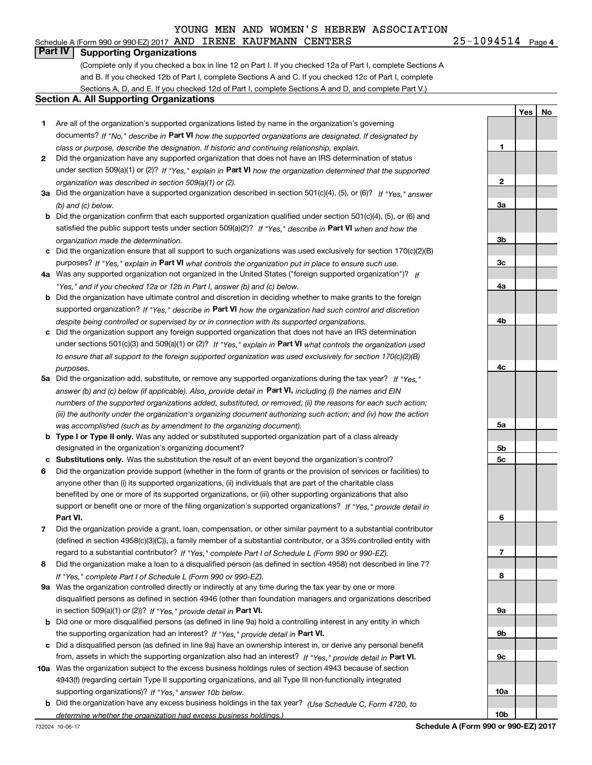#### Schedule A (Form 990 or 990-EZ) 2017 Page AND IRENE KAUFMANN CENTERS 25-1094514

25-1094514 Page 4

**1**

**2**

**3a**

**3b**

**3c**

**4a**

**4b**

**4c**

**5a**

**5b5c**

**6**

**7**

**8**

**9a**

**9b**

**9c**

**10a**

**10b**

**Yes**

**No**

#### **Part IV Supporting Organizations**

(Complete only if you checked a box in line 12 on Part I. If you checked 12a of Part I, complete Sections A and B. If you checked 12b of Part I, complete Sections A and C. If you checked 12c of Part I, complete Sections A, D, and E. If you checked 12d of Part I, complete Sections A and D, and complete Part V.)

#### **Section A. All Supporting Organizations**

- **1** Are all of the organization's supported organizations listed by name in the organization's governing documents? If "No," describe in **Part VI** how the supported organizations are designated. If designated by *class or purpose, describe the designation. If historic and continuing relationship, explain.*
- **2** Did the organization have any supported organization that does not have an IRS determination of status under section 509(a)(1) or (2)? If "Yes," explain in Part VI how the organization determined that the supported *organization was described in section 509(a)(1) or (2).*
- **3a** Did the organization have a supported organization described in section 501(c)(4), (5), or (6)? If "Yes," answer *(b) and (c) below.*
- **b** Did the organization confirm that each supported organization qualified under section 501(c)(4), (5), or (6) and satisfied the public support tests under section 509(a)(2)? If "Yes," describe in **Part VI** when and how the *organization made the determination.*
- **c**Did the organization ensure that all support to such organizations was used exclusively for section 170(c)(2)(B) purposes? If "Yes," explain in **Part VI** what controls the organization put in place to ensure such use.
- **4a***If* Was any supported organization not organized in the United States ("foreign supported organization")? *"Yes," and if you checked 12a or 12b in Part I, answer (b) and (c) below.*
- **b** Did the organization have ultimate control and discretion in deciding whether to make grants to the foreign supported organization? If "Yes," describe in **Part VI** how the organization had such control and discretion *despite being controlled or supervised by or in connection with its supported organizations.*
- **c** Did the organization support any foreign supported organization that does not have an IRS determination under sections 501(c)(3) and 509(a)(1) or (2)? If "Yes," explain in **Part VI** what controls the organization used *to ensure that all support to the foreign supported organization was used exclusively for section 170(c)(2)(B) purposes.*
- **5a***If "Yes,"* Did the organization add, substitute, or remove any supported organizations during the tax year? answer (b) and (c) below (if applicable). Also, provide detail in **Part VI,** including (i) the names and EIN *numbers of the supported organizations added, substituted, or removed; (ii) the reasons for each such action; (iii) the authority under the organization's organizing document authorizing such action; and (iv) how the action was accomplished (such as by amendment to the organizing document).*
- **b** Type I or Type II only. Was any added or substituted supported organization part of a class already designated in the organization's organizing document?
- **cSubstitutions only.**  Was the substitution the result of an event beyond the organization's control?
- **6** Did the organization provide support (whether in the form of grants or the provision of services or facilities) to **Part VI.** *If "Yes," provide detail in* support or benefit one or more of the filing organization's supported organizations? anyone other than (i) its supported organizations, (ii) individuals that are part of the charitable class benefited by one or more of its supported organizations, or (iii) other supporting organizations that also
- **7**Did the organization provide a grant, loan, compensation, or other similar payment to a substantial contributor *If "Yes," complete Part I of Schedule L (Form 990 or 990-EZ).* regard to a substantial contributor? (defined in section 4958(c)(3)(C)), a family member of a substantial contributor, or a 35% controlled entity with
- **8** Did the organization make a loan to a disqualified person (as defined in section 4958) not described in line 7? *If "Yes," complete Part I of Schedule L (Form 990 or 990-EZ).*
- **9a** Was the organization controlled directly or indirectly at any time during the tax year by one or more in section 509(a)(1) or (2))? If "Yes," *provide detail in* <code>Part VI.</code> disqualified persons as defined in section 4946 (other than foundation managers and organizations described
- **b** Did one or more disqualified persons (as defined in line 9a) hold a controlling interest in any entity in which the supporting organization had an interest? If "Yes," provide detail in P**art VI**.
- **c**Did a disqualified person (as defined in line 9a) have an ownership interest in, or derive any personal benefit from, assets in which the supporting organization also had an interest? If "Yes," provide detail in P**art VI.**
- **10a** Was the organization subject to the excess business holdings rules of section 4943 because of section supporting organizations)? If "Yes," answer 10b below. 4943(f) (regarding certain Type II supporting organizations, and all Type III non-functionally integrated
- **b** Did the organization have any excess business holdings in the tax year? (Use Schedule C, Form 4720, to *determine whether the organization had excess business holdings.)*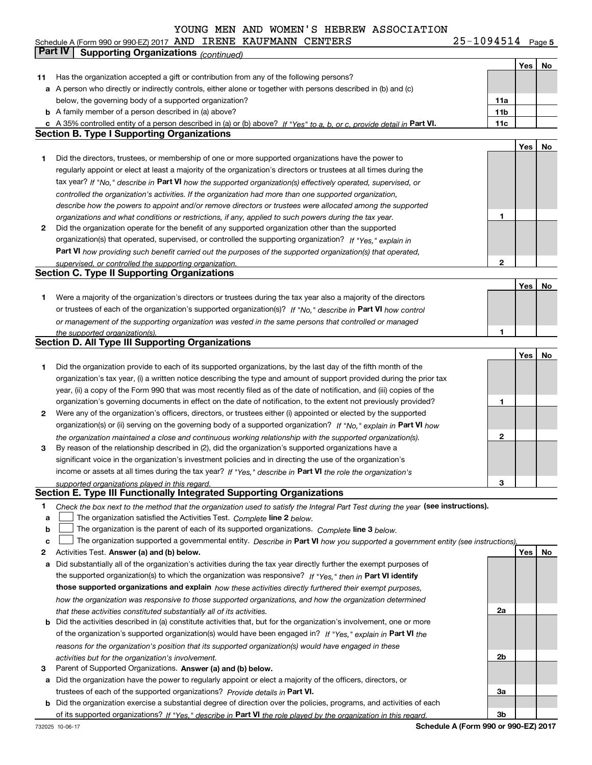**Yes No 11** Has the organization accepted a gift or contribution from any of the following persons? **a** A person who directly or indirectly controls, either alone or together with persons described in (b) and (c) **b** A family member of a person described in (a) above? **c** A 35% controlled entity of a person described in (a) or (b) above? If "Yes" to a, b, or c, provide detail in Part VI. **11c 11a11bYes No 1** Did the directors, trustees, or membership of one or more supported organizations have the power to **2** Did the organization operate for the benefit of any supported organization other than the supported tax year? If "No," describe in Part VI how the supported organization(s) effectively operated, supervised, or **12Part VI**  *how providing such benefit carried out the purposes of the supported organization(s) that operated,* **Yes No 1** Were a majority of the organization's directors or trustees during the tax year also a majority of the directors or trustees of each of the organization's supported organization(s)? If "No," describe in **Part VI** how control **1Yes No 12** Were any of the organization's officers, directors, or trustees either (i) appointed or elected by the supported **3123**organization(s) or (ii) serving on the governing body of a supported organization? If "No," explain in **Part VI** how income or assets at all times during the tax year? If "Yes," describe in **Part VI** the role the organization's **12Answer (a) and (b) below. Yes No** Activities Test. Check the box next to the method that the organization used to satisfy the Integral Part Test during the year (see instructions). **abclinupy** The organization satisfied the Activities Test. Complete line 2 below. The organization is the parent of each of its supported organizations. *Complete* line 3 *below.* The organization supported a governmental entity. *Describe in* Part **VI** how you supported a government entity (see instructions), **a** Did substantially all of the organization's activities during the tax year directly further the exempt purposes of the supported organization(s) to which the organization was responsive? If "Yes," then in **Part VI identify** *controlled the organization's activities. If the organization had more than one supported organization, describe how the powers to appoint and/or remove directors or trustees were allocated among the supported organizations and what conditions or restrictions, if any, applied to such powers during the tax year. If "Yes," explain in* organization(s) that operated, supervised, or controlled the supporting organization? *supervised, or controlled the supporting organization. or management of the supporting organization was vested in the same persons that controlled or managed the supported organization(s). the organization maintained a close and continuous working relationship with the supported organization(s). supported organizations played in this regard.* Schedule A (Form 990 or 990-EZ) 2017 Page AND IRENE KAUFMANN CENTERS 25-1094514 below, the governing body of a supported organization? regularly appoint or elect at least a majority of the organization's directors or trustees at all times during the Did the organization provide to each of its supported organizations, by the last day of the fifth month of the organization's tax year, (i) a written notice describing the type and amount of support provided during the prior tax year, (ii) a copy of the Form 990 that was most recently filed as of the date of notification, and (iii) copies of the organization's governing documents in effect on the date of notification, to the extent not previously provided? By reason of the relationship described in (2), did the organization's supported organizations have a significant voice in the organization's investment policies and in directing the use of the organization's **Part IV Supporting Organizations** *(continued)* **Section B. Type I Supporting Organizations Section C. Type II Supporting Organizations Section D. All Type III Supporting Organizations Section E. Type III Functionally Integrated Supporting Organizations**  $\mathcal{L}^{\text{max}}$  $\mathcal{L}^{\text{max}}$ 

**b** Did the activities described in (a) constitute activities that, but for the organization's involvement, one or more **those supported organizations and explain**  *how these activities directly furthered their exempt purposes,* of the organization's supported organization(s) would have been engaged in? If "Yes," explain in **Part VI** the *how the organization was responsive to those supported organizations, and how the organization determined that these activities constituted substantially all of its activities.*

### *reasons for the organization's position that its supported organization(s) would have engaged in these activities but for the organization's involvement.*

- **3** Parent of Supported Organizations. Answer (a) and (b) below.
- **a** Did the organization have the power to regularly appoint or elect a majority of the officers, directors, or trustees of each of the supported organizations? *Provide details in* Part VI.

**b** Did the organization exercise a substantial degree of direction over the policies, programs, and activities of each of its supported organizations? If "Yes," describe in Part VI the role played by the organization in this regard.

**Schedule A (Form 990 or 990-EZ) 2017**

**2a**

**2b**

**3a**

**3b**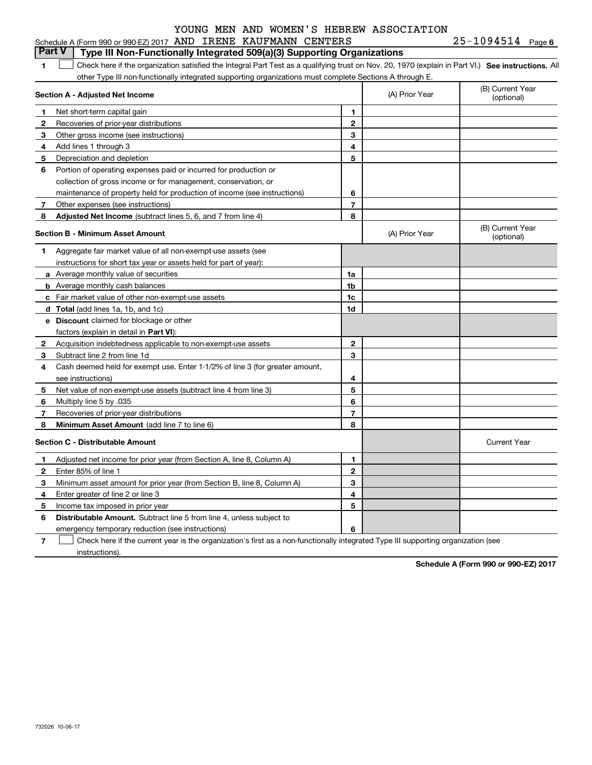|              | Schedule A (Form 990 or 990-EZ) 2017 AND IRENE KAUFMANN CENTERS                                                                                   |                         |                | 25-1094514 Page 6              |
|--------------|---------------------------------------------------------------------------------------------------------------------------------------------------|-------------------------|----------------|--------------------------------|
|              | <b>Part V</b><br>Type III Non-Functionally Integrated 509(a)(3) Supporting Organizations                                                          |                         |                |                                |
| 1            | Check here if the organization satisfied the Integral Part Test as a qualifying trust on Nov. 20, 1970 (explain in Part VI.) See instructions. Al |                         |                |                                |
|              | other Type III non-functionally integrated supporting organizations must complete Sections A through E.                                           |                         |                |                                |
|              | Section A - Adjusted Net Income                                                                                                                   |                         | (A) Prior Year | (B) Current Year<br>(optional) |
| 1            | Net short-term capital gain                                                                                                                       | 1                       |                |                                |
| 2            | Recoveries of prior-year distributions                                                                                                            | $\mathbf{2}$            |                |                                |
| 3            | Other gross income (see instructions)                                                                                                             | 3                       |                |                                |
| 4            | Add lines 1 through 3                                                                                                                             | 4                       |                |                                |
| 5            | Depreciation and depletion                                                                                                                        | 5                       |                |                                |
| 6            | Portion of operating expenses paid or incurred for production or                                                                                  |                         |                |                                |
|              | collection of gross income or for management, conservation, or                                                                                    |                         |                |                                |
|              | maintenance of property held for production of income (see instructions)                                                                          | 6                       |                |                                |
| 7            | Other expenses (see instructions)                                                                                                                 | $\overline{7}$          |                |                                |
| 8            | Adjusted Net Income (subtract lines 5, 6, and 7 from line 4)                                                                                      | 8                       |                |                                |
|              | <b>Section B - Minimum Asset Amount</b>                                                                                                           |                         | (A) Prior Year | (B) Current Year<br>(optional) |
| 1            | Aggregate fair market value of all non-exempt-use assets (see                                                                                     |                         |                |                                |
|              | instructions for short tax year or assets held for part of year):                                                                                 |                         |                |                                |
|              | a Average monthly value of securities                                                                                                             | 1a                      |                |                                |
|              | <b>b</b> Average monthly cash balances                                                                                                            | 1b                      |                |                                |
|              | c Fair market value of other non-exempt-use assets                                                                                                | 1c                      |                |                                |
|              | d Total (add lines 1a, 1b, and 1c)                                                                                                                | 1d                      |                |                                |
|              | e Discount claimed for blockage or other                                                                                                          |                         |                |                                |
|              | factors (explain in detail in Part VI):                                                                                                           |                         |                |                                |
| $\mathbf{2}$ | Acquisition indebtedness applicable to non-exempt-use assets                                                                                      | 2                       |                |                                |
| 3            | Subtract line 2 from line 1d                                                                                                                      | 3                       |                |                                |
| 4            | Cash deemed held for exempt use. Enter 1-1/2% of line 3 (for greater amount,                                                                      |                         |                |                                |
|              | see instructions)                                                                                                                                 | 4                       |                |                                |
| 5            | Net value of non-exempt-use assets (subtract line 4 from line 3)                                                                                  | 5                       |                |                                |
| 6            | Multiply line 5 by .035                                                                                                                           | 6                       |                |                                |
| 7            | Recoveries of prior-year distributions                                                                                                            | $\overline{\mathbf{r}}$ |                |                                |
| 8            | Minimum Asset Amount (add line 7 to line 6)                                                                                                       | 8                       |                |                                |
|              | <b>Section C - Distributable Amount</b>                                                                                                           |                         |                | <b>Current Year</b>            |
| 1            | Adjusted net income for prior year (from Section A, line 8, Column A)                                                                             | $\mathbf{1}$            |                |                                |
| $\mathbf{2}$ | Enter 85% of line 1                                                                                                                               | $\mathbf{2}$            |                |                                |
| 3            | Minimum asset amount for prior year (from Section B, line 8, Column A)                                                                            | 3                       |                |                                |
| 4            | Enter greater of line 2 or line 3                                                                                                                 | 4                       |                |                                |
| 5            | Income tax imposed in prior year                                                                                                                  | 5                       |                |                                |
| 6            | <b>Distributable Amount.</b> Subtract line 5 from line 4, unless subject to                                                                       |                         |                |                                |
|              | emergency temporary reduction (see instructions)                                                                                                  | 6                       |                |                                |

**7**Check here if the current year is the organization's first as a non-functionally integrated Type III supporting organization (see instructions).

**Schedule A (Form 990 or 990-EZ) 2017**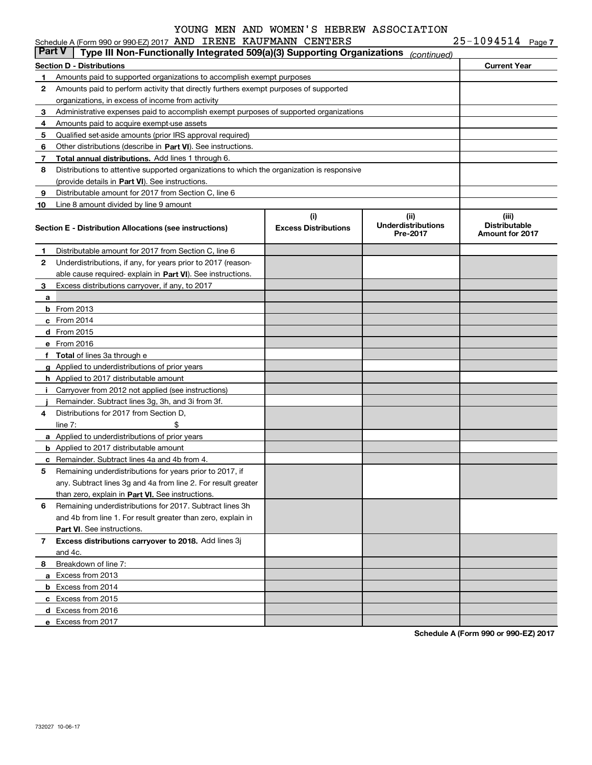| $25 - 1094514$ Page 7 |  |
|-----------------------|--|
|-----------------------|--|

|        | Schedule A (Form 990 or 990-EZ) 2017 AND IRENE KAUFMANN CENTERS                            |                                    |                                               | $25 - 1094514$ Page 7                                   |  |
|--------|--------------------------------------------------------------------------------------------|------------------------------------|-----------------------------------------------|---------------------------------------------------------|--|
| Part V | Type III Non-Functionally Integrated 509(a)(3) Supporting Organizations                    |                                    | (continued)                                   |                                                         |  |
|        | Section D - Distributions                                                                  |                                    |                                               | <b>Current Year</b>                                     |  |
| 1.     | Amounts paid to supported organizations to accomplish exempt purposes                      |                                    |                                               |                                                         |  |
| 2      | Amounts paid to perform activity that directly furthers exempt purposes of supported       |                                    |                                               |                                                         |  |
|        | organizations, in excess of income from activity                                           |                                    |                                               |                                                         |  |
| 3      | Administrative expenses paid to accomplish exempt purposes of supported organizations      |                                    |                                               |                                                         |  |
| 4      | Amounts paid to acquire exempt-use assets                                                  |                                    |                                               |                                                         |  |
| 5      | Qualified set-aside amounts (prior IRS approval required)                                  |                                    |                                               |                                                         |  |
| 6      | Other distributions (describe in Part VI). See instructions.                               |                                    |                                               |                                                         |  |
| 7      | Total annual distributions. Add lines 1 through 6.                                         |                                    |                                               |                                                         |  |
| 8      | Distributions to attentive supported organizations to which the organization is responsive |                                    |                                               |                                                         |  |
|        | (provide details in Part VI). See instructions.                                            |                                    |                                               |                                                         |  |
| 9      | Distributable amount for 2017 from Section C, line 6                                       |                                    |                                               |                                                         |  |
| 10     | Line 8 amount divided by line 9 amount                                                     |                                    |                                               |                                                         |  |
|        | Section E - Distribution Allocations (see instructions)                                    | (i)<br><b>Excess Distributions</b> | (ii)<br><b>Underdistributions</b><br>Pre-2017 | (iii)<br><b>Distributable</b><br><b>Amount for 2017</b> |  |
| 1      | Distributable amount for 2017 from Section C, line 6                                       |                                    |                                               |                                                         |  |
| 2      | Underdistributions, if any, for years prior to 2017 (reason-                               |                                    |                                               |                                                         |  |
|        | able cause required-explain in Part VI). See instructions.                                 |                                    |                                               |                                                         |  |
| 3      | Excess distributions carryover, if any, to 2017                                            |                                    |                                               |                                                         |  |
| a      |                                                                                            |                                    |                                               |                                                         |  |
|        | $b$ From 2013                                                                              |                                    |                                               |                                                         |  |
|        | $c$ From 2014                                                                              |                                    |                                               |                                                         |  |
|        | d From 2015                                                                                |                                    |                                               |                                                         |  |
|        | e From 2016                                                                                |                                    |                                               |                                                         |  |
|        | f Total of lines 3a through e                                                              |                                    |                                               |                                                         |  |
|        | g Applied to underdistributions of prior years                                             |                                    |                                               |                                                         |  |
|        | <b>h</b> Applied to 2017 distributable amount                                              |                                    |                                               |                                                         |  |
| i.     | Carryover from 2012 not applied (see instructions)                                         |                                    |                                               |                                                         |  |
|        | Remainder. Subtract lines 3g, 3h, and 3i from 3f.                                          |                                    |                                               |                                                         |  |
| 4      | Distributions for 2017 from Section D,                                                     |                                    |                                               |                                                         |  |
|        | \$<br>line $7:$                                                                            |                                    |                                               |                                                         |  |
|        | a Applied to underdistributions of prior years                                             |                                    |                                               |                                                         |  |
|        | <b>b</b> Applied to 2017 distributable amount                                              |                                    |                                               |                                                         |  |
|        | <b>c</b> Remainder. Subtract lines 4a and 4b from 4.                                       |                                    |                                               |                                                         |  |
|        | Remaining underdistributions for years prior to 2017, if                                   |                                    |                                               |                                                         |  |
|        | any. Subtract lines 3q and 4a from line 2. For result greater                              |                                    |                                               |                                                         |  |
|        | than zero, explain in Part VI. See instructions.                                           |                                    |                                               |                                                         |  |
| 6      | Remaining underdistributions for 2017. Subtract lines 3h                                   |                                    |                                               |                                                         |  |
|        | and 4b from line 1. For result greater than zero, explain in                               |                                    |                                               |                                                         |  |
|        | <b>Part VI.</b> See instructions.                                                          |                                    |                                               |                                                         |  |
| 7      | Excess distributions carryover to 2018. Add lines 3j                                       |                                    |                                               |                                                         |  |
|        | and 4c.                                                                                    |                                    |                                               |                                                         |  |
| 8      | Breakdown of line 7:                                                                       |                                    |                                               |                                                         |  |
|        | a Excess from 2013                                                                         |                                    |                                               |                                                         |  |
|        | <b>b</b> Excess from 2014                                                                  |                                    |                                               |                                                         |  |
|        | c Excess from 2015                                                                         |                                    |                                               |                                                         |  |
|        | d Excess from 2016                                                                         |                                    |                                               |                                                         |  |
|        | e Excess from 2017                                                                         |                                    |                                               |                                                         |  |
|        |                                                                                            |                                    |                                               |                                                         |  |

**Schedule A (Form 990 or 990-EZ) 2017**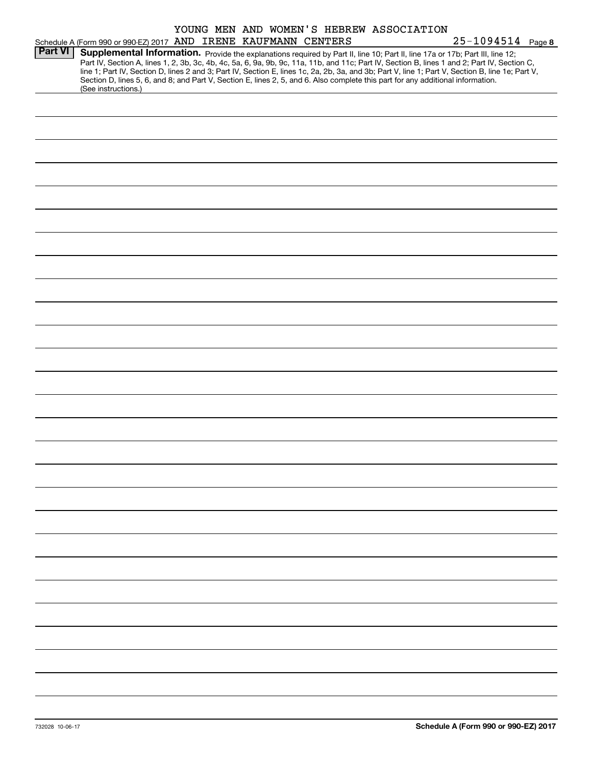|                |                                                                                                                                              |  | YOUNG MEN AND WOMEN'S HEBREW ASSOCIATION |                                                                                                                                                  |
|----------------|----------------------------------------------------------------------------------------------------------------------------------------------|--|------------------------------------------|--------------------------------------------------------------------------------------------------------------------------------------------------|
|                | Schedule A (Form 990 or 990-EZ) 2017 AND IRENE KAUFMANN CENTERS                                                                              |  |                                          | 25-1094514 Page 8                                                                                                                                |
| <b>Part VI</b> | Supplemental Information. Provide the explanations required by Part II, line 10; Part II, line 17a or 17b; Part III, line 12;                |  |                                          |                                                                                                                                                  |
|                | Part IV, Section A, lines 1, 2, 3b, 3c, 4b, 4c, 5a, 6, 9a, 9b, 9c, 11a, 11b, and 11c; Part IV, Section B, lines 1 and 2; Part IV, Section C, |  |                                          |                                                                                                                                                  |
|                |                                                                                                                                              |  |                                          | line 1; Part IV, Section D, lines 2 and 3; Part IV, Section E, lines 1c, 2a, 2b, 3a, and 3b; Part V, line 1; Part V, Section B, line 1e; Part V, |
|                | Section D, lines 5, 6, and 8; and Part V, Section E, lines 2, 5, and 6. Also complete this part for any additional information.              |  |                                          |                                                                                                                                                  |
|                | (See instructions.)                                                                                                                          |  |                                          |                                                                                                                                                  |
|                |                                                                                                                                              |  |                                          |                                                                                                                                                  |
|                |                                                                                                                                              |  |                                          |                                                                                                                                                  |
|                |                                                                                                                                              |  |                                          |                                                                                                                                                  |
|                |                                                                                                                                              |  |                                          |                                                                                                                                                  |
|                |                                                                                                                                              |  |                                          |                                                                                                                                                  |
|                |                                                                                                                                              |  |                                          |                                                                                                                                                  |
|                |                                                                                                                                              |  |                                          |                                                                                                                                                  |
|                |                                                                                                                                              |  |                                          |                                                                                                                                                  |
|                |                                                                                                                                              |  |                                          |                                                                                                                                                  |
|                |                                                                                                                                              |  |                                          |                                                                                                                                                  |
|                |                                                                                                                                              |  |                                          |                                                                                                                                                  |
|                |                                                                                                                                              |  |                                          |                                                                                                                                                  |
|                |                                                                                                                                              |  |                                          |                                                                                                                                                  |
|                |                                                                                                                                              |  |                                          |                                                                                                                                                  |
|                |                                                                                                                                              |  |                                          |                                                                                                                                                  |
|                |                                                                                                                                              |  |                                          |                                                                                                                                                  |
|                |                                                                                                                                              |  |                                          |                                                                                                                                                  |
|                |                                                                                                                                              |  |                                          |                                                                                                                                                  |
|                |                                                                                                                                              |  |                                          |                                                                                                                                                  |
|                |                                                                                                                                              |  |                                          |                                                                                                                                                  |
|                |                                                                                                                                              |  |                                          |                                                                                                                                                  |
|                |                                                                                                                                              |  |                                          |                                                                                                                                                  |
|                |                                                                                                                                              |  |                                          |                                                                                                                                                  |
|                |                                                                                                                                              |  |                                          |                                                                                                                                                  |
|                |                                                                                                                                              |  |                                          |                                                                                                                                                  |
|                |                                                                                                                                              |  |                                          |                                                                                                                                                  |
|                |                                                                                                                                              |  |                                          |                                                                                                                                                  |
|                |                                                                                                                                              |  |                                          |                                                                                                                                                  |
|                |                                                                                                                                              |  |                                          |                                                                                                                                                  |
|                |                                                                                                                                              |  |                                          |                                                                                                                                                  |
|                |                                                                                                                                              |  |                                          |                                                                                                                                                  |
|                |                                                                                                                                              |  |                                          |                                                                                                                                                  |
|                |                                                                                                                                              |  |                                          |                                                                                                                                                  |
|                |                                                                                                                                              |  |                                          |                                                                                                                                                  |
|                |                                                                                                                                              |  |                                          |                                                                                                                                                  |
|                |                                                                                                                                              |  |                                          |                                                                                                                                                  |
|                |                                                                                                                                              |  |                                          |                                                                                                                                                  |
|                |                                                                                                                                              |  |                                          |                                                                                                                                                  |
|                |                                                                                                                                              |  |                                          |                                                                                                                                                  |
|                |                                                                                                                                              |  |                                          |                                                                                                                                                  |
|                |                                                                                                                                              |  |                                          |                                                                                                                                                  |
|                |                                                                                                                                              |  |                                          |                                                                                                                                                  |
|                |                                                                                                                                              |  |                                          |                                                                                                                                                  |
|                |                                                                                                                                              |  |                                          |                                                                                                                                                  |
|                |                                                                                                                                              |  |                                          |                                                                                                                                                  |
|                |                                                                                                                                              |  |                                          |                                                                                                                                                  |
|                |                                                                                                                                              |  |                                          |                                                                                                                                                  |
|                |                                                                                                                                              |  |                                          |                                                                                                                                                  |
|                |                                                                                                                                              |  |                                          |                                                                                                                                                  |
|                |                                                                                                                                              |  |                                          |                                                                                                                                                  |
|                |                                                                                                                                              |  |                                          |                                                                                                                                                  |
|                |                                                                                                                                              |  |                                          |                                                                                                                                                  |
|                |                                                                                                                                              |  |                                          |                                                                                                                                                  |
|                |                                                                                                                                              |  |                                          |                                                                                                                                                  |
|                |                                                                                                                                              |  |                                          |                                                                                                                                                  |
|                |                                                                                                                                              |  |                                          |                                                                                                                                                  |
|                |                                                                                                                                              |  |                                          |                                                                                                                                                  |
|                |                                                                                                                                              |  |                                          |                                                                                                                                                  |
|                |                                                                                                                                              |  |                                          |                                                                                                                                                  |
|                |                                                                                                                                              |  |                                          |                                                                                                                                                  |
|                |                                                                                                                                              |  |                                          |                                                                                                                                                  |
|                |                                                                                                                                              |  |                                          |                                                                                                                                                  |
|                |                                                                                                                                              |  |                                          |                                                                                                                                                  |
|                |                                                                                                                                              |  |                                          |                                                                                                                                                  |
|                |                                                                                                                                              |  |                                          |                                                                                                                                                  |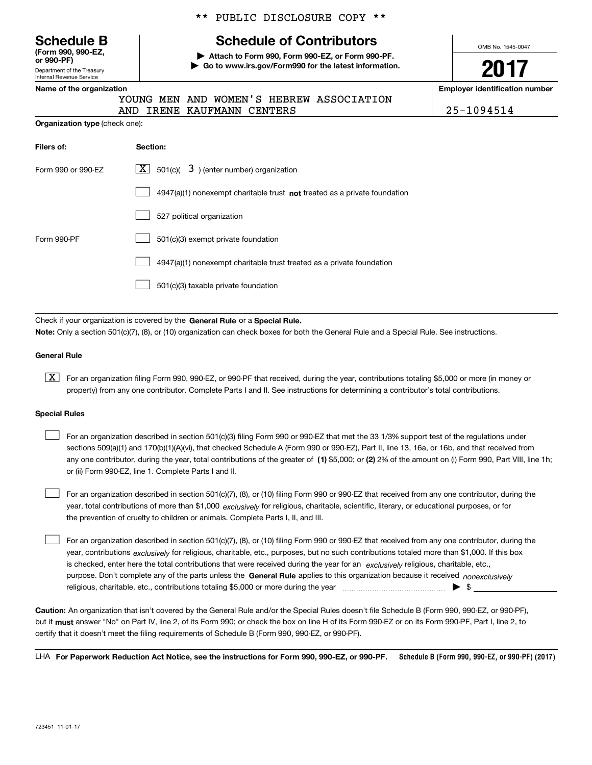| <b>Schedule B</b>                    |  |  |
|--------------------------------------|--|--|
| (Form 990, 990-EZ,<br>$\sim$ 000 DEV |  |  |

Department of the Treasury Internal Revenue Service **or 990-PF)**

### \*\* PUBLIC DISCLOSURE COPY \*\*

## **Schedule of Contributors**

**| Attach to Form 990, Form 990-EZ, or Form 990-PF. | Go to www.irs.gov/Form990 for the latest information.** OMB No. 1545-0047

**2017**

**Name of the oriental conducts of the oriental conducts of the oriental conducts of the oriental conducts of the oriental conducts of the oriental conducts of the oriental conducts of the oriental conducts of the oriental** 

|  | Name of the organization |
|--|--------------------------|

**Organization type** (check one):

|                            |  | YOUNG MEN AND WOMEN'S HEBREW ASSOCIATION |            |
|----------------------------|--|------------------------------------------|------------|
| AND IRENE KAUFMANN CENTERS |  |                                          | 25-1094514 |

| Filers of:         | Section:                                                                    |
|--------------------|-----------------------------------------------------------------------------|
| Form 990 or 990-FZ | $X$ 501(c)( 3) (enter number) organization                                  |
|                    | $4947(a)(1)$ nonexempt charitable trust not treated as a private foundation |
|                    | 527 political organization                                                  |
| Form 990-PF        | 501(c)(3) exempt private foundation                                         |
|                    | 4947(a)(1) nonexempt charitable trust treated as a private foundation       |
|                    | 501(c)(3) taxable private foundation                                        |

Check if your organization is covered by the **General Rule** or a **Special Rule. Note:**  Only a section 501(c)(7), (8), or (10) organization can check boxes for both the General Rule and a Special Rule. See instructions.

#### **General Rule**

 $\boxed{\textbf{X}}$  For an organization filing Form 990, 990-EZ, or 990-PF that received, during the year, contributions totaling \$5,000 or more (in money or property) from any one contributor. Complete Parts I and II. See instructions for determining a contributor's total contributions.

#### **Special Rules**

 $\mathcal{L}^{\text{max}}$ 

any one contributor, during the year, total contributions of the greater of  $\,$  (1) \$5,000; or **(2)** 2% of the amount on (i) Form 990, Part VIII, line 1h; For an organization described in section 501(c)(3) filing Form 990 or 990-EZ that met the 33 1/3% support test of the regulations under sections 509(a)(1) and 170(b)(1)(A)(vi), that checked Schedule A (Form 990 or 990-EZ), Part II, line 13, 16a, or 16b, and that received from or (ii) Form 990-EZ, line 1. Complete Parts I and II.  $\mathcal{L}^{\text{max}}$ 

year, total contributions of more than \$1,000 *exclusively* for religious, charitable, scientific, literary, or educational purposes, or for For an organization described in section 501(c)(7), (8), or (10) filing Form 990 or 990-EZ that received from any one contributor, during the the prevention of cruelty to children or animals. Complete Parts I, II, and III.  $\mathcal{L}^{\text{max}}$ 

purpose. Don't complete any of the parts unless the **General Rule** applies to this organization because it received *nonexclusively* year, contributions <sub>exclusively</sub> for religious, charitable, etc., purposes, but no such contributions totaled more than \$1,000. If this box is checked, enter here the total contributions that were received during the year for an  $\;$ exclusively religious, charitable, etc., For an organization described in section 501(c)(7), (8), or (10) filing Form 990 or 990-EZ that received from any one contributor, during the religious, charitable, etc., contributions totaling \$5,000 or more during the year  $\Box$ — $\Box$   $\Box$ 

**Caution:**  An organization that isn't covered by the General Rule and/or the Special Rules doesn't file Schedule B (Form 990, 990-EZ, or 990-PF),  **must** but it answer "No" on Part IV, line 2, of its Form 990; or check the box on line H of its Form 990-EZ or on its Form 990-PF, Part I, line 2, to certify that it doesn't meet the filing requirements of Schedule B (Form 990, 990-EZ, or 990-PF).

**Schedule B (Form 990, 990-EZ, or 990-PF) (2017) For Paperwork Reduction Act Notice, see the instructions for Form 990, 990-EZ, or 990-PF.** LHA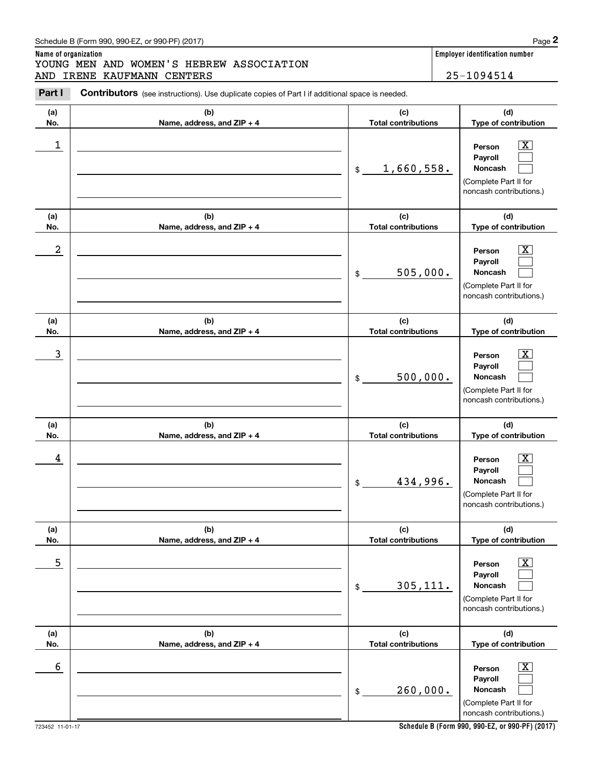### Schedule B (Form 990, 990-EZ, or 990-PF) (2017) **Page 2**

## **Name of organization Employer identification number** Chedule B (Form 990, 990-EZ, or 990-PF) (2017)<br> **2Part I 2Part I Contributors** (see instructions). Use duplicate copies of Part I if additional space is needed.<br>
2Part I **Contributors** (see instructions). Use duplicate YOUNG MEN AND WOMEN'S HEBREW ASSOCIATION AND IRENE KAUFMANN CENTERS 25-1094514

| Schedule B (Form 990, 990-EZ, or 990-PF) (2017) |  |
|-------------------------------------------------|--|

| Part I     | Contributors (see instructions). Use duplicate copies of Part I if additional space is needed. |                                                        |                                                                                                             |  |  |
|------------|------------------------------------------------------------------------------------------------|--------------------------------------------------------|-------------------------------------------------------------------------------------------------------------|--|--|
| (a)<br>No. | (b)<br>Name, address, and ZIP + 4                                                              | (c)<br><b>Total contributions</b>                      | (d)<br>Type of contribution                                                                                 |  |  |
| 1          |                                                                                                | 1,660,558.<br>\$                                       | $\overline{\text{X}}$<br>Person<br>Payroll<br>Noncash<br>(Complete Part II for<br>noncash contributions.)   |  |  |
| (a)<br>No. | (b)<br>Name, address, and ZIP + 4                                                              | (c)<br><b>Total contributions</b>                      | (d)<br>Type of contribution                                                                                 |  |  |
| 2          |                                                                                                | 505,000.<br>\$                                         | $\overline{\texttt{x}}$<br>Person<br>Payroll<br>Noncash<br>(Complete Part II for<br>noncash contributions.) |  |  |
| (a)<br>No. | (b)<br>Name, address, and ZIP + 4                                                              | (c)<br><b>Total contributions</b>                      | (d)<br>Type of contribution                                                                                 |  |  |
| 3          |                                                                                                | 500,000.<br>\$                                         | $\overline{\text{X}}$<br>Person<br>Payroll<br>Noncash<br>(Complete Part II for<br>noncash contributions.)   |  |  |
| (a)<br>No. | (b)<br>Name, address, and ZIP + 4                                                              | (c)<br><b>Total contributions</b>                      | (d)<br>Type of contribution                                                                                 |  |  |
| 4          |                                                                                                | 434,996.<br>\$                                         | $\overline{\text{X}}$<br>Person<br>Payroll<br>Noncash<br>(Complete Part II for<br>noncash contributions.)   |  |  |
| (a)<br>No. | (b)<br>Name, address, and ZIP + 4                                                              | (c)<br><b>Total contributions</b>                      | (d)<br>Type of contribution                                                                                 |  |  |
| 5          |                                                                                                | 305, 111.<br>$\, \, \raisebox{12pt}{$\scriptstyle \$}$ | х<br>Person<br>Payroll<br>Noncash<br>(Complete Part II for<br>noncash contributions.)                       |  |  |
| (a)<br>No. | (b)<br>Name, address, and ZIP + 4                                                              | (c)<br><b>Total contributions</b>                      | (d)<br>Type of contribution                                                                                 |  |  |
| 6          |                                                                                                | 260,000.<br>$\, \, \raisebox{12pt}{$\scriptstyle \$}$  | х<br>Person<br>Payroll<br>Noncash<br>(Complete Part II for<br>noncash contributions.)                       |  |  |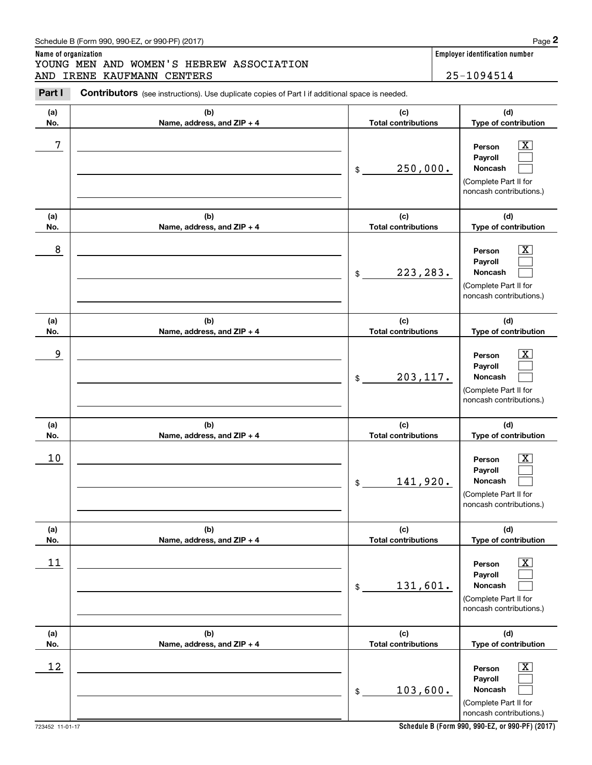### Schedule B (Form 990, 990-EZ, or 990-PF) (2017) Page 2

## **Name of organization Employer identification number** Chedule B (Form 990, 990-EZ, or 990-PF) (2017)<br> **2Part I 2Part I Contributors** (see instructions). Use duplicate copies of Part I if additional space is needed.<br>
2Part I **Contributors** (see instructions). Use duplicate YOUNG MEN AND WOMEN'S HEBREW ASSOCIATION AND IRENE KAUFMANN CENTERS 25-1094514

| Part I     | <b>Contributors</b> (see instructions). Use duplicate copies of Part I if additional space is needed. |                                   |                                                                                                                          |  |  |
|------------|-------------------------------------------------------------------------------------------------------|-----------------------------------|--------------------------------------------------------------------------------------------------------------------------|--|--|
| (a)<br>No. | (b)<br>Name, address, and ZIP + 4                                                                     | (c)<br><b>Total contributions</b> | (d)<br>Type of contribution                                                                                              |  |  |
| 7          |                                                                                                       | 250,000.<br>\$                    | $\mathbf{X}$<br>Person<br>Payroll<br>Noncash<br>(Complete Part II for<br>noncash contributions.)                         |  |  |
| (a)<br>No. | (b)<br>Name, address, and ZIP + 4                                                                     | (c)<br><b>Total contributions</b> | (d)<br>Type of contribution                                                                                              |  |  |
| 8          |                                                                                                       | 223, 283.<br>\$                   | $\overline{\mathbf{X}}$<br>Person<br>Payroll<br>Noncash<br>(Complete Part II for<br>noncash contributions.)              |  |  |
| (a)<br>No. | (b)<br>Name, address, and ZIP + 4                                                                     | (c)<br><b>Total contributions</b> | (d)<br>Type of contribution                                                                                              |  |  |
| 9          |                                                                                                       | 203, 117.<br>\$                   | $\mathbf{X}$<br>Person<br>Payroll<br>Noncash<br>(Complete Part II for<br>noncash contributions.)                         |  |  |
| (a)        | (b)                                                                                                   | (c)<br><b>Total contributions</b> | (d)                                                                                                                      |  |  |
| No.<br>10  | Name, address, and ZIP + 4                                                                            | 141,920.<br>\$                    | Type of contribution<br>$\mathbf{X}$<br>Person<br>Payroll<br>Noncash<br>(Complete Part II for<br>noncash contributions.) |  |  |
| (a)<br>No. | (b)<br>Name, address, and ZIP + 4                                                                     | (c)<br><b>Total contributions</b> | (d)<br>Type of contribution                                                                                              |  |  |
| $11\,$     |                                                                                                       | 131,601.<br>$\$$                  | $\overline{\mathbf{X}}$<br>Person<br>Payroll<br>Noncash<br>(Complete Part II for<br>noncash contributions.)              |  |  |
| (a)<br>No. | (b)<br>Name, address, and ZIP + 4                                                                     | (c)<br><b>Total contributions</b> | (d)<br>Type of contribution                                                                                              |  |  |
| 12         |                                                                                                       | 103,600.<br>$\$$                  | $\overline{\mathbf{X}}$<br>Person<br>Payroll<br>Noncash<br>(Complete Part II for<br>noncash contributions.)              |  |  |

**Schedule B (Form 990, 990-EZ, or 990-PF) (2017)**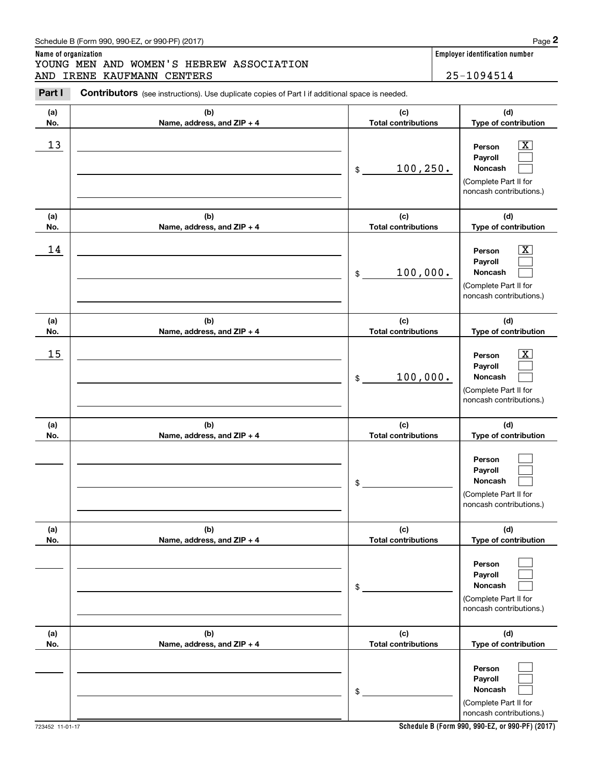| <b>Part I</b> | <b>CONTIDUTORS</b> (see instructions). Use duplicate copies of Part I if additional space is needed. |                                   |                                                                                                             |
|---------------|------------------------------------------------------------------------------------------------------|-----------------------------------|-------------------------------------------------------------------------------------------------------------|
| (a)<br>No.    | (b)<br>Name, address, and ZIP + 4                                                                    | (c)<br><b>Total contributions</b> | (d)<br>Type of contribution                                                                                 |
| 13            |                                                                                                      | 100, 250.<br>\$                   | $\overline{\mathbf{X}}$<br>Person<br>Payroll<br>Noncash<br>(Complete Part II for<br>noncash contributions.) |
| (a)<br>No.    | (b)<br>Name, address, and ZIP + 4                                                                    | (c)<br><b>Total contributions</b> | (d)<br>Type of contribution                                                                                 |
| 14            |                                                                                                      | 100,000.<br>\$                    | $\overline{\text{X}}$<br>Person<br>Payroll<br>Noncash<br>(Complete Part II for<br>noncash contributions.)   |
| (a)<br>No.    | (b)<br>Name, address, and ZIP + 4                                                                    | (c)<br><b>Total contributions</b> | (d)<br>Type of contribution                                                                                 |
| 15            |                                                                                                      | 100,000.<br>\$                    | X<br>Person<br>Payroll<br>Noncash<br>(Complete Part II for<br>noncash contributions.)                       |
| (a)<br>No.    | (b)<br>Name, address, and ZIP + 4                                                                    | (c)<br><b>Total contributions</b> | (d)<br>Type of contribution                                                                                 |
|               |                                                                                                      | \$                                | Person<br>Payroll<br>Noncash<br>(Complete Part II for<br>noncash contributions.)                            |
| (a)<br>No.    | (b)<br>Name, address, and ZIP + 4                                                                    | (c)<br><b>Total contributions</b> | (d)<br>Type of contribution                                                                                 |
|               |                                                                                                      | \$                                | Person<br>Payroll<br>Noncash<br>(Complete Part II for<br>noncash contributions.)                            |
| (a)<br>No.    | (b)<br>Name, address, and ZIP + 4                                                                    | (c)<br><b>Total contributions</b> | (d)<br>Type of contribution                                                                                 |
|               |                                                                                                      | \$                                | Person<br>Payroll<br>Noncash<br>(Complete Part II for<br>noncash contributions.)                            |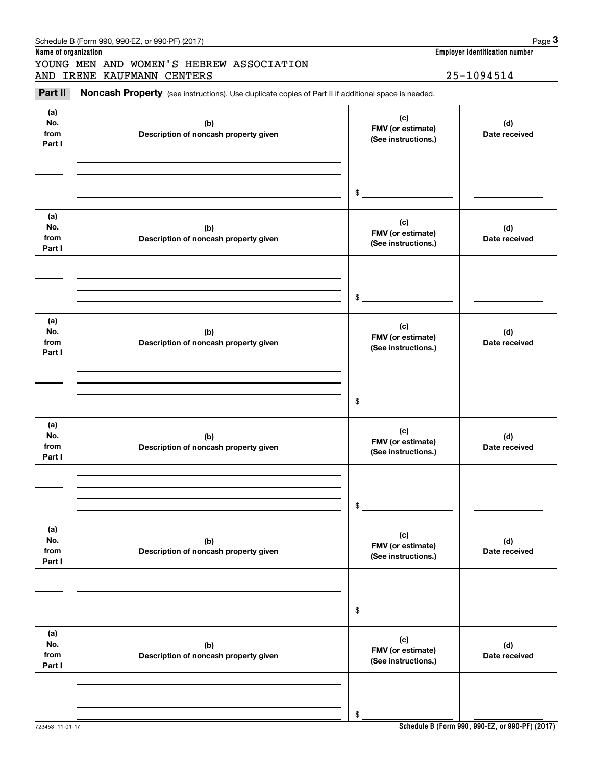| Schedule B (Form 990, 990-EZ, or 990-PF) (2017) | Page |
|-------------------------------------------------|------|
|-------------------------------------------------|------|

# Chedule B (Form 990, 990-EZ, or 990-PF) (2017)<br> **3Pare of organization**<br> **3Part II Noncash Property** (see instructions). Use duplicate copies of Part II if additional space is needed.<br> **Part II Noncash Property** (see i YOUNG MEN AND WOMEN'S HEBREW ASSOCIATION AND IRENE KAUFMANN CENTERS 25-1094514

**Name of organization Employer identification number**

| Part II<br>Noncash Property (see instructions). Use duplicate copies of Part II if additional space is needed. |                                              |                                                 |                      |  |  |
|----------------------------------------------------------------------------------------------------------------|----------------------------------------------|-------------------------------------------------|----------------------|--|--|
| (a)<br>No.<br>from<br>Part I                                                                                   | (b)<br>Description of noncash property given | (c)<br>FMV (or estimate)<br>(See instructions.) | (d)<br>Date received |  |  |
|                                                                                                                |                                              | $$\mathbb{S}$$                                  |                      |  |  |
| (a)<br>No.<br>from<br>Part I                                                                                   | (b)<br>Description of noncash property given | (c)<br>FMV (or estimate)<br>(See instructions.) | (d)<br>Date received |  |  |
|                                                                                                                |                                              | \$                                              |                      |  |  |
| (a)<br>No.<br>from<br>Part I                                                                                   | (b)<br>Description of noncash property given | (c)<br>FMV (or estimate)<br>(See instructions.) | (d)<br>Date received |  |  |
|                                                                                                                |                                              | \$                                              |                      |  |  |
| (a)<br>No.<br>from<br>Part I                                                                                   | (b)<br>Description of noncash property given | (c)<br>FMV (or estimate)<br>(See instructions.) | (d)<br>Date received |  |  |
|                                                                                                                |                                              | \$                                              |                      |  |  |
| (a)<br>No.<br>from<br>Part I                                                                                   | (b)<br>Description of noncash property given | (c)<br>FMV (or estimate)<br>(See instructions.) | (d)<br>Date received |  |  |
|                                                                                                                |                                              | \$                                              |                      |  |  |
| (a)<br>No.<br>from<br>Part I                                                                                   | (b)<br>Description of noncash property given | (c)<br>FMV (or estimate)<br>(See instructions.) | (d)<br>Date received |  |  |
|                                                                                                                |                                              | \$                                              |                      |  |  |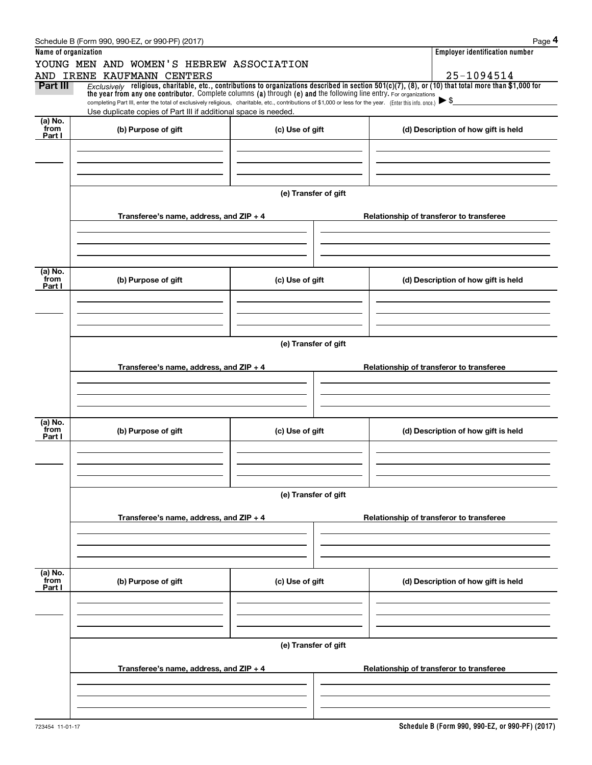|                      | Schedule B (Form 990, 990-EZ, or 990-PF) (2017)                                                                                                                                                                                                                                |                      | Page 4                                   |
|----------------------|--------------------------------------------------------------------------------------------------------------------------------------------------------------------------------------------------------------------------------------------------------------------------------|----------------------|------------------------------------------|
| Name of organization |                                                                                                                                                                                                                                                                                |                      | <b>Employer identification number</b>    |
|                      | YOUNG MEN AND WOMEN'S HEBREW ASSOCIATION                                                                                                                                                                                                                                       |                      |                                          |
|                      | AND IRENE KAUFMANN CENTERS                                                                                                                                                                                                                                                     |                      | 25-1094514                               |
| Part III             | $Exclusively$ religious, charitable, etc., contributions to organizations described in section 501(c)(7), (8), or (10) that total more than \$1,000 for<br>the year from any one contributor. Complete columns (a) through (e) and the following line entry. For organizations |                      |                                          |
|                      | completing Part III, enter the total of exclusively religious, charitable, etc., contributions of \$1,000 or less for the year. (Enter this info. once.) $\blacktriangleright$ \$                                                                                              |                      |                                          |
| $(a)$ No.            | Use duplicate copies of Part III if additional space is needed.                                                                                                                                                                                                                |                      |                                          |
| from                 | (b) Purpose of gift                                                                                                                                                                                                                                                            | (c) Use of gift      | (d) Description of how gift is held      |
| Part I               |                                                                                                                                                                                                                                                                                |                      |                                          |
|                      |                                                                                                                                                                                                                                                                                |                      |                                          |
|                      |                                                                                                                                                                                                                                                                                |                      |                                          |
|                      |                                                                                                                                                                                                                                                                                |                      |                                          |
|                      |                                                                                                                                                                                                                                                                                | (e) Transfer of gift |                                          |
|                      |                                                                                                                                                                                                                                                                                |                      |                                          |
|                      | Transferee's name, address, and $ZIP + 4$                                                                                                                                                                                                                                      |                      | Relationship of transferor to transferee |
|                      |                                                                                                                                                                                                                                                                                |                      |                                          |
|                      |                                                                                                                                                                                                                                                                                |                      |                                          |
|                      |                                                                                                                                                                                                                                                                                |                      |                                          |
| (a) No.              |                                                                                                                                                                                                                                                                                |                      |                                          |
| from<br>Part I       | (b) Purpose of gift                                                                                                                                                                                                                                                            | (c) Use of gift      | (d) Description of how gift is held      |
|                      |                                                                                                                                                                                                                                                                                |                      |                                          |
|                      |                                                                                                                                                                                                                                                                                |                      |                                          |
|                      |                                                                                                                                                                                                                                                                                |                      |                                          |
|                      |                                                                                                                                                                                                                                                                                |                      |                                          |
|                      |                                                                                                                                                                                                                                                                                | (e) Transfer of gift |                                          |
|                      |                                                                                                                                                                                                                                                                                |                      |                                          |
|                      | Transferee's name, address, and ZIP + 4                                                                                                                                                                                                                                        |                      | Relationship of transferor to transferee |
|                      |                                                                                                                                                                                                                                                                                |                      |                                          |
|                      |                                                                                                                                                                                                                                                                                |                      |                                          |
|                      |                                                                                                                                                                                                                                                                                |                      |                                          |
| (a) No.              |                                                                                                                                                                                                                                                                                |                      |                                          |
| from<br>Part I       | (b) Purpose of gift                                                                                                                                                                                                                                                            | (c) Use of gift      | (d) Description of how gift is held      |
|                      |                                                                                                                                                                                                                                                                                |                      |                                          |
|                      |                                                                                                                                                                                                                                                                                |                      |                                          |
|                      |                                                                                                                                                                                                                                                                                |                      |                                          |
|                      |                                                                                                                                                                                                                                                                                | (e) Transfer of gift |                                          |
|                      |                                                                                                                                                                                                                                                                                |                      |                                          |
|                      | Transferee's name, address, and $ZIP + 4$                                                                                                                                                                                                                                      |                      | Relationship of transferor to transferee |
|                      |                                                                                                                                                                                                                                                                                |                      |                                          |
|                      |                                                                                                                                                                                                                                                                                |                      |                                          |
|                      |                                                                                                                                                                                                                                                                                |                      |                                          |
|                      |                                                                                                                                                                                                                                                                                |                      |                                          |
| (a) No.<br>from      | (b) Purpose of gift                                                                                                                                                                                                                                                            | (c) Use of gift      | (d) Description of how gift is held      |
| Part I               |                                                                                                                                                                                                                                                                                |                      |                                          |
|                      |                                                                                                                                                                                                                                                                                |                      |                                          |
|                      |                                                                                                                                                                                                                                                                                |                      |                                          |
|                      |                                                                                                                                                                                                                                                                                |                      |                                          |
|                      |                                                                                                                                                                                                                                                                                | (e) Transfer of gift |                                          |
|                      |                                                                                                                                                                                                                                                                                |                      |                                          |
|                      | Transferee's name, address, and ZIP + 4                                                                                                                                                                                                                                        |                      | Relationship of transferor to transferee |
|                      |                                                                                                                                                                                                                                                                                |                      |                                          |
|                      |                                                                                                                                                                                                                                                                                |                      |                                          |
|                      |                                                                                                                                                                                                                                                                                |                      |                                          |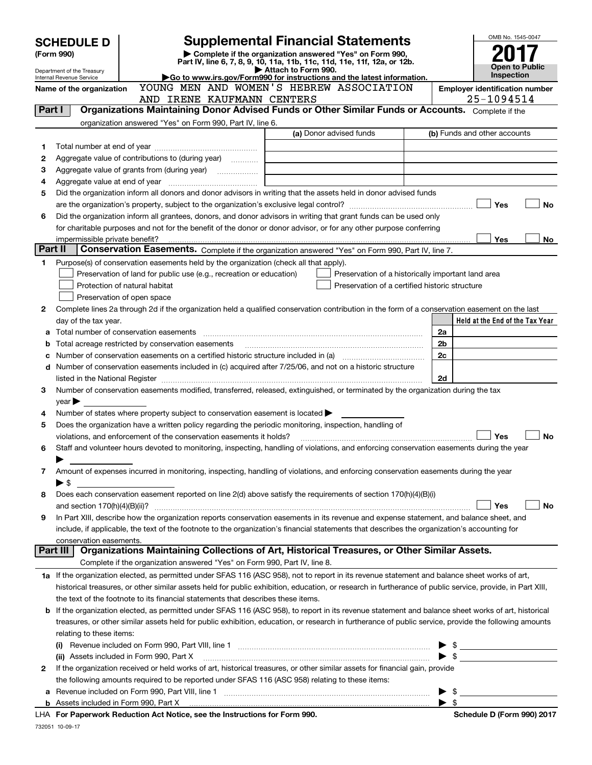| <b>Supplemental Financial Statements</b><br><b>SCHEDULE D</b>                                      |                                                                                                             |                                                                                                                                                                                                                                |  |                     |                                                                                                                                      |  | OMB No. 1545-0047 |                                       |           |
|----------------------------------------------------------------------------------------------------|-------------------------------------------------------------------------------------------------------------|--------------------------------------------------------------------------------------------------------------------------------------------------------------------------------------------------------------------------------|--|---------------------|--------------------------------------------------------------------------------------------------------------------------------------|--|-------------------|---------------------------------------|-----------|
|                                                                                                    | (Form 990)                                                                                                  |                                                                                                                                                                                                                                |  |                     | Complete if the organization answered "Yes" on Form 990,<br>Part IV, line 6, 7, 8, 9, 10, 11a, 11b, 11c, 11d, 11e, 11f, 12a, or 12b. |  |                   |                                       |           |
|                                                                                                    | Department of the Treasury                                                                                  |                                                                                                                                                                                                                                |  | Attach to Form 990. |                                                                                                                                      |  |                   | Open to Public<br>Inspection          |           |
|                                                                                                    | <b>Internal Revenue Service</b>                                                                             |                                                                                                                                                                                                                                |  |                     | Go to www.irs.gov/Form990 for instructions and the latest information.                                                               |  |                   | <b>Employer identification number</b> |           |
| YOUNG MEN AND WOMEN'S HEBREW ASSOCIATION<br>Name of the organization<br>AND IRENE KAUFMANN CENTERS |                                                                                                             |                                                                                                                                                                                                                                |  |                     |                                                                                                                                      |  |                   | 25-1094514                            |           |
|                                                                                                    | Organizations Maintaining Donor Advised Funds or Other Similar Funds or Accounts. Complete if the<br>Part I |                                                                                                                                                                                                                                |  |                     |                                                                                                                                      |  |                   |                                       |           |
|                                                                                                    |                                                                                                             | organization answered "Yes" on Form 990, Part IV, line 6.                                                                                                                                                                      |  |                     |                                                                                                                                      |  |                   |                                       |           |
|                                                                                                    |                                                                                                             |                                                                                                                                                                                                                                |  |                     | (a) Donor advised funds                                                                                                              |  |                   | (b) Funds and other accounts          |           |
| 1                                                                                                  |                                                                                                             |                                                                                                                                                                                                                                |  |                     |                                                                                                                                      |  |                   |                                       |           |
| 2                                                                                                  |                                                                                                             | Aggregate value of contributions to (during year)                                                                                                                                                                              |  |                     |                                                                                                                                      |  |                   |                                       |           |
| з                                                                                                  |                                                                                                             |                                                                                                                                                                                                                                |  |                     |                                                                                                                                      |  |                   |                                       |           |
| 4                                                                                                  |                                                                                                             |                                                                                                                                                                                                                                |  |                     |                                                                                                                                      |  |                   |                                       |           |
| 5                                                                                                  |                                                                                                             | Did the organization inform all donors and donor advisors in writing that the assets held in donor advised funds                                                                                                               |  |                     |                                                                                                                                      |  |                   |                                       |           |
|                                                                                                    |                                                                                                             |                                                                                                                                                                                                                                |  |                     |                                                                                                                                      |  |                   | Yes                                   | No        |
| 6                                                                                                  |                                                                                                             | Did the organization inform all grantees, donors, and donor advisors in writing that grant funds can be used only                                                                                                              |  |                     |                                                                                                                                      |  |                   |                                       |           |
|                                                                                                    |                                                                                                             | for charitable purposes and not for the benefit of the donor or donor advisor, or for any other purpose conferring                                                                                                             |  |                     |                                                                                                                                      |  |                   |                                       |           |
| Part II                                                                                            |                                                                                                             |                                                                                                                                                                                                                                |  |                     |                                                                                                                                      |  |                   | Yes                                   | No        |
|                                                                                                    |                                                                                                             | Conservation Easements. Complete if the organization answered "Yes" on Form 990, Part IV, line 7.                                                                                                                              |  |                     |                                                                                                                                      |  |                   |                                       |           |
| 1                                                                                                  |                                                                                                             | Purpose(s) of conservation easements held by the organization (check all that apply).                                                                                                                                          |  |                     |                                                                                                                                      |  |                   |                                       |           |
|                                                                                                    |                                                                                                             | Preservation of land for public use (e.g., recreation or education)                                                                                                                                                            |  |                     | Preservation of a historically important land area                                                                                   |  |                   |                                       |           |
|                                                                                                    |                                                                                                             | Protection of natural habitat<br>Preservation of open space                                                                                                                                                                    |  |                     | Preservation of a certified historic structure                                                                                       |  |                   |                                       |           |
| 2                                                                                                  |                                                                                                             | Complete lines 2a through 2d if the organization held a qualified conservation contribution in the form of a conservation easement on the last                                                                                 |  |                     |                                                                                                                                      |  |                   |                                       |           |
|                                                                                                    | day of the tax year.                                                                                        |                                                                                                                                                                                                                                |  |                     |                                                                                                                                      |  |                   | Held at the End of the Tax Year       |           |
|                                                                                                    |                                                                                                             | Total number of conservation easements [111] matter conservation conservation of conservation easements [11] matter conservation easements [11] matter conservation easements [11] matter conservation entries in the conserva |  |                     |                                                                                                                                      |  | 2a                |                                       |           |
| b                                                                                                  |                                                                                                             | Total acreage restricted by conservation easements                                                                                                                                                                             |  |                     |                                                                                                                                      |  | 2 <sub>b</sub>    |                                       |           |
|                                                                                                    |                                                                                                             | Number of conservation easements on a certified historic structure included in (a) manufacture included in (a)                                                                                                                 |  |                     |                                                                                                                                      |  | 2c                |                                       |           |
|                                                                                                    |                                                                                                             | d Number of conservation easements included in (c) acquired after 7/25/06, and not on a historic structure                                                                                                                     |  |                     |                                                                                                                                      |  |                   |                                       |           |
|                                                                                                    |                                                                                                             | listed in the National Register [111] [12] The National Register [11] All also resummand the National Register [11] All also results in the National Register [11] All also results in the National Register [11] All also res |  |                     |                                                                                                                                      |  | 2d                |                                       |           |
| З                                                                                                  |                                                                                                             | Number of conservation easements modified, transferred, released, extinguished, or terminated by the organization during the tax                                                                                               |  |                     |                                                                                                                                      |  |                   |                                       |           |
|                                                                                                    | $year \blacktriangleright$                                                                                  |                                                                                                                                                                                                                                |  |                     |                                                                                                                                      |  |                   |                                       |           |
| 4                                                                                                  |                                                                                                             | Number of states where property subject to conservation easement is located $\blacktriangleright$                                                                                                                              |  |                     |                                                                                                                                      |  |                   |                                       |           |
| 5                                                                                                  |                                                                                                             | Does the organization have a written policy regarding the periodic monitoring, inspection, handling of                                                                                                                         |  |                     |                                                                                                                                      |  |                   |                                       |           |
|                                                                                                    |                                                                                                             | violations, and enforcement of the conservation easements it holds?                                                                                                                                                            |  |                     |                                                                                                                                      |  |                   | Yes                                   | <b>No</b> |
| 6                                                                                                  |                                                                                                             | Staff and volunteer hours devoted to monitoring, inspecting, handling of violations, and enforcing conservation easements during the year                                                                                      |  |                     |                                                                                                                                      |  |                   |                                       |           |
|                                                                                                    |                                                                                                             |                                                                                                                                                                                                                                |  |                     |                                                                                                                                      |  |                   |                                       |           |
| 7                                                                                                  |                                                                                                             | Amount of expenses incurred in monitoring, inspecting, handling of violations, and enforcing conservation easements during the year                                                                                            |  |                     |                                                                                                                                      |  |                   |                                       |           |
|                                                                                                    | $\blacktriangleright$ S                                                                                     |                                                                                                                                                                                                                                |  |                     |                                                                                                                                      |  |                   |                                       |           |
| 8                                                                                                  |                                                                                                             | Does each conservation easement reported on line 2(d) above satisfy the requirements of section 170(h)(4)(B)(i)                                                                                                                |  |                     |                                                                                                                                      |  |                   |                                       |           |
|                                                                                                    | and section $170(h)(4)(B)(ii)?$                                                                             |                                                                                                                                                                                                                                |  |                     |                                                                                                                                      |  |                   | Yes                                   | No        |
| 9                                                                                                  |                                                                                                             | In Part XIII, describe how the organization reports conservation easements in its revenue and expense statement, and balance sheet, and                                                                                        |  |                     |                                                                                                                                      |  |                   |                                       |           |
|                                                                                                    | conservation easements.                                                                                     | include, if applicable, the text of the footnote to the organization's financial statements that describes the organization's accounting for                                                                                   |  |                     |                                                                                                                                      |  |                   |                                       |           |
|                                                                                                    | Part III                                                                                                    | Organizations Maintaining Collections of Art, Historical Treasures, or Other Similar Assets.                                                                                                                                   |  |                     |                                                                                                                                      |  |                   |                                       |           |
|                                                                                                    |                                                                                                             | Complete if the organization answered "Yes" on Form 990, Part IV, line 8.                                                                                                                                                      |  |                     |                                                                                                                                      |  |                   |                                       |           |
|                                                                                                    |                                                                                                             | 1a If the organization elected, as permitted under SFAS 116 (ASC 958), not to report in its revenue statement and balance sheet works of art,                                                                                  |  |                     |                                                                                                                                      |  |                   |                                       |           |
|                                                                                                    |                                                                                                             | historical treasures, or other similar assets held for public exhibition, education, or research in furtherance of public service, provide, in Part XIII,                                                                      |  |                     |                                                                                                                                      |  |                   |                                       |           |
|                                                                                                    |                                                                                                             | the text of the footnote to its financial statements that describes these items.                                                                                                                                               |  |                     |                                                                                                                                      |  |                   |                                       |           |
| b                                                                                                  |                                                                                                             | If the organization elected, as permitted under SFAS 116 (ASC 958), to report in its revenue statement and balance sheet works of art, historical                                                                              |  |                     |                                                                                                                                      |  |                   |                                       |           |
|                                                                                                    |                                                                                                             | treasures, or other similar assets held for public exhibition, education, or research in furtherance of public service, provide the following amounts                                                                          |  |                     |                                                                                                                                      |  |                   |                                       |           |
|                                                                                                    | relating to these items:                                                                                    |                                                                                                                                                                                                                                |  |                     |                                                                                                                                      |  |                   |                                       |           |
|                                                                                                    |                                                                                                             |                                                                                                                                                                                                                                |  |                     |                                                                                                                                      |  |                   | $\triangleright$ \$                   |           |
|                                                                                                    |                                                                                                             | (ii) Assets included in Form 990, Part X                                                                                                                                                                                       |  |                     |                                                                                                                                      |  |                   | $\bullet$ \$                          |           |
| 2                                                                                                  |                                                                                                             | If the organization received or held works of art, historical treasures, or other similar assets for financial gain, provide                                                                                                   |  |                     |                                                                                                                                      |  |                   |                                       |           |
|                                                                                                    |                                                                                                             | the following amounts required to be reported under SFAS 116 (ASC 958) relating to these items:                                                                                                                                |  |                     |                                                                                                                                      |  |                   |                                       |           |
| а                                                                                                  |                                                                                                             |                                                                                                                                                                                                                                |  |                     |                                                                                                                                      |  |                   |                                       |           |
|                                                                                                    | $\blacktriangleright$ \$                                                                                    |                                                                                                                                                                                                                                |  |                     |                                                                                                                                      |  |                   |                                       |           |

**For Paperwork Reduction Act Notice, see the Instructions for Form 990. Schedule D (Form 990) 2017** LHA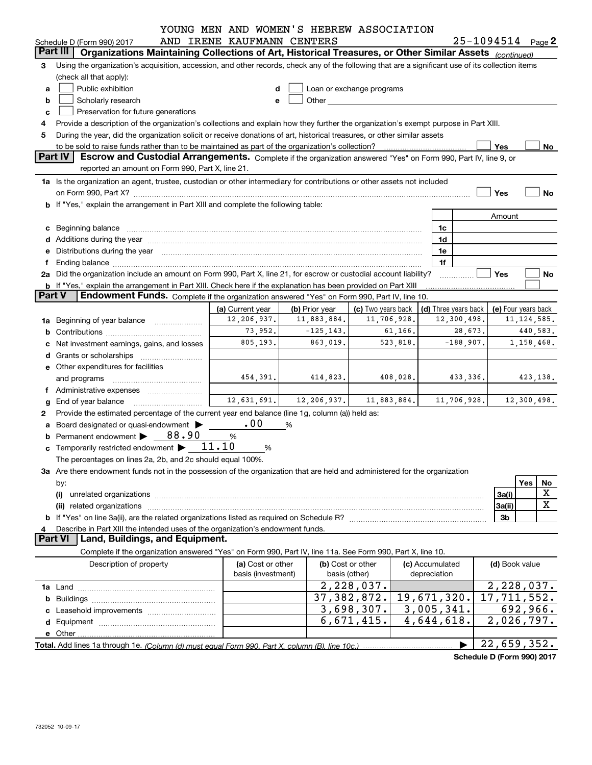|               |                                                                                                                                                                                                                                | YOUNG MEN AND WOMEN'S HEBREW ASSOCIATION |                |                                                                                                                                                                                                                               |  |                                 |                            |               |  |
|---------------|--------------------------------------------------------------------------------------------------------------------------------------------------------------------------------------------------------------------------------|------------------------------------------|----------------|-------------------------------------------------------------------------------------------------------------------------------------------------------------------------------------------------------------------------------|--|---------------------------------|----------------------------|---------------|--|
|               | Schedule D (Form 990) 2017                                                                                                                                                                                                     | AND IRENE KAUFMANN CENTERS               |                |                                                                                                                                                                                                                               |  |                                 | $25 - 1094514$ Page 2      |               |  |
|               | Part III<br>Organizations Maintaining Collections of Art, Historical Treasures, or Other Similar Assets (continued)                                                                                                            |                                          |                |                                                                                                                                                                                                                               |  |                                 |                            |               |  |
| 3             | Using the organization's acquisition, accession, and other records, check any of the following that are a significant use of its collection items                                                                              |                                          |                |                                                                                                                                                                                                                               |  |                                 |                            |               |  |
|               | (check all that apply):                                                                                                                                                                                                        |                                          |                |                                                                                                                                                                                                                               |  |                                 |                            |               |  |
| a             | Public exhibition<br>Loan or exchange programs                                                                                                                                                                                 |                                          |                |                                                                                                                                                                                                                               |  |                                 |                            |               |  |
| b             | Scholarly research                                                                                                                                                                                                             |                                          |                | Other and the contract of the contract of the contract of the contract of the contract of the contract of the contract of the contract of the contract of the contract of the contract of the contract of the contract of the |  |                                 |                            |               |  |
| c             | Preservation for future generations                                                                                                                                                                                            |                                          |                |                                                                                                                                                                                                                               |  |                                 |                            |               |  |
|               | Provide a description of the organization's collections and explain how they further the organization's exempt purpose in Part XIII.                                                                                           |                                          |                |                                                                                                                                                                                                                               |  |                                 |                            |               |  |
| 5             | During the year, did the organization solicit or receive donations of art, historical treasures, or other similar assets                                                                                                       |                                          |                |                                                                                                                                                                                                                               |  |                                 |                            |               |  |
|               | Yes<br>No<br><b>Part IV</b><br>Escrow and Custodial Arrangements. Complete if the organization answered "Yes" on Form 990, Part IV, line 9, or                                                                                 |                                          |                |                                                                                                                                                                                                                               |  |                                 |                            |               |  |
|               | reported an amount on Form 990, Part X, line 21.                                                                                                                                                                               |                                          |                |                                                                                                                                                                                                                               |  |                                 |                            |               |  |
|               | 1a Is the organization an agent, trustee, custodian or other intermediary for contributions or other assets not included                                                                                                       |                                          |                |                                                                                                                                                                                                                               |  |                                 |                            |               |  |
|               |                                                                                                                                                                                                                                |                                          |                |                                                                                                                                                                                                                               |  |                                 | Yes                        | No            |  |
|               | b If "Yes," explain the arrangement in Part XIII and complete the following table:                                                                                                                                             |                                          |                |                                                                                                                                                                                                                               |  |                                 |                            |               |  |
|               |                                                                                                                                                                                                                                |                                          |                |                                                                                                                                                                                                                               |  |                                 | Amount                     |               |  |
|               | c Beginning balance measurements and the state of the state of the state of the state of the state of the state of the state of the state of the state of the state of the state of the state of the state of the state of the |                                          |                |                                                                                                                                                                                                                               |  | 1c                              |                            |               |  |
|               |                                                                                                                                                                                                                                |                                          |                |                                                                                                                                                                                                                               |  | 1d                              |                            |               |  |
|               | e Distributions during the year manufactured and continuum and control of the control of the control of the control of the control of the control of the control of the control of the control of the control of the control o |                                          |                |                                                                                                                                                                                                                               |  | 1e                              |                            |               |  |
| f             |                                                                                                                                                                                                                                |                                          |                |                                                                                                                                                                                                                               |  | 1f                              |                            |               |  |
|               | 2a Did the organization include an amount on Form 990, Part X, line 21, for escrow or custodial account liability?                                                                                                             |                                          |                |                                                                                                                                                                                                                               |  |                                 | Yes                        | No            |  |
|               | b If "Yes," explain the arrangement in Part XIII. Check here if the explanation has been provided on Part XIII                                                                                                                 |                                          |                |                                                                                                                                                                                                                               |  |                                 |                            |               |  |
| <b>Part V</b> | <b>Endowment Funds.</b> Complete if the organization answered "Yes" on Form 990, Part IV, line 10.                                                                                                                             |                                          |                |                                                                                                                                                                                                                               |  |                                 |                            |               |  |
|               |                                                                                                                                                                                                                                | (a) Current year                         | (b) Prior year | (c) Two years back                                                                                                                                                                                                            |  | (d) Three years back            | (e) Four years back        |               |  |
|               | 1a Beginning of year balance                                                                                                                                                                                                   | 12,206,937.                              | 11,883,884.    | 11,706,928.                                                                                                                                                                                                                   |  | 12,300,498.                     |                            | 11, 124, 585. |  |
|               |                                                                                                                                                                                                                                | 73,952.                                  | $-125, 143.$   | 61,166.                                                                                                                                                                                                                       |  | 28,673.                         |                            | 440,583.      |  |
|               | Net investment earnings, gains, and losses                                                                                                                                                                                     | 805, 193.                                | 863,019.       | 523,818.                                                                                                                                                                                                                      |  | $-188,907.$                     |                            | 1, 158, 468.  |  |
|               |                                                                                                                                                                                                                                |                                          |                |                                                                                                                                                                                                                               |  |                                 |                            |               |  |
|               | e Other expenditures for facilities                                                                                                                                                                                            |                                          |                |                                                                                                                                                                                                                               |  |                                 |                            |               |  |
|               | and programs                                                                                                                                                                                                                   | 454,391.                                 | 414,823.       | 408,028.                                                                                                                                                                                                                      |  | 433,336.                        |                            | 423,138.      |  |
|               | f Administrative expenses                                                                                                                                                                                                      |                                          |                |                                                                                                                                                                                                                               |  |                                 |                            |               |  |
|               | <b>g</b> End of year balance $\ldots$                                                                                                                                                                                          | 12,631,691.                              | 12, 206, 937.  | 11,883,884.                                                                                                                                                                                                                   |  | 11,706,928.                     |                            | 12,300,498.   |  |
| 2             | Provide the estimated percentage of the current year end balance (line 1g, column (a)) held as:                                                                                                                                |                                          |                |                                                                                                                                                                                                                               |  |                                 |                            |               |  |
|               | a Board designated or quasi-endowment >                                                                                                                                                                                        | .00                                      | %              |                                                                                                                                                                                                                               |  |                                 |                            |               |  |
|               | Permanent endowment > 88.90                                                                                                                                                                                                    | %                                        |                |                                                                                                                                                                                                                               |  |                                 |                            |               |  |
|               | c Temporarily restricted endowment $\blacktriangleright$ 11.10                                                                                                                                                                 | %                                        |                |                                                                                                                                                                                                                               |  |                                 |                            |               |  |
|               | The percentages on lines 2a, 2b, and 2c should equal 100%.                                                                                                                                                                     |                                          |                |                                                                                                                                                                                                                               |  |                                 |                            |               |  |
|               | 3a Are there endowment funds not in the possession of the organization that are held and administered for the organization                                                                                                     |                                          |                |                                                                                                                                                                                                                               |  |                                 |                            | Yes           |  |
|               | by:<br>(i)                                                                                                                                                                                                                     |                                          |                |                                                                                                                                                                                                                               |  |                                 | 3a(i)                      | No<br>X       |  |
|               |                                                                                                                                                                                                                                |                                          |                |                                                                                                                                                                                                                               |  |                                 | 3a(ii)                     | X             |  |
|               |                                                                                                                                                                                                                                |                                          |                |                                                                                                                                                                                                                               |  |                                 | 3b                         |               |  |
| 4             | Describe in Part XIII the intended uses of the organization's endowment funds.                                                                                                                                                 |                                          |                |                                                                                                                                                                                                                               |  |                                 |                            |               |  |
|               | <b>Part VI</b><br>Land, Buildings, and Equipment.                                                                                                                                                                              |                                          |                |                                                                                                                                                                                                                               |  |                                 |                            |               |  |
|               | Complete if the organization answered "Yes" on Form 990, Part IV, line 11a. See Form 990, Part X, line 10.                                                                                                                     |                                          |                |                                                                                                                                                                                                                               |  |                                 |                            |               |  |
|               | Description of property                                                                                                                                                                                                        | (a) Cost or other<br>basis (investment)  |                | (b) Cost or other<br>basis (other)                                                                                                                                                                                            |  | (c) Accumulated<br>depreciation | (d) Book value             |               |  |
|               |                                                                                                                                                                                                                                |                                          |                | 2,228,037.                                                                                                                                                                                                                    |  |                                 | $\overline{2}$ , 228, 037. |               |  |
|               |                                                                                                                                                                                                                                |                                          |                | 37, 382, 872.                                                                                                                                                                                                                 |  | 19,671,320.                     | $\overline{17,711,552}$ .  |               |  |
|               |                                                                                                                                                                                                                                |                                          |                | 3,698,307.                                                                                                                                                                                                                    |  | 3,005,341.                      |                            | 692, 966.     |  |
|               |                                                                                                                                                                                                                                |                                          |                | 6,671,415.                                                                                                                                                                                                                    |  | $\overline{4,644,618}$ .        | $\overline{2}$ , 026, 797. |               |  |
|               |                                                                                                                                                                                                                                |                                          |                |                                                                                                                                                                                                                               |  |                                 |                            |               |  |
|               |                                                                                                                                                                                                                                |                                          |                |                                                                                                                                                                                                                               |  |                                 | 22,659,352.                |               |  |
|               |                                                                                                                                                                                                                                |                                          |                |                                                                                                                                                                                                                               |  |                                 |                            |               |  |

**Schedule D (Form 990) 2017**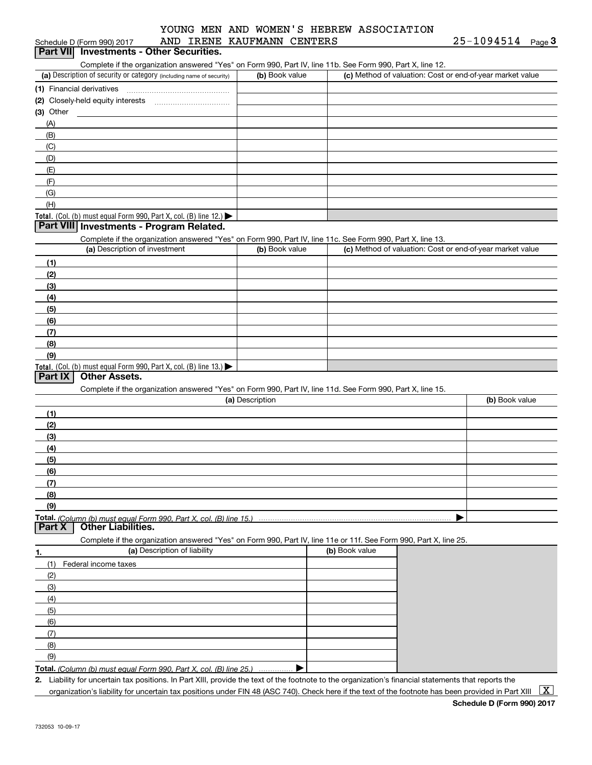|           | Schedule D (Form 990) 2017                                                                                        | AND IRENE KAUFMANN CENTERS |                | 25-1094514<br>Page $3$                                    |
|-----------|-------------------------------------------------------------------------------------------------------------------|----------------------------|----------------|-----------------------------------------------------------|
|           | Part VII Investments - Other Securities.                                                                          |                            |                |                                                           |
|           | Complete if the organization answered "Yes" on Form 990, Part IV, line 11b. See Form 990, Part X, line 12.        |                            |                |                                                           |
|           | (a) Description of security or category (including name of security)                                              | (b) Book value             |                | (c) Method of valuation: Cost or end-of-year market value |
|           |                                                                                                                   |                            |                |                                                           |
|           |                                                                                                                   |                            |                |                                                           |
| (3) Other |                                                                                                                   |                            |                |                                                           |
| (A)       |                                                                                                                   |                            |                |                                                           |
| (B)       |                                                                                                                   |                            |                |                                                           |
| (C)       |                                                                                                                   |                            |                |                                                           |
| (D)       |                                                                                                                   |                            |                |                                                           |
| (E)       |                                                                                                                   |                            |                |                                                           |
| (F)       |                                                                                                                   |                            |                |                                                           |
| (G)       |                                                                                                                   |                            |                |                                                           |
| (H)       |                                                                                                                   |                            |                |                                                           |
|           | Total. (Col. (b) must equal Form 990, Part X, col. (B) line 12.)                                                  |                            |                |                                                           |
|           | Part VIII Investments - Program Related.                                                                          |                            |                |                                                           |
|           | Complete if the organization answered "Yes" on Form 990, Part IV, line 11c. See Form 990, Part X, line 13.        |                            |                |                                                           |
|           | (a) Description of investment                                                                                     | (b) Book value             |                | (c) Method of valuation: Cost or end-of-year market value |
| (1)       |                                                                                                                   |                            |                |                                                           |
| (2)       |                                                                                                                   |                            |                |                                                           |
| (3)       |                                                                                                                   |                            |                |                                                           |
| (4)       |                                                                                                                   |                            |                |                                                           |
| (5)       |                                                                                                                   |                            |                |                                                           |
| (6)       |                                                                                                                   |                            |                |                                                           |
| (7)       |                                                                                                                   |                            |                |                                                           |
| (8)       |                                                                                                                   |                            |                |                                                           |
| (9)       |                                                                                                                   |                            |                |                                                           |
|           |                                                                                                                   |                            |                |                                                           |
|           |                                                                                                                   |                            |                |                                                           |
|           | Total. (Col. (b) must equal Form 990, Part X, col. (B) line 13.)                                                  |                            |                |                                                           |
| Part IX   | <b>Other Assets.</b>                                                                                              |                            |                |                                                           |
|           | Complete if the organization answered "Yes" on Form 990, Part IV, line 11d. See Form 990, Part X, line 15.        |                            |                | (b) Book value                                            |
|           |                                                                                                                   | (a) Description            |                |                                                           |
| (1)       |                                                                                                                   |                            |                |                                                           |
| (2)       |                                                                                                                   |                            |                |                                                           |
| (3)       |                                                                                                                   |                            |                |                                                           |
| (4)       |                                                                                                                   |                            |                |                                                           |
| (5)       |                                                                                                                   |                            |                |                                                           |
| (6)       |                                                                                                                   |                            |                |                                                           |
| (7)       |                                                                                                                   |                            |                |                                                           |
| (8)       |                                                                                                                   |                            |                |                                                           |
| (9)       |                                                                                                                   |                            |                |                                                           |
|           | Total. (Column (b) must equal Form 990. Part X, col. (B) line 15.)                                                |                            |                |                                                           |
| Part X    | <b>Other Liabilities.</b>                                                                                         |                            |                |                                                           |
|           | Complete if the organization answered "Yes" on Form 990, Part IV, line 11e or 11f. See Form 990, Part X, line 25. |                            |                |                                                           |
|           | (a) Description of liability                                                                                      |                            | (b) Book value |                                                           |
| (1)       | Federal income taxes                                                                                              |                            |                |                                                           |
| (2)       |                                                                                                                   |                            |                |                                                           |
| (3)       |                                                                                                                   |                            |                |                                                           |
| (4)       |                                                                                                                   |                            |                |                                                           |
| (5)       |                                                                                                                   |                            |                |                                                           |
| (6)       |                                                                                                                   |                            |                |                                                           |
| (7)       |                                                                                                                   |                            |                |                                                           |
| 1.<br>(8) |                                                                                                                   |                            |                |                                                           |
| (9)       |                                                                                                                   |                            |                |                                                           |

**2.** Liability for uncertain tax positions. In Part XIII, provide the text of the footnote to the organization's financial statements that reports the organization's liability for uncertain tax positions under FIN 48 (ASC 740). Check here if the text of the footnote has been provided in Part XIII  $~\boxed{\rm X}$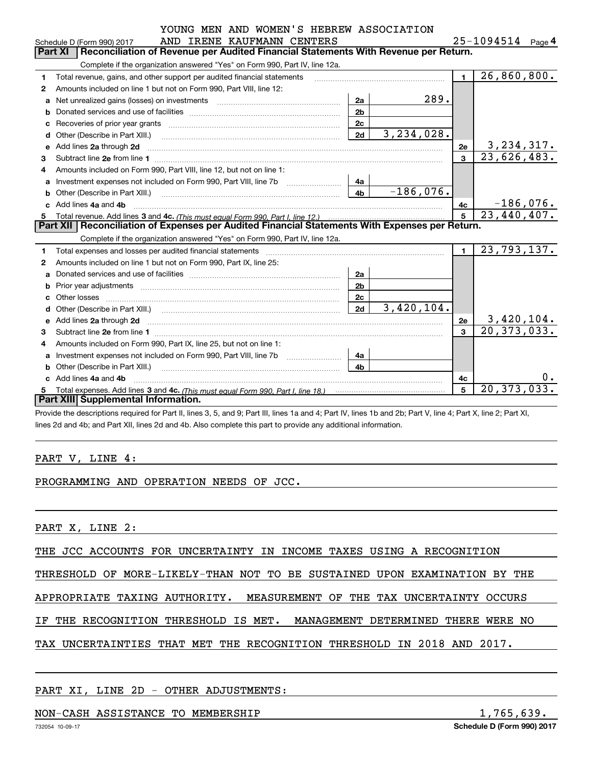|  |  |  | YOUNG MEN AND WOMEN'S HEBREW ASSOCIATION |  |
|--|--|--|------------------------------------------|--|
|  |  |  |                                          |  |

|   | AND IRENE KAUFMANN CENTERS<br>Schedule D (Form 990) 2017                                                                                                                                                                                                                                                                                             |                |              |                | 25-1094514<br>Page $\mathsf 4$  |
|---|------------------------------------------------------------------------------------------------------------------------------------------------------------------------------------------------------------------------------------------------------------------------------------------------------------------------------------------------------|----------------|--------------|----------------|---------------------------------|
|   | <b>Part XI</b><br>Reconciliation of Revenue per Audited Financial Statements With Revenue per Return.                                                                                                                                                                                                                                                |                |              |                |                                 |
|   | Complete if the organization answered "Yes" on Form 990, Part IV, line 12a.                                                                                                                                                                                                                                                                          |                |              |                |                                 |
| 1 | Total revenue, gains, and other support per audited financial statements                                                                                                                                                                                                                                                                             |                |              | $\blacksquare$ | 26,860,800.                     |
| 2 | Amounts included on line 1 but not on Form 990, Part VIII, line 12:                                                                                                                                                                                                                                                                                  |                |              |                |                                 |
| a |                                                                                                                                                                                                                                                                                                                                                      | 2a             | 289.         |                |                                 |
|   |                                                                                                                                                                                                                                                                                                                                                      | 2 <sub>b</sub> |              |                |                                 |
| c |                                                                                                                                                                                                                                                                                                                                                      | 2c             |              |                |                                 |
| d | Other (Describe in Part XIII.) <b>Construction Construction</b> Chern Construction Chern Chern Chern Chern Chern Chern                                                                                                                                                                                                                               | 2d             | 3, 234, 028. |                |                                 |
| e | Add lines 2a through 2d                                                                                                                                                                                                                                                                                                                              |                |              | <b>2e</b>      | $\frac{3,234,317}{23,626,483.}$ |
| 3 |                                                                                                                                                                                                                                                                                                                                                      |                |              | $\overline{3}$ |                                 |
| 4 | Amounts included on Form 990, Part VIII, line 12, but not on line 1:                                                                                                                                                                                                                                                                                 |                |              |                |                                 |
|   |                                                                                                                                                                                                                                                                                                                                                      | 4a             |              |                |                                 |
| b | Other (Describe in Part XIII.) <b>Construction Construction</b> Chern Construction Chern Chern Chern Chern Chern Chern                                                                                                                                                                                                                               | 4 <sub>h</sub> | $-186,076.$  |                |                                 |
|   | c Add lines 4a and 4b                                                                                                                                                                                                                                                                                                                                |                |              | 4с             | $-186,076.$                     |
|   |                                                                                                                                                                                                                                                                                                                                                      |                |              | 5              | 23,440,407.                     |
| 5 |                                                                                                                                                                                                                                                                                                                                                      |                |              |                |                                 |
|   | Part XII   Reconciliation of Expenses per Audited Financial Statements With Expenses per Return.                                                                                                                                                                                                                                                     |                |              |                |                                 |
|   | Complete if the organization answered "Yes" on Form 990, Part IV, line 12a.                                                                                                                                                                                                                                                                          |                |              |                |                                 |
| 1 | Total expenses and losses per audited financial statements [11,11] [11] Total expenses and losses per audited financial statements [11] [11] Total expenses and losses per audited financial statements                                                                                                                                              |                |              | $\blacksquare$ | 23,793,137.                     |
| 2 | Amounts included on line 1 but not on Form 990, Part IX, line 25:                                                                                                                                                                                                                                                                                    |                |              |                |                                 |
| a |                                                                                                                                                                                                                                                                                                                                                      | 2a             |              |                |                                 |
| b |                                                                                                                                                                                                                                                                                                                                                      | 2 <sub>b</sub> |              |                |                                 |
| c | Other losses<br>$\begin{bmatrix} \begin{bmatrix} 0 & 0 & 0 & 0 \\ 0 & 0 & 0 & 0 \\ 0 & 0 & 0 & 0 \\ 0 & 0 & 0 & 0 \\ 0 & 0 & 0 & 0 \\ 0 & 0 & 0 & 0 \\ 0 & 0 & 0 & 0 \\ 0 & 0 & 0 & 0 & 0 \\ 0 & 0 & 0 & 0 & 0 \\ 0 & 0 & 0 & 0 & 0 \\ 0 & 0 & 0 & 0 & 0 \\ 0 & 0 & 0 & 0 & 0 \\ 0 & 0 & 0 & 0 & 0 & 0 \\ 0 & 0 & 0 & 0 & 0 & 0 \\ 0 & 0 & 0 & 0 & $ | 2c             |              |                |                                 |
| d |                                                                                                                                                                                                                                                                                                                                                      | 2d             | 3,420,104.   |                |                                 |
| е | Add lines 2a through 2d                                                                                                                                                                                                                                                                                                                              |                |              | 2e             |                                 |
| 3 |                                                                                                                                                                                                                                                                                                                                                      |                |              | $\mathbf{a}$   | $\frac{3,420,104}{20,373,033}$  |
| 4 | Amounts included on Form 990, Part IX, line 25, but not on line 1:                                                                                                                                                                                                                                                                                   |                |              |                |                                 |
| a |                                                                                                                                                                                                                                                                                                                                                      | 4a             |              |                |                                 |
| b | Other (Describe in Part XIII.)                                                                                                                                                                                                                                                                                                                       | 4 <sub>b</sub> |              |                |                                 |
|   | Add lines 4a and 4b                                                                                                                                                                                                                                                                                                                                  |                |              | 4c             | 0.                              |
| 5 | <b>Part XIII Supplemental Information.</b>                                                                                                                                                                                                                                                                                                           |                |              | 5              | 20, 373, 033.                   |

Provide the descriptions required for Part II, lines 3, 5, and 9; Part III, lines 1a and 4; Part IV, lines 1b and 2b; Part V, line 4; Part X, line 2; Part XI, lines 2d and 4b; and Part XII, lines 2d and 4b. Also complete this part to provide any additional information.

#### PART V, LINE 4:

#### PROGRAMMING AND OPERATION NEEDS OF JCC.

PART X, LINE 2:

THE JCC ACCOUNTS FOR UNCERTAINTY IN INCOME TAXES USING A RECOGNITION

THRESHOLD OF MORE-LIKELY-THAN NOT TO BE SUSTAINED UPON EXAMINATION BY THE

APPROPRIATE TAXING AUTHORITY. MEASUREMENT OF THE TAX UNCERTAINTY OCCURS

IF THE RECOGNITION THRESHOLD IS MET. MANAGEMENT DETERMINED THERE WERE NO

TAX UNCERTAINTIES THAT MET THE RECOGNITION THRESHOLD IN 2018 AND 2017.

#### PART XI, LINE 2D - OTHER ADJUSTMENTS:

#### NON-CASH ASSISTANCE TO MEMBERSHIP 1,765,639.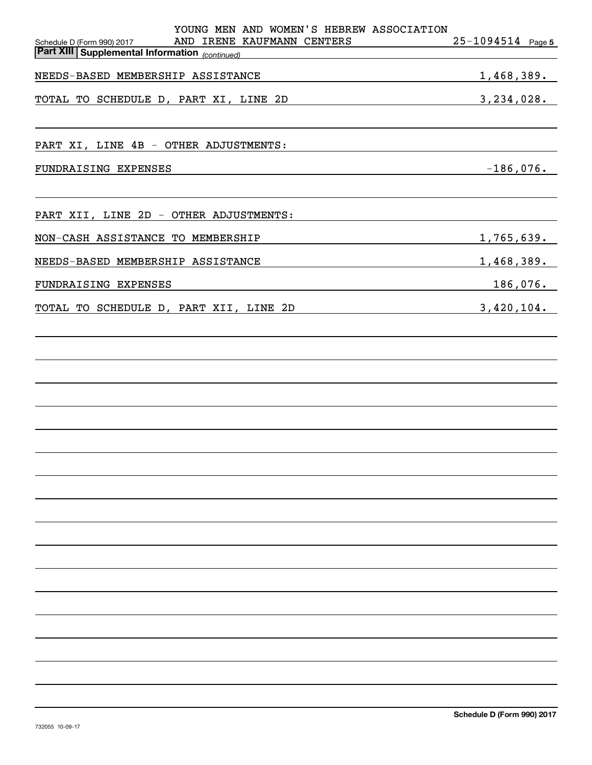| YOUNG MEN AND WOMEN'S HEBREW ASSOCIATION<br>AND IRENE KAUFMANN CENTERS<br>Schedule D (Form 990) 2017<br><b>Part XIII Supplemental Information</b> (continued) | $25 - 1094514$ Page 5 |
|---------------------------------------------------------------------------------------------------------------------------------------------------------------|-----------------------|
| NEEDS-BASED MEMBERSHIP ASSISTANCE<br><u> 1989 - Johann Barbara, martxa</u>                                                                                    | 1,468,389.            |
| TOTAL TO SCHEDULE D, PART XI, LINE 2D<br>$3,234,028$ .                                                                                                        |                       |
| PART XI, LINE 4B - OTHER ADJUSTMENTS:                                                                                                                         |                       |
| FUNDRAISING EXPENSES                                                                                                                                          | $-186,076.$           |
| PART XII, LINE 2D - OTHER ADJUSTMENTS:                                                                                                                        |                       |
| NON-CASH ASSISTANCE TO MEMBERSHIP                                                                                                                             | 1,765,639.            |
| NEEDS-BASED MEMBERSHIP ASSISTANCE                                                                                                                             | 1,468,389.            |
| FUNDRAISING EXPENSES                                                                                                                                          | $186,076$ .           |
| TOTAL TO SCHEDULE D, PART XII, LINE 2D<br><u> 1989 - Johann Stoff, fransk politik (d. 1989)</u>                                                               | 3,420,104.            |
|                                                                                                                                                               |                       |
|                                                                                                                                                               |                       |
|                                                                                                                                                               |                       |
|                                                                                                                                                               |                       |
|                                                                                                                                                               |                       |
|                                                                                                                                                               |                       |
|                                                                                                                                                               |                       |
|                                                                                                                                                               |                       |
|                                                                                                                                                               |                       |
|                                                                                                                                                               |                       |
|                                                                                                                                                               |                       |
|                                                                                                                                                               |                       |
|                                                                                                                                                               |                       |
|                                                                                                                                                               |                       |
|                                                                                                                                                               |                       |
|                                                                                                                                                               |                       |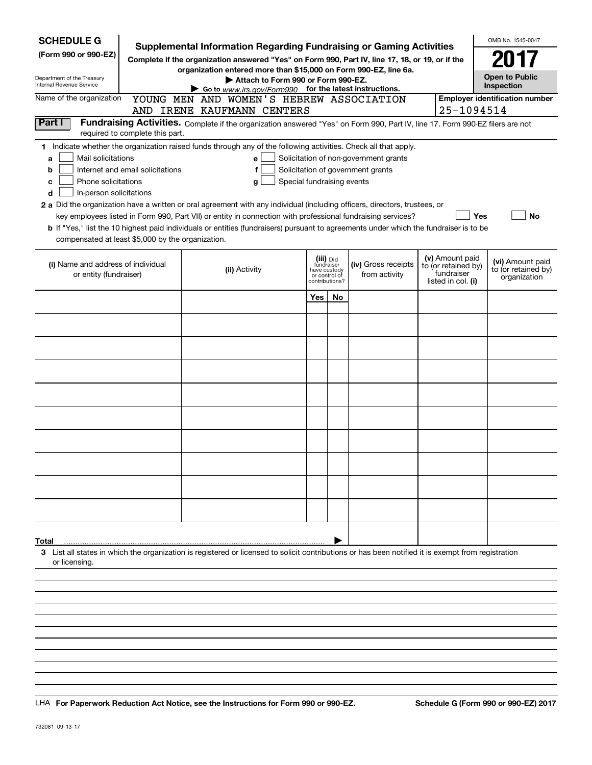| <b>SCHEDULE G</b><br>(Form 990 or 990-EZ)                                                                                                     |                                  | <b>Supplemental Information Regarding Fundraising or Gaming Activities</b><br>Complete if the organization answered "Yes" on Form 990, Part IV, line 17, 18, or 19, or if the<br>organization entered more than \$15,000 on Form 990-EZ, line 6a.                                                                                                                                                                                                                                                                                                         |                                                                            |    |                                                                            |                                                                            | OMB No. 1545-0047<br>2017                               |
|-----------------------------------------------------------------------------------------------------------------------------------------------|----------------------------------|-----------------------------------------------------------------------------------------------------------------------------------------------------------------------------------------------------------------------------------------------------------------------------------------------------------------------------------------------------------------------------------------------------------------------------------------------------------------------------------------------------------------------------------------------------------|----------------------------------------------------------------------------|----|----------------------------------------------------------------------------|----------------------------------------------------------------------------|---------------------------------------------------------|
| Department of the Treasury<br>Internal Revenue Service<br>Name of the organization                                                            |                                  | Attach to Form 990 or Form 990-EZ.<br>Go to www.irs.gov/Form990 for the latest instructions.                                                                                                                                                                                                                                                                                                                                                                                                                                                              |                                                                            |    |                                                                            |                                                                            | <b>Open to Public</b><br>Inspection                     |
|                                                                                                                                               |                                  | YOUNG MEN AND WOMEN'S HEBREW ASSOCIATION<br>AND IRENE KAUFMANN CENTERS                                                                                                                                                                                                                                                                                                                                                                                                                                                                                    |                                                                            |    |                                                                            | 25-1094514                                                                 | <b>Employer identification number</b>                   |
| Part I                                                                                                                                        | required to complete this part.  | Fundraising Activities. Complete if the organization answered "Yes" on Form 990, Part IV, line 17. Form 990-EZ filers are not                                                                                                                                                                                                                                                                                                                                                                                                                             |                                                                            |    |                                                                            |                                                                            |                                                         |
| Mail solicitations<br>a<br>b<br>Phone solicitations<br>c<br>In-person solicitations<br>d<br>compensated at least \$5,000 by the organization. | Internet and email solicitations | 1 Indicate whether the organization raised funds through any of the following activities. Check all that apply.<br>е<br>f<br>Special fundraising events<br>g<br>2 a Did the organization have a written or oral agreement with any individual (including officers, directors, trustees, or<br>key employees listed in Form 990, Part VII) or entity in connection with professional fundraising services?<br><b>b</b> If "Yes," list the 10 highest paid individuals or entities (fundraisers) pursuant to agreements under which the fundraiser is to be |                                                                            |    | Solicitation of non-government grants<br>Solicitation of government grants | Yes                                                                        | No                                                      |
| (i) Name and address of individual<br>or entity (fundraiser)                                                                                  |                                  | (ii) Activity                                                                                                                                                                                                                                                                                                                                                                                                                                                                                                                                             | (iii) Did<br>fundraiser<br>have custody<br>or control of<br>contributions? |    | (iv) Gross receipts<br>from activity                                       | (v) Amount paid<br>to (or retained by)<br>fundraiser<br>listed in col. (i) | (vi) Amount paid<br>to (or retained by)<br>organization |
|                                                                                                                                               |                                  |                                                                                                                                                                                                                                                                                                                                                                                                                                                                                                                                                           | Yes                                                                        | No |                                                                            |                                                                            |                                                         |
|                                                                                                                                               |                                  |                                                                                                                                                                                                                                                                                                                                                                                                                                                                                                                                                           |                                                                            |    |                                                                            |                                                                            |                                                         |
|                                                                                                                                               |                                  |                                                                                                                                                                                                                                                                                                                                                                                                                                                                                                                                                           |                                                                            |    |                                                                            |                                                                            |                                                         |
|                                                                                                                                               |                                  |                                                                                                                                                                                                                                                                                                                                                                                                                                                                                                                                                           |                                                                            |    |                                                                            |                                                                            |                                                         |
|                                                                                                                                               |                                  |                                                                                                                                                                                                                                                                                                                                                                                                                                                                                                                                                           |                                                                            |    |                                                                            |                                                                            |                                                         |
|                                                                                                                                               |                                  |                                                                                                                                                                                                                                                                                                                                                                                                                                                                                                                                                           |                                                                            |    |                                                                            |                                                                            |                                                         |
|                                                                                                                                               |                                  |                                                                                                                                                                                                                                                                                                                                                                                                                                                                                                                                                           |                                                                            |    |                                                                            |                                                                            |                                                         |
|                                                                                                                                               |                                  |                                                                                                                                                                                                                                                                                                                                                                                                                                                                                                                                                           |                                                                            |    |                                                                            |                                                                            |                                                         |
|                                                                                                                                               |                                  |                                                                                                                                                                                                                                                                                                                                                                                                                                                                                                                                                           |                                                                            |    |                                                                            |                                                                            |                                                         |
| Total<br>or licensing.                                                                                                                        |                                  | 3 List all states in which the organization is registered or licensed to solicit contributions or has been notified it is exempt from registration                                                                                                                                                                                                                                                                                                                                                                                                        |                                                                            |    |                                                                            |                                                                            |                                                         |
|                                                                                                                                               |                                  |                                                                                                                                                                                                                                                                                                                                                                                                                                                                                                                                                           |                                                                            |    |                                                                            |                                                                            |                                                         |
|                                                                                                                                               |                                  |                                                                                                                                                                                                                                                                                                                                                                                                                                                                                                                                                           |                                                                            |    |                                                                            |                                                                            |                                                         |
|                                                                                                                                               |                                  |                                                                                                                                                                                                                                                                                                                                                                                                                                                                                                                                                           |                                                                            |    |                                                                            |                                                                            |                                                         |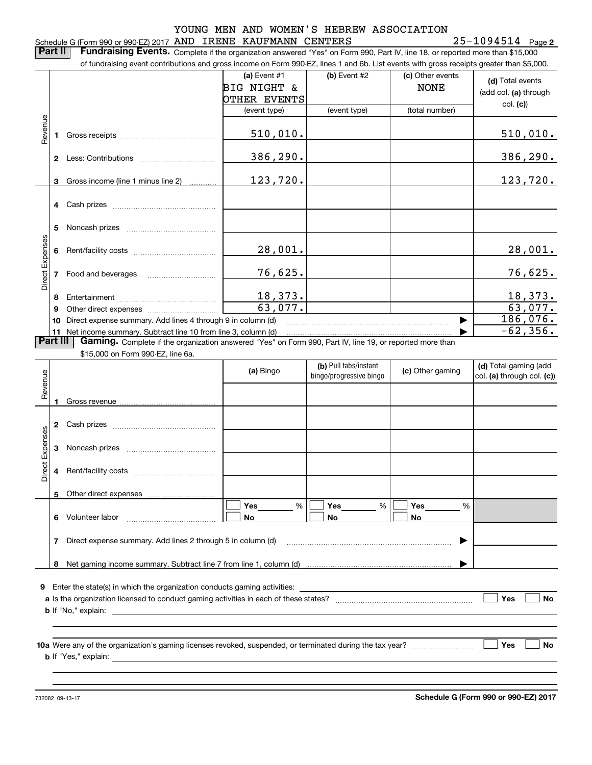#### Schedule G (Form 990 or 990-EZ) 2017 Page AND IRENE KAUFMANN CENTERS 25-1094514

**2**

**Part II** | Fundraising Events. Complete if the organization answered "Yes" on Form 990, Part IV, line 18, or reported more than \$15,000 of fundraising event contributions and gross income on Form 990-EZ, lines 1 and 6b. List events with gross receipts greater than \$5,000.

|                 |              |                                                                                                          | (a) Event $#1$ | $(b)$ Event #2          | (c) Other events | (d) Total events               |
|-----------------|--------------|----------------------------------------------------------------------------------------------------------|----------------|-------------------------|------------------|--------------------------------|
|                 |              |                                                                                                          | BIG NIGHT &    |                         | <b>NONE</b>      | (add col. (a) through          |
|                 |              |                                                                                                          | OTHER EVENTS   |                         |                  | col. (c)                       |
|                 |              |                                                                                                          | (event type)   | (event type)            | (total number)   |                                |
|                 |              |                                                                                                          |                |                         |                  |                                |
| Revenue         |              |                                                                                                          | 510,010.       |                         |                  | 510,010.                       |
|                 |              |                                                                                                          |                |                         |                  |                                |
|                 | $\mathbf{2}$ |                                                                                                          | 386,290.       |                         |                  | 386,290.                       |
|                 |              |                                                                                                          |                |                         |                  |                                |
|                 |              | 3 Gross income (line 1 minus line 2)                                                                     | 123,720.       |                         |                  | 123,720.                       |
|                 |              |                                                                                                          |                |                         |                  |                                |
|                 |              |                                                                                                          |                |                         |                  |                                |
|                 |              |                                                                                                          |                |                         |                  |                                |
|                 | 5            |                                                                                                          |                |                         |                  |                                |
| Direct Expenses |              |                                                                                                          | 28,001.        |                         |                  | 28,001.                        |
|                 |              |                                                                                                          |                |                         |                  |                                |
|                 |              | Food and beverages                                                                                       | 76,625.        |                         |                  | 76,625.                        |
|                 |              |                                                                                                          |                |                         |                  |                                |
|                 | 8            |                                                                                                          | 18,373.        |                         |                  | <u>18,373.</u>                 |
|                 | 9            |                                                                                                          | 63,077.        |                         |                  | 63,077.                        |
|                 | 10           | 186,076.                                                                                                 |                |                         |                  |                                |
|                 |              | 11 Net income summary. Subtract line 10 from line 3, column (d)                                          |                |                         |                  | $-62, 356.$                    |
| <b>Part III</b> |              | Gaming. Complete if the organization answered "Yes" on Form 990, Part IV, line 19, or reported more than |                |                         |                  |                                |
|                 |              | \$15,000 on Form 990-EZ, line 6a.                                                                        |                |                         |                  |                                |
|                 |              |                                                                                                          |                | (b) Pull tabs/instant   |                  | (d) Total gaming (add          |
| eur             |              |                                                                                                          | (a) Bingo      | bingo/progressive bingo | (c) Other gaming | $ col. (a)$ through col. $(c)$ |

| Revenue         |   |                                                                                                                                                                      | (a) Bingo   | (D) Pull taps/illstallt<br>bingo/progressive bingo | (c) Other gaming | (a) Total garning (add<br>$ col. (a)$ through col. $(c)$ |
|-----------------|---|----------------------------------------------------------------------------------------------------------------------------------------------------------------------|-------------|----------------------------------------------------|------------------|----------------------------------------------------------|
|                 |   |                                                                                                                                                                      |             |                                                    |                  |                                                          |
|                 | 2 |                                                                                                                                                                      |             |                                                    |                  |                                                          |
|                 | 3 |                                                                                                                                                                      |             |                                                    |                  |                                                          |
| Direct Expenses | 4 |                                                                                                                                                                      |             |                                                    |                  |                                                          |
|                 | 5 |                                                                                                                                                                      |             |                                                    |                  |                                                          |
|                 | 6 |                                                                                                                                                                      | Yes %<br>No | %<br>No                                            | %<br>No          |                                                          |
|                 | 7 | Direct expense summary. Add lines 2 through 5 in column (d) [11] manuscription contracts contract to the Direct expense summary. Add lines 2 through 5 in column (d) |             |                                                    | ▶                |                                                          |
|                 | 8 |                                                                                                                                                                      |             |                                                    |                  |                                                          |
| 9               |   |                                                                                                                                                                      |             |                                                    |                  |                                                          |
|                 |   | <b>a</b> Is the organization licensed to conduct gaming activities in each of these states?                                                                          |             |                                                    |                  | Yes<br><b>No</b>                                         |
|                 |   |                                                                                                                                                                      |             |                                                    |                  |                                                          |
|                 |   | <b>b</b> If "Yes," explain: <b>b</b> If "Yes," explain:                                                                                                              |             |                                                    |                  | Yes<br><b>No</b>                                         |
|                 |   |                                                                                                                                                                      |             |                                                    |                  |                                                          |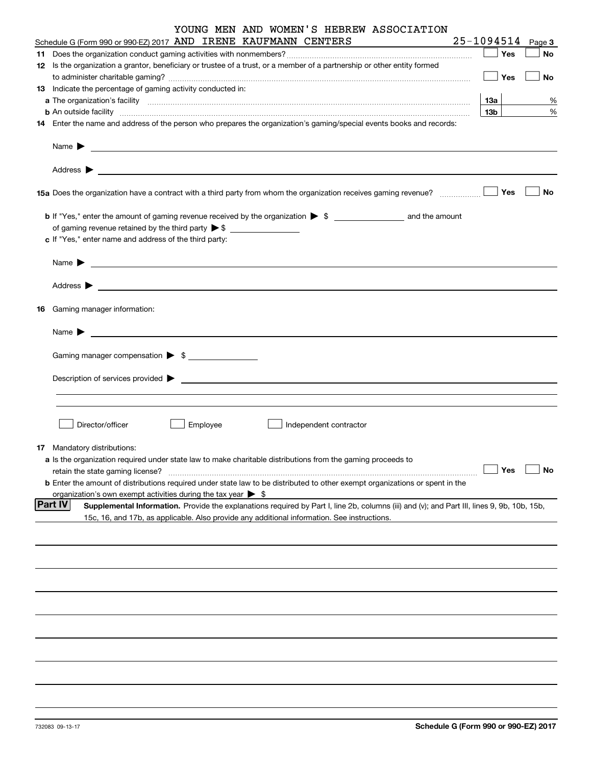| YOUNG MEN AND WOMEN'S HEBREW ASSOCIATION<br>Schedule G (Form 990 or 990-EZ) 2017 AND IRENE KAUFMANN CENTERS                                                                                                                               | 25-1094514      |        |
|-------------------------------------------------------------------------------------------------------------------------------------------------------------------------------------------------------------------------------------------|-----------------|--------|
|                                                                                                                                                                                                                                           |                 | Page 3 |
|                                                                                                                                                                                                                                           | $\Box$ Yes      | No     |
| 12 Is the organization a grantor, beneficiary or trustee of a trust, or a member of a partnership or other entity formed                                                                                                                  |                 |        |
|                                                                                                                                                                                                                                           | $\Box$ Yes      | No     |
| 13 Indicate the percentage of gaming activity conducted in:                                                                                                                                                                               |                 |        |
|                                                                                                                                                                                                                                           | 13а             | %      |
| <b>b</b> An outside facility <b>contained a contract and a contract of the contract of the contract of the contract of the contract of the contract of the contract of the contract of the contract of the contract of the contract o</b> | 13 <sub>b</sub> | %      |
| 14 Enter the name and address of the person who prepares the organization's gaming/special events books and records:                                                                                                                      |                 |        |
|                                                                                                                                                                                                                                           |                 |        |
|                                                                                                                                                                                                                                           |                 |        |
| 15 Yes                                                                                                                                                                                                                                    |                 | No     |
|                                                                                                                                                                                                                                           |                 |        |
|                                                                                                                                                                                                                                           |                 |        |
|                                                                                                                                                                                                                                           |                 |        |
| c If "Yes," enter name and address of the third party:                                                                                                                                                                                    |                 |        |
|                                                                                                                                                                                                                                           |                 |        |
|                                                                                                                                                                                                                                           |                 |        |
| 16 Gaming manager information:                                                                                                                                                                                                            |                 |        |
|                                                                                                                                                                                                                                           |                 |        |
| <u> 1989 - Johann Barbara, martin amerikan basal dan berasal dan berasal dalam basal dan berasal dan berasal dan</u><br>Name $\blacktriangleright$                                                                                        |                 |        |
| Gaming manager compensation > \$                                                                                                                                                                                                          |                 |        |
| $Description of services provided$ $\triangleright$                                                                                                                                                                                       |                 |        |
|                                                                                                                                                                                                                                           |                 |        |
|                                                                                                                                                                                                                                           |                 |        |
| Director/officer<br>Employee<br>Independent contractor                                                                                                                                                                                    |                 |        |
|                                                                                                                                                                                                                                           |                 |        |
| <b>17</b> Mandatory distributions:                                                                                                                                                                                                        |                 |        |
| a Is the organization required under state law to make charitable distributions from the gaming proceeds to                                                                                                                               |                 |        |
| retain the state gaming license?                                                                                                                                                                                                          | Yes             | No     |
| <b>b</b> Enter the amount of distributions required under state law to be distributed to other exempt organizations or spent in the                                                                                                       |                 |        |
| organization's own exempt activities during the tax year $\triangleright$ \$                                                                                                                                                              |                 |        |
| <b>Part IV</b><br>Supplemental Information. Provide the explanations required by Part I, line 2b, columns (iii) and (v); and Part III, lines 9, 9b, 10b, 15b,                                                                             |                 |        |
| 15c, 16, and 17b, as applicable. Also provide any additional information. See instructions.                                                                                                                                               |                 |        |
|                                                                                                                                                                                                                                           |                 |        |
|                                                                                                                                                                                                                                           |                 |        |
|                                                                                                                                                                                                                                           |                 |        |
|                                                                                                                                                                                                                                           |                 |        |
|                                                                                                                                                                                                                                           |                 |        |
|                                                                                                                                                                                                                                           |                 |        |
|                                                                                                                                                                                                                                           |                 |        |
|                                                                                                                                                                                                                                           |                 |        |
|                                                                                                                                                                                                                                           |                 |        |
|                                                                                                                                                                                                                                           |                 |        |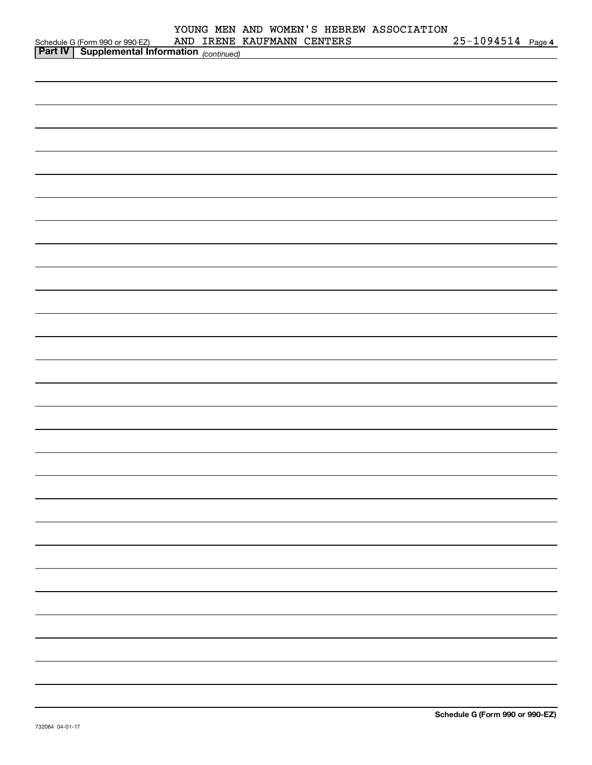|                                                                                                  |  |                            | YOUNG MEN AND WOMEN'S HEBREW ASSOCIATION |                       |  |
|--------------------------------------------------------------------------------------------------|--|----------------------------|------------------------------------------|-----------------------|--|
| Schedule G (Form 990 or 990-EZ) AND IRENE<br><b>Part IV</b> Supplemental Information (continued) |  | AND IRENE KAUFMANN CENTERS |                                          | $25 - 1094514$ Page 4 |  |
|                                                                                                  |  |                            |                                          |                       |  |
|                                                                                                  |  |                            |                                          |                       |  |
|                                                                                                  |  |                            |                                          |                       |  |
|                                                                                                  |  |                            |                                          |                       |  |
|                                                                                                  |  |                            |                                          |                       |  |
|                                                                                                  |  |                            |                                          |                       |  |
|                                                                                                  |  |                            |                                          |                       |  |
|                                                                                                  |  |                            |                                          |                       |  |
|                                                                                                  |  |                            |                                          |                       |  |
|                                                                                                  |  |                            |                                          |                       |  |
|                                                                                                  |  |                            |                                          |                       |  |
|                                                                                                  |  |                            |                                          |                       |  |
|                                                                                                  |  |                            |                                          |                       |  |
|                                                                                                  |  |                            |                                          |                       |  |
|                                                                                                  |  |                            |                                          |                       |  |
|                                                                                                  |  |                            |                                          |                       |  |
|                                                                                                  |  |                            |                                          |                       |  |
|                                                                                                  |  |                            |                                          |                       |  |
|                                                                                                  |  |                            |                                          |                       |  |
|                                                                                                  |  |                            |                                          |                       |  |
|                                                                                                  |  |                            |                                          |                       |  |
|                                                                                                  |  |                            |                                          |                       |  |
|                                                                                                  |  |                            |                                          |                       |  |
|                                                                                                  |  |                            |                                          |                       |  |
|                                                                                                  |  |                            |                                          |                       |  |
|                                                                                                  |  |                            |                                          |                       |  |
|                                                                                                  |  |                            |                                          |                       |  |
|                                                                                                  |  |                            |                                          |                       |  |
|                                                                                                  |  |                            |                                          |                       |  |
|                                                                                                  |  |                            |                                          |                       |  |
|                                                                                                  |  |                            |                                          |                       |  |
|                                                                                                  |  |                            |                                          |                       |  |
|                                                                                                  |  |                            |                                          |                       |  |
|                                                                                                  |  |                            |                                          |                       |  |
|                                                                                                  |  |                            |                                          |                       |  |
|                                                                                                  |  |                            |                                          |                       |  |
|                                                                                                  |  |                            |                                          |                       |  |
|                                                                                                  |  |                            |                                          |                       |  |
|                                                                                                  |  |                            |                                          |                       |  |
|                                                                                                  |  |                            |                                          |                       |  |
|                                                                                                  |  |                            |                                          |                       |  |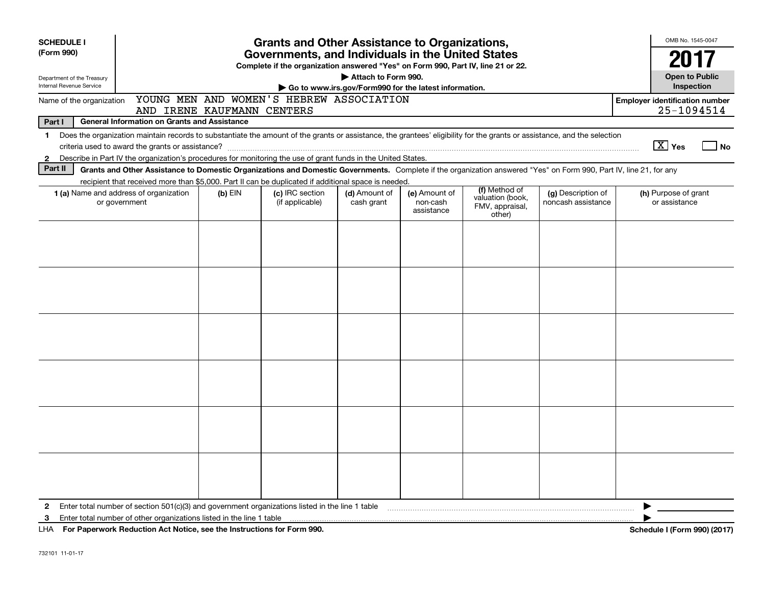| <b>SCHEDULE I</b>                                                                                                                           |                                                                                                                                                                                                                                                                                                             |                                                   | <b>Grants and Other Assistance to Organizations,</b> |                             |                                         |                                                                |                                          | OMB No. 1545-0047                     |                             |
|---------------------------------------------------------------------------------------------------------------------------------------------|-------------------------------------------------------------------------------------------------------------------------------------------------------------------------------------------------------------------------------------------------------------------------------------------------------------|---------------------------------------------------|------------------------------------------------------|-----------------------------|-----------------------------------------|----------------------------------------------------------------|------------------------------------------|---------------------------------------|-----------------------------|
| (Form 990)                                                                                                                                  |                                                                                                                                                                                                                                                                                                             | Governments, and Individuals in the United States | 2017                                                 |                             |                                         |                                                                |                                          |                                       |                             |
| Department of the Treasury<br>Internal Revenue Service                                                                                      | Complete if the organization answered "Yes" on Form 990, Part IV, line 21 or 22.<br>Attach to Form 990.<br>Go to www.irs.gov/Form990 for the latest information.                                                                                                                                            |                                                   |                                                      |                             |                                         |                                                                |                                          |                                       | <b>Open to Public</b>       |
| YOUNG MEN AND WOMEN'S HEBREW ASSOCIATION<br><b>Employer identification number</b><br>Name of the organization<br>AND IRENE KAUFMANN CENTERS |                                                                                                                                                                                                                                                                                                             |                                                   |                                                      |                             |                                         |                                                                |                                          |                                       | 25-1094514                  |
| Part I                                                                                                                                      | <b>General Information on Grants and Assistance</b>                                                                                                                                                                                                                                                         |                                                   |                                                      |                             |                                         |                                                                |                                          |                                       |                             |
| $\mathbf 1$<br>$\mathbf{2}$                                                                                                                 | Does the organization maintain records to substantiate the amount of the grants or assistance, the grantees' eligibility for the grants or assistance, and the selection<br>Describe in Part IV the organization's procedures for monitoring the use of grant funds in the United States.                   |                                                   |                                                      |                             |                                         |                                                                |                                          | $\boxed{\text{X}}$ Yes                | $\overline{\phantom{a}}$ No |
| Part II                                                                                                                                     | Grants and Other Assistance to Domestic Organizations and Domestic Governments. Complete if the organization answered "Yes" on Form 990, Part IV, line 21, for any                                                                                                                                          |                                                   |                                                      |                             |                                         |                                                                |                                          |                                       |                             |
|                                                                                                                                             | recipient that received more than \$5,000. Part II can be duplicated if additional space is needed.<br><b>1 (a)</b> Name and address of organization<br>or government                                                                                                                                       | $(b)$ EIN                                         | (c) IRC section<br>(if applicable)                   | (d) Amount of<br>cash grant | (e) Amount of<br>non-cash<br>assistance | (f) Method of<br>valuation (book,<br>FMV, appraisal,<br>other) | (g) Description of<br>noncash assistance | (h) Purpose of grant<br>or assistance |                             |
|                                                                                                                                             |                                                                                                                                                                                                                                                                                                             |                                                   |                                                      |                             |                                         |                                                                |                                          |                                       |                             |
|                                                                                                                                             |                                                                                                                                                                                                                                                                                                             |                                                   |                                                      |                             |                                         |                                                                |                                          |                                       |                             |
|                                                                                                                                             |                                                                                                                                                                                                                                                                                                             |                                                   |                                                      |                             |                                         |                                                                |                                          |                                       |                             |
|                                                                                                                                             |                                                                                                                                                                                                                                                                                                             |                                                   |                                                      |                             |                                         |                                                                |                                          |                                       |                             |
|                                                                                                                                             |                                                                                                                                                                                                                                                                                                             |                                                   |                                                      |                             |                                         |                                                                |                                          |                                       |                             |
|                                                                                                                                             |                                                                                                                                                                                                                                                                                                             |                                                   |                                                      |                             |                                         |                                                                |                                          |                                       |                             |
| 2<br>3                                                                                                                                      | Enter total number of section 501(c)(3) and government organizations listed in the line 1 table manufactured in the manufactured in the state of the finance of section 501(c)(3) and government organizations listed in the l<br>Pro Bronzolo Britannico Art Netter and the free transformation of the COO |                                                   |                                                      |                             |                                         |                                                                |                                          | 0.001(001)                            |                             |

**For Paperwork Reduction Act Notice, see the Instructions for Form 990. Schedule I (Form 990) (2017)** LHA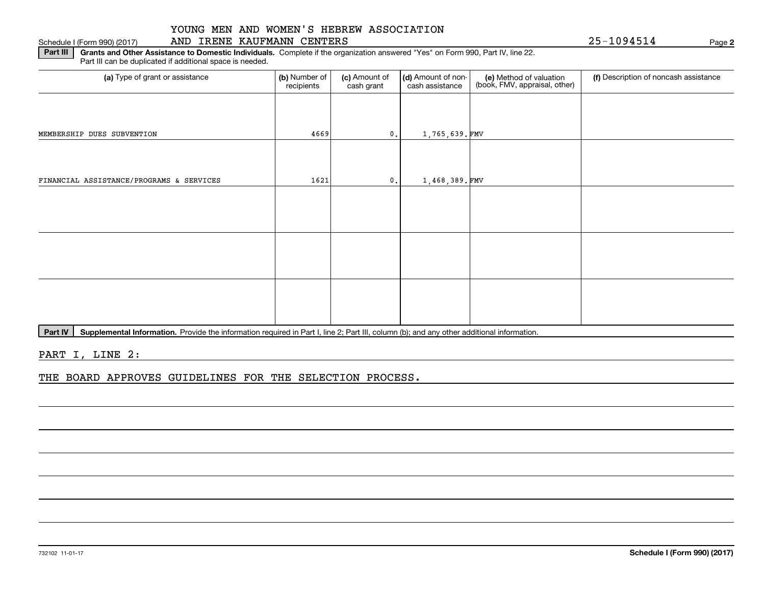#### Schedule I (Form 990) (2017) AND IRENE KAUFMANN CENTERS Page

**2**

**Part III | Grants and Other Assistance to Domestic Individuals. Complete if the organization answered "Yes" on Form 990, Part IV, line 22.** Part III can be duplicated if additional space is needed.

| (a) Type of grant or assistance          | (b) Number of<br>recipients | (c) Amount of<br>cash grant | (d) Amount of non-<br>cash assistance | (e) Method of valuation<br>(book, FMV, appraisal, other) | (f) Description of noncash assistance |
|------------------------------------------|-----------------------------|-----------------------------|---------------------------------------|----------------------------------------------------------|---------------------------------------|
|                                          |                             |                             |                                       |                                                          |                                       |
| MEMBERSHIP DUES SUBVENTION               | 4669                        | 0.                          | 1,765,639.FMV                         |                                                          |                                       |
|                                          |                             |                             |                                       |                                                          |                                       |
| FINANCIAL ASSISTANCE/PROGRAMS & SERVICES | 1621                        | 0.                          | $1,468,389$ . FMV                     |                                                          |                                       |
|                                          |                             |                             |                                       |                                                          |                                       |
|                                          |                             |                             |                                       |                                                          |                                       |
|                                          |                             |                             |                                       |                                                          |                                       |
|                                          |                             |                             |                                       |                                                          |                                       |
|                                          |                             |                             |                                       |                                                          |                                       |
|                                          |                             |                             |                                       |                                                          |                                       |

Part IV | Supplemental Information. Provide the information required in Part I, line 2; Part III, column (b); and any other additional information.

PART I, LINE 2:

THE BOARD APPROVES GUIDELINES FOR THE SELECTION PROCESS.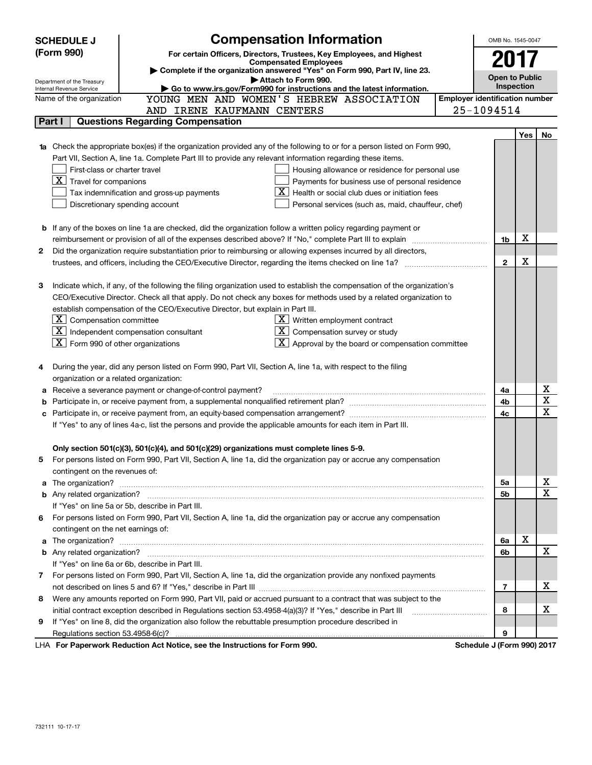|   | <b>SCHEDULE J</b>                                                                   | <b>Compensation Information</b>                                                                                           |                                       | OMB No. 1545-0047          |            |      |  |
|---|-------------------------------------------------------------------------------------|---------------------------------------------------------------------------------------------------------------------------|---------------------------------------|----------------------------|------------|------|--|
|   | (Form 990)<br>For certain Officers, Directors, Trustees, Key Employees, and Highest |                                                                                                                           |                                       |                            |            | 2017 |  |
|   | <b>Compensated Employees</b>                                                        |                                                                                                                           |                                       |                            |            |      |  |
|   | Complete if the organization answered "Yes" on Form 990, Part IV, line 23.          |                                                                                                                           |                                       |                            |            |      |  |
|   | Department of the Treasury<br>Internal Revenue Service                              | Attach to Form 990.<br>Go to www.irs.gov/Form990 for instructions and the latest information.                             |                                       | <b>Open to Public</b>      | Inspection |      |  |
|   | Name of the organization                                                            | YOUNG MEN AND WOMEN'S HEBREW ASSOCIATION                                                                                  | <b>Employer identification number</b> |                            |            |      |  |
|   |                                                                                     | AND IRENE KAUFMANN CENTERS                                                                                                |                                       | 25-1094514                 |            |      |  |
|   | Part I                                                                              | <b>Questions Regarding Compensation</b>                                                                                   |                                       |                            |            |      |  |
|   |                                                                                     |                                                                                                                           |                                       |                            | Yes        | No   |  |
|   |                                                                                     | Check the appropriate box(es) if the organization provided any of the following to or for a person listed on Form 990,    |                                       |                            |            |      |  |
|   |                                                                                     | Part VII, Section A, line 1a. Complete Part III to provide any relevant information regarding these items.                |                                       |                            |            |      |  |
|   | First-class or charter travel                                                       | Housing allowance or residence for personal use                                                                           |                                       |                            |            |      |  |
|   | $\boxed{\textbf{X}}$ Travel for companions                                          | Payments for business use of personal residence                                                                           |                                       |                            |            |      |  |
|   |                                                                                     | Health or social club dues or initiation fees<br>Tax indemnification and gross-up payments                                |                                       |                            |            |      |  |
|   |                                                                                     | Discretionary spending account<br>Personal services (such as, maid, chauffeur, chef)                                      |                                       |                            |            |      |  |
|   |                                                                                     |                                                                                                                           |                                       |                            |            |      |  |
|   |                                                                                     | <b>b</b> If any of the boxes on line 1a are checked, did the organization follow a written policy regarding payment or    |                                       |                            |            |      |  |
|   |                                                                                     |                                                                                                                           |                                       | 1b                         | х          |      |  |
| 2 |                                                                                     | Did the organization require substantiation prior to reimbursing or allowing expenses incurred by all directors,          |                                       |                            |            |      |  |
|   |                                                                                     |                                                                                                                           |                                       | $\mathbf{2}$               | X          |      |  |
|   |                                                                                     |                                                                                                                           |                                       |                            |            |      |  |
| З |                                                                                     | Indicate which, if any, of the following the filing organization used to establish the compensation of the organization's |                                       |                            |            |      |  |
|   |                                                                                     | CEO/Executive Director. Check all that apply. Do not check any boxes for methods used by a related organization to        |                                       |                            |            |      |  |
|   |                                                                                     | establish compensation of the CEO/Executive Director, but explain in Part III.                                            |                                       |                            |            |      |  |
|   | $\lfloor \texttt{X} \rfloor$ Compensation committee                                 | $X$ Written employment contract                                                                                           |                                       |                            |            |      |  |
|   |                                                                                     | $\boxed{\textbf{X}}$ Independent compensation consultant<br>$\overline{X}$ Compensation survey or study                   |                                       |                            |            |      |  |
|   | $\boxed{\textbf{X}}$ Form 990 of other organizations                                | $\boxed{\textbf{X}}$ Approval by the board or compensation committee                                                      |                                       |                            |            |      |  |
|   |                                                                                     |                                                                                                                           |                                       |                            |            |      |  |
| 4 |                                                                                     | During the year, did any person listed on Form 990, Part VII, Section A, line 1a, with respect to the filing              |                                       |                            |            |      |  |
|   | organization or a related organization:                                             |                                                                                                                           |                                       |                            |            |      |  |
| а |                                                                                     | Receive a severance payment or change-of-control payment?                                                                 |                                       | 4a                         |            | х    |  |
| b |                                                                                     |                                                                                                                           |                                       | 4b                         |            | х    |  |
| c |                                                                                     |                                                                                                                           |                                       | 4c                         |            | х    |  |
|   |                                                                                     | If "Yes" to any of lines 4a-c, list the persons and provide the applicable amounts for each item in Part III.             |                                       |                            |            |      |  |
|   |                                                                                     |                                                                                                                           |                                       |                            |            |      |  |
|   |                                                                                     | Only section 501(c)(3), 501(c)(4), and 501(c)(29) organizations must complete lines 5-9.                                  |                                       |                            |            |      |  |
| 5 |                                                                                     | For persons listed on Form 990, Part VII, Section A, line 1a, did the organization pay or accrue any compensation         |                                       |                            |            |      |  |
|   | contingent on the revenues of:                                                      |                                                                                                                           |                                       |                            |            |      |  |
| a |                                                                                     |                                                                                                                           |                                       | 5a                         |            | х    |  |
|   |                                                                                     |                                                                                                                           |                                       | 5b                         |            | X    |  |
|   |                                                                                     | If "Yes" on line 5a or 5b, describe in Part III.                                                                          |                                       |                            |            |      |  |
|   |                                                                                     | 6 For persons listed on Form 990, Part VII, Section A, line 1a, did the organization pay or accrue any compensation       |                                       |                            |            |      |  |
|   | contingent on the net earnings of:                                                  |                                                                                                                           |                                       |                            |            |      |  |
| a |                                                                                     |                                                                                                                           |                                       | 6a                         | X          |      |  |
|   |                                                                                     |                                                                                                                           |                                       | 6b                         |            | х    |  |
|   |                                                                                     | If "Yes" on line 6a or 6b, describe in Part III.                                                                          |                                       |                            |            |      |  |
|   |                                                                                     | 7 For persons listed on Form 990, Part VII, Section A, line 1a, did the organization provide any nonfixed payments        |                                       |                            |            |      |  |
|   |                                                                                     |                                                                                                                           |                                       | 7                          |            | х    |  |
| 8 |                                                                                     | Were any amounts reported on Form 990, Part VII, paid or accrued pursuant to a contract that was subject to the           |                                       |                            |            |      |  |
|   |                                                                                     | initial contract exception described in Regulations section 53.4958-4(a)(3)? If "Yes," describe in Part III               |                                       | 8                          |            | х    |  |
| 9 |                                                                                     | If "Yes" on line 8, did the organization also follow the rebuttable presumption procedure described in                    |                                       |                            |            |      |  |
|   |                                                                                     |                                                                                                                           |                                       | 9                          |            |      |  |
|   |                                                                                     | Department Reduction Act Notice, see the Instructions for Form 000                                                        |                                       | Cohodulo I (Form 000) 2017 |            |      |  |

LHA For Paperwork Reduction Act Notice, see the Instructions for Form 990. Schedule J (Form 990) 2017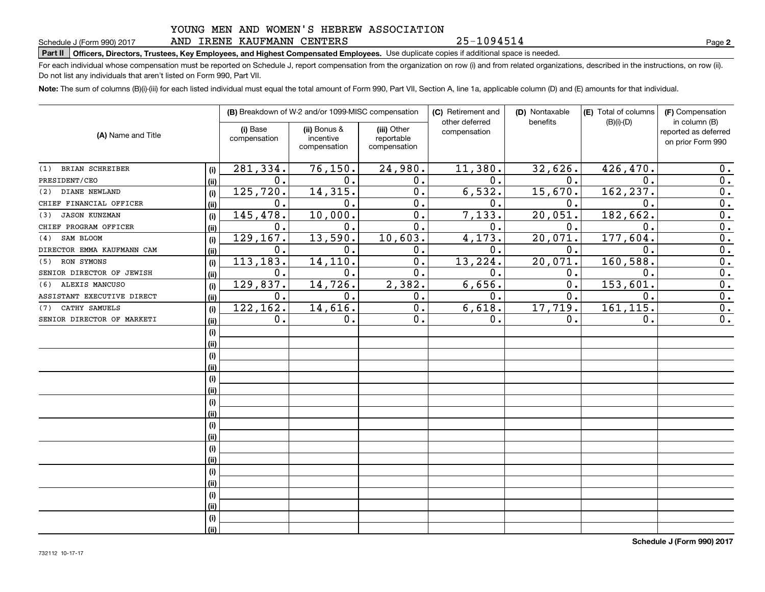#### YOUNG MEN AND WOMEN'S HEBREW ASSOCIATION AND IRENE KAUFMANN CENTERS

25-1094514

**2**

## **Part II Officers, Directors, Trustees, Key Employees, and Highest Compensated Employees.**  Schedule J (Form 990) 2017 Page Use duplicate copies if additional space is needed.

For each individual whose compensation must be reported on Schedule J, report compensation from the organization on row (i) and from related organizations, described in the instructions, on row (ii). Do not list any individuals that aren't listed on Form 990, Part VII.

**Note:**  The sum of columns (B)(i)-(iii) for each listed individual must equal the total amount of Form 990, Part VII, Section A, line 1a, applicable column (D) and (E) amounts for that individual.

| (A) Name and Title          |      |                          | (B) Breakdown of W-2 and/or 1099-MISC compensation |                                           | (C) Retirement and<br>other deferred | (D) Nontaxable<br>benefits | (E) Total of columns<br>$(B)(i)$ - $(D)$ | (F) Compensation<br>in column (B)         |  |
|-----------------------------|------|--------------------------|----------------------------------------------------|-------------------------------------------|--------------------------------------|----------------------------|------------------------------------------|-------------------------------------------|--|
|                             |      | (i) Base<br>compensation | (ii) Bonus &<br>incentive<br>compensation          | (iii) Other<br>reportable<br>compensation | compensation                         |                            |                                          | reported as deferred<br>on prior Form 990 |  |
| BRIAN SCHREIBER<br>(1)      | (i)  | 281,334.                 | 76, 150.                                           | 24,980.                                   | 11,380.                              | 32,626.                    | 426,470                                  | 0.                                        |  |
| PRESIDENT/CEO               | (ii) | 0.                       | 0.                                                 | 0.                                        | 0.                                   | 0.                         | $\mathbf{0}$ .                           | 0.                                        |  |
| DIANE NEWLAND<br>(2)        | (i)  | 125,720.                 | 14, 315.                                           | 0.                                        | 6,532.                               | 15,670.                    | 162, 237.                                | 0.                                        |  |
| CHIEF FINANCIAL OFFICER     | (ii) | 0.                       | 0.                                                 | 0.                                        | 0.                                   | $\mathbf 0$ .              | $\mathbf 0$                              | $\overline{0}$ .                          |  |
| <b>JASON KUNZMAN</b><br>(3) | (i)  | 145,478.                 | 10,000.                                            | 0.                                        | 7, 133.                              | 20,051.                    | 182,662.                                 | 0.                                        |  |
| CHIEF PROGRAM OFFICER       | (ii) | 0.                       | 0.                                                 | 0.                                        | 0.                                   | 0.                         | 0.                                       | $\overline{0}$ .                          |  |
| SAM BLOOM<br>(4)            | (i)  | 129, 167.                | 13,590.                                            | 10,603.                                   | 4,173.                               | 20,071.                    | 177,604                                  | $\overline{0}$ .                          |  |
| DIRECTOR EMMA KAUFMANN CAM  | (ii) | 0.                       | 0.                                                 | 0.                                        | $\mathbf 0$ .                        | 0.                         | $\Omega$ .                               | $\overline{0}$ .                          |  |
| RON SYMONS<br>(5)           | (i)  | 113,183.                 | 14,110.                                            | $\overline{0}$ .                          | 13,224.                              | 20,071.                    | 160, 588                                 | $\overline{0}$ .                          |  |
| SENIOR DIRECTOR OF JEWISH   | (ii) | 0.                       | 0.                                                 | $\overline{0}$ .                          | $\mathbf 0$ .                        | 0.                         | $\mathbf 0$                              | $\overline{0}$ .                          |  |
| ALEXIS MANCUSO<br>(6)       | (i)  | 129, 837.                | 14, 726.                                           | 2,382.                                    | 6,656.                               | 0.                         | 153,601                                  | $\overline{0}$ .                          |  |
| ASSISTANT EXECUTIVE DIRECT  | (ii) | 0.                       | 0.                                                 | 0.                                        | 0.                                   | 0.                         | $\mathbf 0$                              | $\overline{0}$ .                          |  |
| CATHY SAMUELS<br>(7)        | (i)  | 122,162.                 | 14,616.                                            | $\overline{0}$ .                          | 6,618.                               | 17,719.                    | 161, 115.                                | $\overline{0}$ .                          |  |
| SENIOR DIRECTOR OF MARKETI  | (ii) | $0$ .                    | 0.                                                 | 0.                                        | 0.                                   | 0.                         | 0.                                       | $\overline{0}$ .                          |  |
|                             | (i)  |                          |                                                    |                                           |                                      |                            |                                          |                                           |  |
|                             | (ii) |                          |                                                    |                                           |                                      |                            |                                          |                                           |  |
|                             | (i)  |                          |                                                    |                                           |                                      |                            |                                          |                                           |  |
|                             | (ii) |                          |                                                    |                                           |                                      |                            |                                          |                                           |  |
|                             | (i)  |                          |                                                    |                                           |                                      |                            |                                          |                                           |  |
|                             | (ii) |                          |                                                    |                                           |                                      |                            |                                          |                                           |  |
|                             | (i)  |                          |                                                    |                                           |                                      |                            |                                          |                                           |  |
|                             | (ii) |                          |                                                    |                                           |                                      |                            |                                          |                                           |  |
|                             | (i)  |                          |                                                    |                                           |                                      |                            |                                          |                                           |  |
|                             | (ii) |                          |                                                    |                                           |                                      |                            |                                          |                                           |  |
|                             | (i)  |                          |                                                    |                                           |                                      |                            |                                          |                                           |  |
|                             | (ii) |                          |                                                    |                                           |                                      |                            |                                          |                                           |  |
|                             | (i)  |                          |                                                    |                                           |                                      |                            |                                          |                                           |  |
|                             | (i)  |                          |                                                    |                                           |                                      |                            |                                          |                                           |  |
|                             | (i)  |                          |                                                    |                                           |                                      |                            |                                          |                                           |  |
|                             | (i)  |                          |                                                    |                                           |                                      |                            |                                          |                                           |  |
|                             | (i)  |                          |                                                    |                                           |                                      |                            |                                          |                                           |  |
|                             | (ii) |                          |                                                    |                                           |                                      |                            |                                          |                                           |  |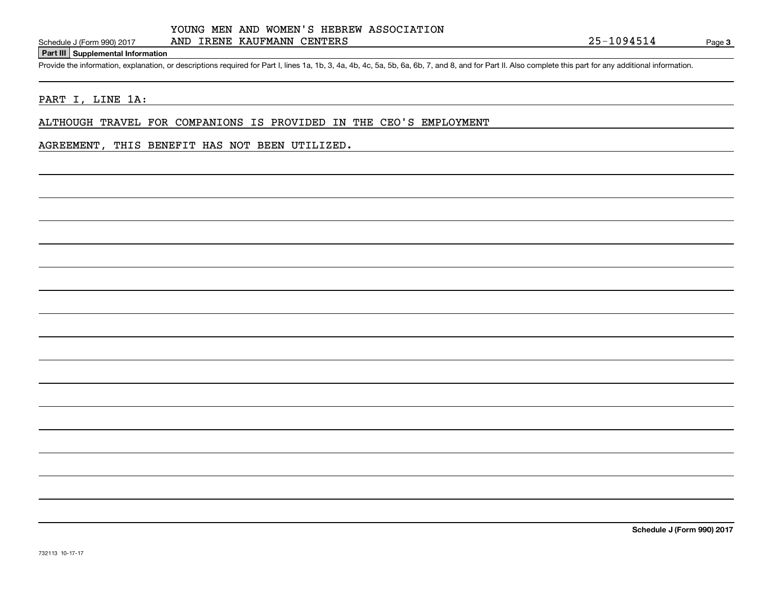**Part III Supplemental Information**

Schedule J (Form 990) 2017 AND IRENE KAUFMANN CENTERS<br>Part III Supplemental Information<br>Provide the information, explanation, or descriptions required for Part I, lines 1a, 1b, 3, 4a, 4b, 4c, 5a, 5b, 6a, 6b, 7, and 8, and

#### PART I, LINE 1A:

ALTHOUGH TRAVEL FOR COMPANIONS IS PROVIDED IN THE CEO'S EMPLOYMENT

#### AGREEMENT, THIS BENEFIT HAS NOT BEEN UTILIZED.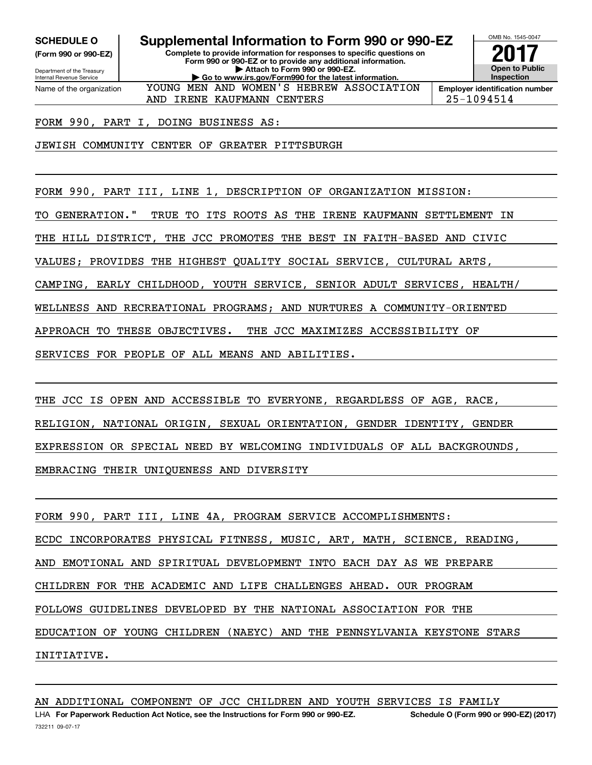**(Form 990 or 990-EZ)**

Department of the Treasury Internal Revenue Service Name of the organization

**SCHEDULE O Supplemental Information to Form 990 or 990-EZ**

**Complete to provide information for responses to specific questions on Form 990 or 990-EZ or to provide any additional information. | Attach to Form 990 or 990-EZ. | Go to www.irs.gov/Form990 for the latest information.** YOUNG MEN AND WOMEN'S HEBREW ASSOCIATION



OMB No. 1545-0047

AND IRENE KAUFMANN CENTERS 25-1094514

FORM 990, PART I, DOING BUSINESS AS:

JEWISH COMMUNITY CENTER OF GREATER PITTSBURGH

FORM 990, PART III, LINE 1, DESCRIPTION OF ORGANIZATION MISSION:

TO GENERATION." TRUE TO ITS ROOTS AS THE IRENE KAUFMANN SETTLEMENT IN

THE HILL DISTRICT, THE JCC PROMOTES THE BEST IN FAITH-BASED AND CIVIC

VALUES; PROVIDES THE HIGHEST QUALITY SOCIAL SERVICE, CULTURAL ARTS,

CAMPING, EARLY CHILDHOOD, YOUTH SERVICE, SENIOR ADULT SERVICES, HEALTH/

WELLNESS AND RECREATIONAL PROGRAMS; AND NURTURES A COMMUNITY-ORIENTED

APPROACH TO THESE OBJECTIVES. THE JCC MAXIMIZES ACCESSIBILITY OF

SERVICES FOR PEOPLE OF ALL MEANS AND ABILITIES.

THE JCC IS OPEN AND ACCESSIBLE TO EVERYONE, REGARDLESS OF AGE, RACE, RELIGION, NATIONAL ORIGIN, SEXUAL ORIENTATION, GENDER IDENTITY, GENDER EXPRESSION OR SPECIAL NEED BY WELCOMING INDIVIDUALS OF ALL BACKGROUNDS, EMBRACING THEIR UNIQUENESS AND DIVERSITY

FORM 990, PART III, LINE 4A, PROGRAM SERVICE ACCOMPLISHMENTS: ECDC INCORPORATES PHYSICAL FITNESS, MUSIC, ART, MATH, SCIENCE, READING, AND EMOTIONAL AND SPIRITUAL DEVELOPMENT INTO EACH DAY AS WE PREPARE CHILDREN FOR THE ACADEMIC AND LIFE CHALLENGES AHEAD. OUR PROGRAM FOLLOWS GUIDELINES DEVELOPED BY THE NATIONAL ASSOCIATION FOR THE EDUCATION OF YOUNG CHILDREN (NAEYC) AND THE PENNSYLVANIA KEYSTONE STARS INITIATIVE.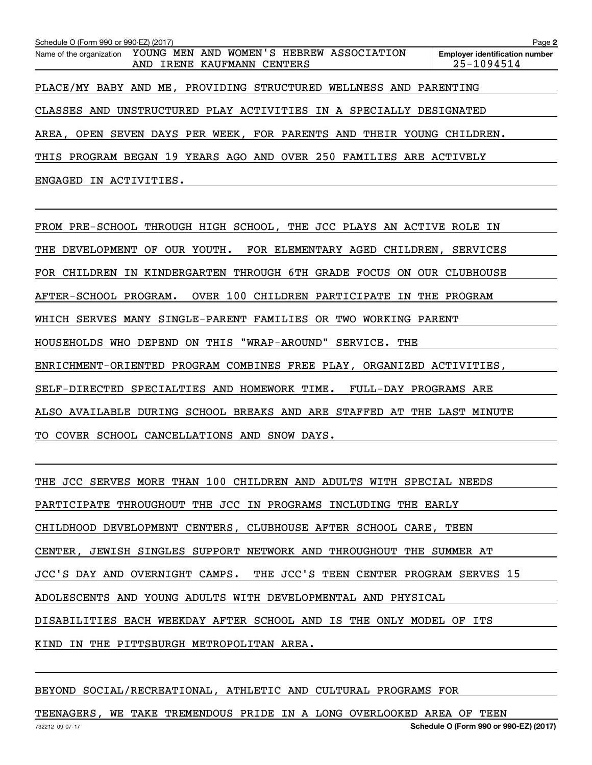| Schedule O (Form 990 or 990-EZ) (2017)                                |                            |  | Page 2                                              |
|-----------------------------------------------------------------------|----------------------------|--|-----------------------------------------------------|
| Name of the organization YOUNG MEN AND WOMEN'S HEBREW ASSOCIATION     | AND IRENE KAUFMANN CENTERS |  | <b>Employer identification number</b><br>25-1094514 |
| PLACE/MY BABY AND ME, PROVIDING STRUCTURED WELLNESS AND PARENTING     |                            |  |                                                     |
| CLASSES AND UNSTRUCTURED PLAY ACTIVITIES IN A SPECIALLY DESIGNATED    |                            |  |                                                     |
| AREA, OPEN SEVEN DAYS PER WEEK, FOR PARENTS AND THEIR YOUNG CHILDREN. |                            |  |                                                     |
| THIS PROGRAM BEGAN 19 YEARS AGO AND OVER 250 FAMILIES ARE ACTIVELY    |                            |  |                                                     |
| ENGAGED IN ACTIVITIES.                                                |                            |  |                                                     |

FROM PRE-SCHOOL THROUGH HIGH SCHOOL, THE JCC PLAYS AN ACTIVE ROLE IN THE DEVELOPMENT OF OUR YOUTH. FOR ELEMENTARY AGED CHILDREN, SERVICES FOR CHILDREN IN KINDERGARTEN THROUGH 6TH GRADE FOCUS ON OUR CLUBHOUSE AFTER-SCHOOL PROGRAM. OVER 100 CHILDREN PARTICIPATE IN THE PROGRAM WHICH SERVES MANY SINGLE-PARENT FAMILIES OR TWO WORKING PARENT HOUSEHOLDS WHO DEPEND ON THIS "WRAP-AROUND" SERVICE. THE ENRICHMENT-ORIENTED PROGRAM COMBINES FREE PLAY, ORGANIZED ACTIVITIES, SELF-DIRECTED SPECIALTIES AND HOMEWORK TIME. FULL-DAY PROGRAMS ARE ALSO AVAILABLE DURING SCHOOL BREAKS AND ARE STAFFED AT THE LAST MINUTE TO COVER SCHOOL CANCELLATIONS AND SNOW DAYS.

THE JCC SERVES MORE THAN 100 CHILDREN AND ADULTS WITH SPECIAL NEEDS PARTICIPATE THROUGHOUT THE JCC IN PROGRAMS INCLUDING THE EARLY CHILDHOOD DEVELOPMENT CENTERS, CLUBHOUSE AFTER SCHOOL CARE, TEEN CENTER, JEWISH SINGLES SUPPORT NETWORK AND THROUGHOUT THE SUMMER AT JCC'S DAY AND OVERNIGHT CAMPS. THE JCC'S TEEN CENTER PROGRAM SERVES 15 ADOLESCENTS AND YOUNG ADULTS WITH DEVELOPMENTAL AND PHYSICAL DISABILITIES EACH WEEKDAY AFTER SCHOOL AND IS THE ONLY MODEL OF ITS KIND IN THE PITTSBURGH METROPOLITAN AREA.

BEYOND SOCIAL/RECREATIONAL, ATHLETIC AND CULTURAL PROGRAMS FOR

TEENAGERS, WE TAKE TREMENDOUS PRIDE IN A LONG OVERLOOKED AREA OF TEEN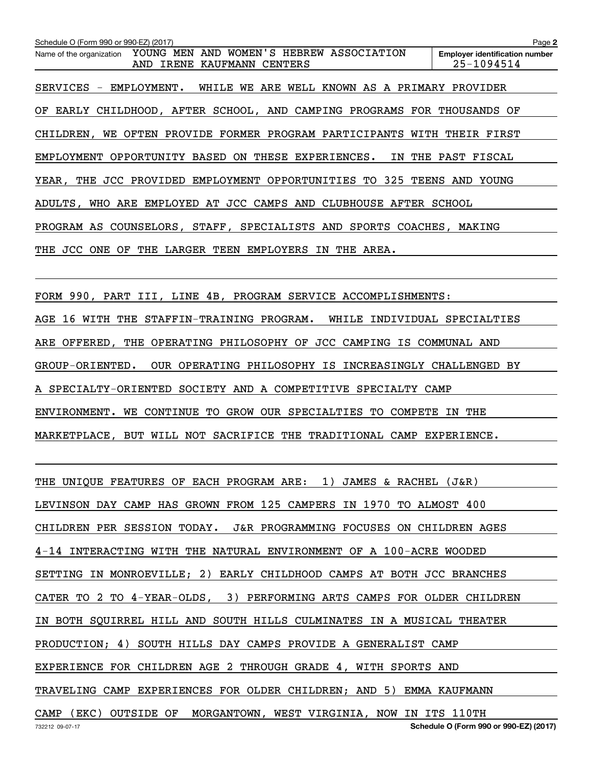**2Employer identification number** Schedule O (Form 990 or 990-EZ) (2017)<br>Name of the organization YOUNG MEN AND WOMEN'S HEBREW ASSOCIATION Employer identification number SERVICES - EMPLOYMENT. WHILE WE ARE WELL KNOWN AS A PRIMARY PROVIDER OF EARLY CHILDHOOD, AFTER SCHOOL, AND CAMPING PROGRAMS FOR THOUSANDS OF CHILDREN, WE OFTEN PROVIDE FORMER PROGRAM PARTICIPANTS WITH THEIR FIRST EMPLOYMENT OPPORTUNITY BASED ON THESE EXPERIENCES. IN THE PAST FISCAL YEAR, THE JCC PROVIDED EMPLOYMENT OPPORTUNITIES TO 325 TEENS AND YOUNG ADULTS, WHO ARE EMPLOYED AT JCC CAMPS AND CLUBHOUSE AFTER SCHOOL PROGRAM AS COUNSELORS, STAFF, SPECIALISTS AND SPORTS COACHES, MAKING THE JCC ONE OF THE LARGER TEEN EMPLOYERS IN THE AREA. AND IRENE KAUFMANN CENTERS 25-1094514

FORM 990, PART III, LINE 4B, PROGRAM SERVICE ACCOMPLISHMENTS: AGE 16 WITH THE STAFFIN-TRAINING PROGRAM. WHILE INDIVIDUAL SPECIALTIES ARE OFFERED, THE OPERATING PHILOSOPHY OF JCC CAMPING IS COMMUNAL AND GROUP-ORIENTED. OUR OPERATING PHILOSOPHY IS INCREASINGLY CHALLENGED BY A SPECIALTY-ORIENTED SOCIETY AND A COMPETITIVE SPECIALTY CAMP ENVIRONMENT. WE CONTINUE TO GROW OUR SPECIALTIES TO COMPETE IN THE

MARKETPLACE, BUT WILL NOT SACRIFICE THE TRADITIONAL CAMP EXPERIENCE.

THE UNIQUE FEATURES OF EACH PROGRAM ARE: 1) JAMES & RACHEL (J&R) LEVINSON DAY CAMP HAS GROWN FROM 125 CAMPERS IN 1970 TO ALMOST 400 CHILDREN PER SESSION TODAY. J&R PROGRAMMING FOCUSES ON CHILDREN AGES 4-14 INTERACTING WITH THE NATURAL ENVIRONMENT OF A 100-ACRE WOODED SETTING IN MONROEVILLE; 2) EARLY CHILDHOOD CAMPS AT BOTH JCC BRANCHES CATER TO 2 TO 4-YEAR-OLDS, 3) PERFORMING ARTS CAMPS FOR OLDER CHILDREN IN BOTH SQUIRREL HILL AND SOUTH HILLS CULMINATES IN A MUSICAL THEATER PRODUCTION; 4) SOUTH HILLS DAY CAMPS PROVIDE A GENERALIST CAMP EXPERIENCE FOR CHILDREN AGE 2 THROUGH GRADE 4, WITH SPORTS AND TRAVELING CAMP EXPERIENCES FOR OLDER CHILDREN; AND 5) EMMA KAUFMANN CAMP (EKC) OUTSIDE OF MORGANTOWN, WEST VIRGINIA, NOW IN ITS 110TH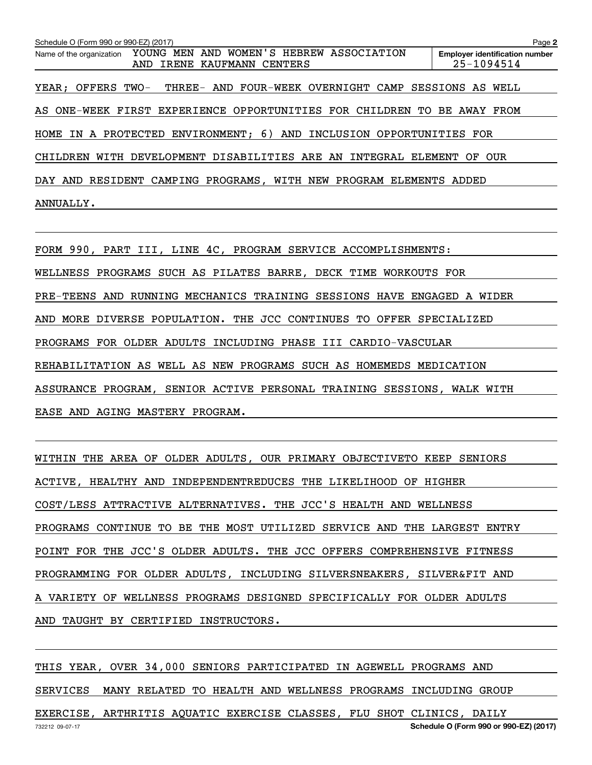**2Employer identification number** Schedule O (Form 990 or 990-EZ) (2017)<br>Name of the organization YOUNG MEN AND WOMEN'S HEBREW ASSOCIATION Employer identification number YEAR; OFFERS TWO- THREE- AND FOUR-WEEK OVERNIGHT CAMP SESSIONS AS WELL AS ONE-WEEK FIRST EXPERIENCE OPPORTUNITIES FOR CHILDREN TO BE AWAY FROM HOME IN A PROTECTED ENVIRONMENT; 6) AND INCLUSION OPPORTUNITIES FOR CHILDREN WITH DEVELOPMENT DISABILITIES ARE AN INTEGRAL ELEMENT OF OUR DAY AND RESIDENT CAMPING PROGRAMS, WITH NEW PROGRAM ELEMENTS ADDED ANNUALLY. AND IRENE KAUFMANN CENTERS | 25-1094514

FORM 990, PART III, LINE 4C, PROGRAM SERVICE ACCOMPLISHMENTS: WELLNESS PROGRAMS SUCH AS PILATES BARRE, DECK TIME WORKOUTS FOR PRE-TEENS AND RUNNING MECHANICS TRAINING SESSIONS HAVE ENGAGED A WIDER AND MORE DIVERSE POPULATION. THE JCC CONTINUES TO OFFER SPECIALIZED PROGRAMS FOR OLDER ADULTS INCLUDING PHASE III CARDIO-VASCULAR REHABILITATION AS WELL AS NEW PROGRAMS SUCH AS HOMEMEDS MEDICATION ASSURANCE PROGRAM, SENIOR ACTIVE PERSONAL TRAINING SESSIONS, WALK WITH EASE AND AGING MASTERY PROGRAM.

WITHIN THE AREA OF OLDER ADULTS, OUR PRIMARY OBJECTIVETO KEEP SENIORS ACTIVE, HEALTHY AND INDEPENDENTREDUCES THE LIKELIHOOD OF HIGHER COST/LESS ATTRACTIVE ALTERNATIVES. THE JCC'S HEALTH AND WELLNESS PROGRAMS CONTINUE TO BE THE MOST UTILIZED SERVICE AND THE LARGEST ENTRY POINT FOR THE JCC'S OLDER ADULTS. THE JCC OFFERS COMPREHENSIVE FITNESS PROGRAMMING FOR OLDER ADULTS, INCLUDING SILVERSNEAKERS, SILVER&FIT AND A VARIETY OF WELLNESS PROGRAMS DESIGNED SPECIFICALLY FOR OLDER ADULTS AND TAUGHT BY CERTIFIED INSTRUCTORS.

THIS YEAR, OVER 34,000 SENIORS PARTICIPATED IN AGEWELL PROGRAMS AND SERVICES MANY RELATED TO HEALTH AND WELLNESS PROGRAMS INCLUDING GROUP EXERCISE, ARTHRITIS AQUATIC EXERCISE CLASSES, FLU SHOT CLINICS, DAILY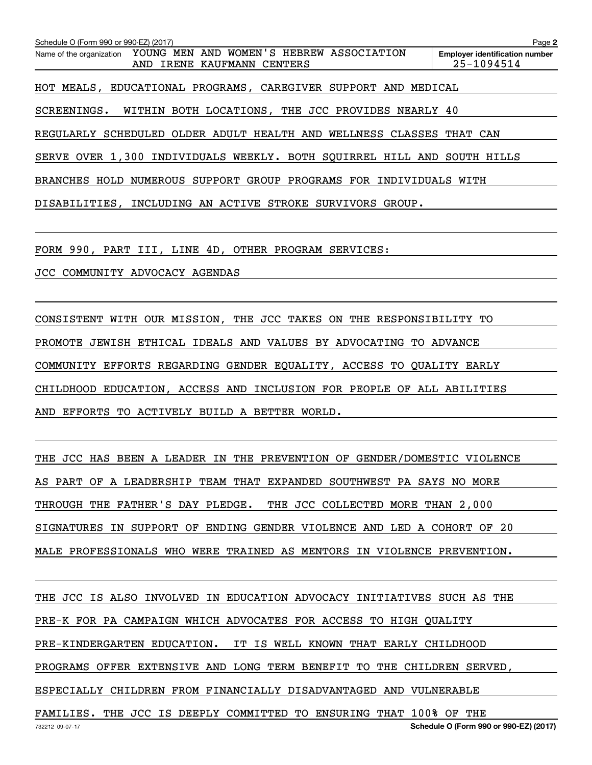**2Employer identification number** Schedule O (Form 990 or 990-EZ) (2017)<br>Name of the organization YOUNG MEN AND WOMEN'S HEBREW ASSOCIATION Employer identification number HOT MEALS, EDUCATIONAL PROGRAMS, CAREGIVER SUPPORT AND MEDICAL SCREENINGS. WITHIN BOTH LOCATIONS, THE JCC PROVIDES NEARLY 40 REGULARLY SCHEDULED OLDER ADULT HEALTH AND WELLNESS CLASSES THAT CAN SERVE OVER 1,300 INDIVIDUALS WEEKLY. BOTH SQUIRREL HILL AND SOUTH HILLS BRANCHES HOLD NUMEROUS SUPPORT GROUP PROGRAMS FOR INDIVIDUALS WITH DISABILITIES, INCLUDING AN ACTIVE STROKE SURVIVORS GROUP. AND IRENE KAUFMANN CENTERS 25-1094514

FORM 990, PART III, LINE 4D, OTHER PROGRAM SERVICES:

JCC COMMUNITY ADVOCACY AGENDAS

CONSISTENT WITH OUR MISSION, THE JCC TAKES ON THE RESPONSIBILITY TO PROMOTE JEWISH ETHICAL IDEALS AND VALUES BY ADVOCATING TO ADVANCE COMMUNITY EFFORTS REGARDING GENDER EQUALITY, ACCESS TO QUALITY EARLY CHILDHOOD EDUCATION, ACCESS AND INCLUSION FOR PEOPLE OF ALL ABILITIES AND EFFORTS TO ACTIVELY BUILD A BETTER WORLD.

THE JCC HAS BEEN A LEADER IN THE PREVENTION OF GENDER/DOMESTIC VIOLENCE AS PART OF A LEADERSHIP TEAM THAT EXPANDED SOUTHWEST PA SAYS NO MORE THROUGH THE FATHER'S DAY PLEDGE. THE JCC COLLECTED MORE THAN 2,000 SIGNATURES IN SUPPORT OF ENDING GENDER VIOLENCE AND LED A COHORT OF 20 MALE PROFESSIONALS WHO WERE TRAINED AS MENTORS IN VIOLENCE PREVENTION.

THE JCC IS ALSO INVOLVED IN EDUCATION ADVOCACY INITIATIVES SUCH AS THE PRE-K FOR PA CAMPAIGN WHICH ADVOCATES FOR ACCESS TO HIGH QUALITY PRE-KINDERGARTEN EDUCATION. IT IS WELL KNOWN THAT EARLY CHILDHOOD PROGRAMS OFFER EXTENSIVE AND LONG TERM BENEFIT TO THE CHILDREN SERVED, ESPECIALLY CHILDREN FROM FINANCIALLY DISADVANTAGED AND VULNERABLE FAMILIES. THE JCC IS DEEPLY COMMITTED TO ENSURING THAT 100% OF THE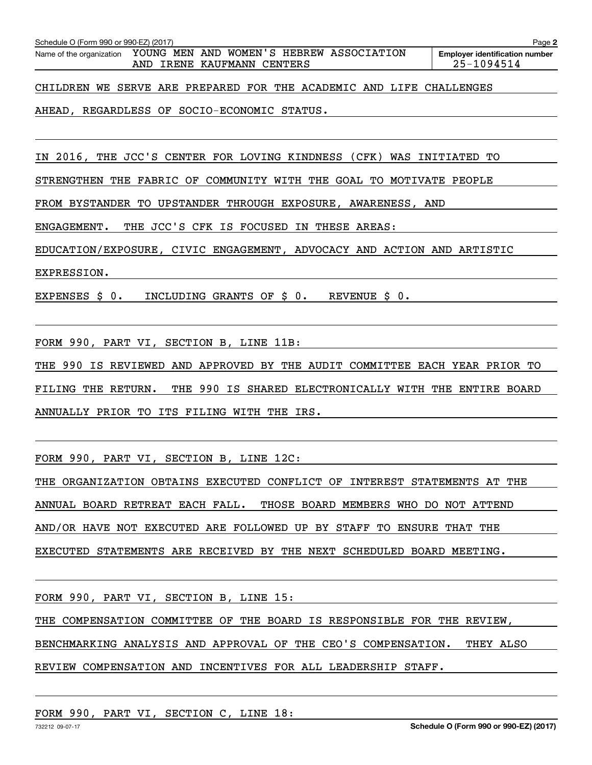| Schedule O (Form 990 or 990-EZ) (2017) |  |  |  |
|----------------------------------------|--|--|--|

Schedule O (Form 990 or 990-EZ) (2017)<br>Name of the organization YOUNG MEN AND WOMEN'S HEBREW ASSOCIATION Employer identification number AND IRENE KAUFMANN CENTERS 25-1094514

**2**

CHILDREN WE SERVE ARE PREPARED FOR THE ACADEMIC AND LIFE CHALLENGES

AHEAD, REGARDLESS OF SOCIO-ECONOMIC STATUS.

IN 2016, THE JCC'S CENTER FOR LOVING KINDNESS (CFK) WAS INITIATED TO

STRENGTHEN THE FABRIC OF COMMUNITY WITH THE GOAL TO MOTIVATE PEOPLE

FROM BYSTANDER TO UPSTANDER THROUGH EXPOSURE, AWARENESS, AND

ENGAGEMENT. THE JCC'S CFK IS FOCUSED IN THESE AREAS:

EDUCATION/EXPOSURE, CIVIC ENGAGEMENT, ADVOCACY AND ACTION AND ARTISTIC

EXPRESSION.

EXPENSES \$ 0. INCLUDING GRANTS OF \$ 0. REVENUE \$ 0.

FORM 990, PART VI, SECTION B, LINE 11B:

THE 990 IS REVIEWED AND APPROVED BY THE AUDIT COMMITTEE EACH YEAR PRIOR TO FILING THE RETURN. THE 990 IS SHARED ELECTRONICALLY WITH THE ENTIRE BOARD ANNUALLY PRIOR TO ITS FILING WITH THE IRS.

FORM 990, PART VI, SECTION B, LINE 12C:

THE ORGANIZATION OBTAINS EXECUTED CONFLICT OF INTEREST STATEMENTS AT THE ANNUAL BOARD RETREAT EACH FALL. THOSE BOARD MEMBERS WHO DO NOT ATTEND AND/OR HAVE NOT EXECUTED ARE FOLLOWED UP BY STAFF TO ENSURE THAT THE EXECUTED STATEMENTS ARE RECEIVED BY THE NEXT SCHEDULED BOARD MEETING.

FORM 990, PART VI, SECTION B, LINE 15:

THE COMPENSATION COMMITTEE OF THE BOARD IS RESPONSIBLE FOR THE REVIEW,

BENCHMARKING ANALYSIS AND APPROVAL OF THE CEO'S COMPENSATION. THEY ALSO

#### REVIEW COMPENSATION AND INCENTIVES FOR ALL LEADERSHIP STAFF.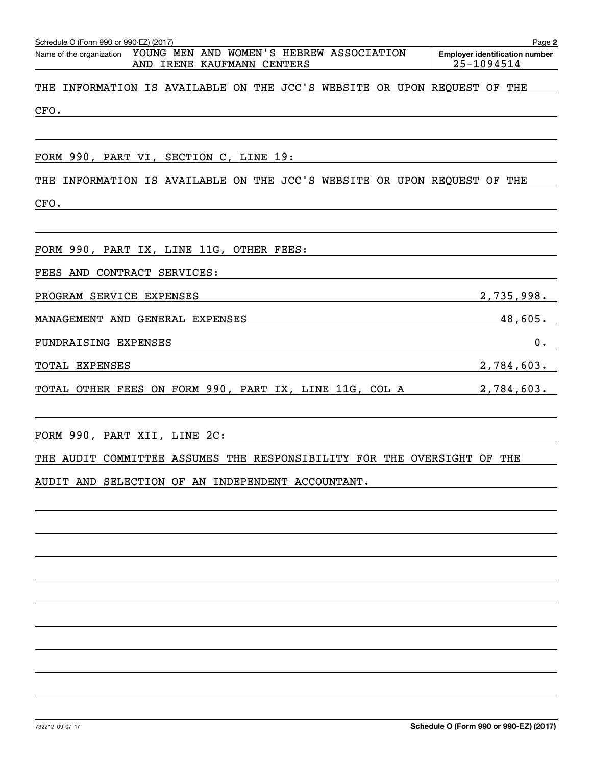| Schedule O (Form 990 or 990-EZ) (2017)                                      | Page 2                                |
|-----------------------------------------------------------------------------|---------------------------------------|
| Name of the organization YOUNG MEN AND WOMEN'S HEBREW ASSOCIATION           | <b>Employer identification number</b> |
| AND IRENE KAUFMANN CENTERS                                                  | 25-1094514                            |
| INFORMATION IS AVAILABLE ON THE JCC'S WEBSITE OR UPON REQUEST OF THE<br>THE |                                       |
| CFO.                                                                        |                                       |
|                                                                             |                                       |
| FORM 990, PART VI, SECTION C, LINE 19:                                      |                                       |
| INFORMATION IS AVAILABLE ON THE JCC'S WEBSITE OR UPON REQUEST OF THE<br>THE |                                       |
| CFO.                                                                        |                                       |
|                                                                             |                                       |
| FORM 990, PART IX, LINE 11G, OTHER FEES:                                    |                                       |
| FEES AND CONTRACT SERVICES:                                                 |                                       |
| PROGRAM SERVICE EXPENSES                                                    | 2,735,998.                            |
| MANAGEMENT AND GENERAL EXPENSES                                             | 48,605.                               |
| FUNDRAISING EXPENSES                                                        | 0.                                    |
| TOTAL EXPENSES                                                              | 2,784,603.                            |
| TOTAL OTHER FEES ON FORM 990, PART IX, LINE 11G, COL A                      | 2,784,603.                            |
|                                                                             |                                       |

FORM 990, PART XII, LINE 2C:

THE AUDIT COMMITTEE ASSUMES THE RESPONSIBILITY FOR THE OVERSIGHT OF THE

AUDIT AND SELECTION OF AN INDEPENDENT ACCOUNTANT.